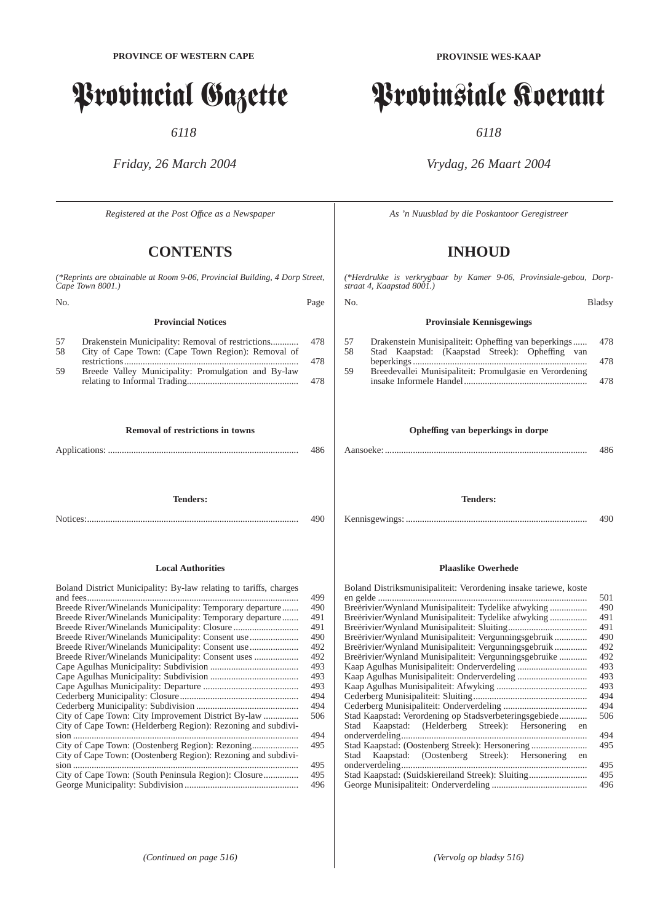# Provincial Gazette

*6118*

# *Friday, 26 March 2004*

*Registered at the Post Offıce as a Newspaper*

# **CONTENTS**

|          | (*Reprints are obtainable at Room 9-06, Provincial Building, 4 Dorp Street,<br>Cape Town 8001.)                        |            |
|----------|------------------------------------------------------------------------------------------------------------------------|------------|
| No.      |                                                                                                                        | Page       |
|          | <b>Provincial Notices</b>                                                                                              |            |
| 57<br>58 | Drakenstein Municipality: Removal of restrictions<br>City of Cape Town: (Cape Town Region): Removal of<br>restrictions | 478<br>478 |
| 59       | Breede Valley Municipality: Promulgation and By-law                                                                    | 478        |
|          | <b>Removal of restrictions in towns</b>                                                                                | 486        |
|          | <b>Tenders:</b>                                                                                                        | 490        |

#### **Local Authorities**

| Boland District Municipality: By-law relating to tariffs, charges<br>499 |  |
|--------------------------------------------------------------------------|--|
| Breede River/Winelands Municipality: Temporary departure<br>490          |  |
| Breede River/Winelands Municipality: Temporary departure<br>491          |  |
| 491                                                                      |  |
| Breede River/Winelands Municipality: Consent use<br>490                  |  |
| Breede River/Winelands Municipality: Consent use<br>492                  |  |
| Breede River/Winelands Municipality: Consent uses<br>492                 |  |
| 493                                                                      |  |
| 493                                                                      |  |
| 493                                                                      |  |
| 494                                                                      |  |
| 494                                                                      |  |
| 506                                                                      |  |
| City of Cape Town: (Helderberg Region): Rezoning and subdivi-            |  |
| 494<br>$sion$                                                            |  |
| 495                                                                      |  |
| City of Cape Town: (Oostenberg Region): Rezoning and subdivi-            |  |
| 495                                                                      |  |
| 495                                                                      |  |
| 496                                                                      |  |

**PROVINSIE WES-KAAP**

# Provinsiale Koerant

*6118*

# *Vrydag, 26 Maart 2004*

*As 'n Nuusblad by die Poskantoor Geregistreer*

# **INHOUD**

*(\*Herdrukke is verkrygbaar by Kamer 9-06, Provinsiale-gebou, Dorpstraat 4, Kaapstad 8001.)*

| No. |                                                                                    | <b>Bladsv</b> |
|-----|------------------------------------------------------------------------------------|---------------|
|     | <b>Provinsiale Kennisgewings</b>                                                   |               |
| .57 | Drakenstein Munisipaliteit: Opheffing van beperkings                               | 478           |
| .58 | Stad Kaapstad: (Kaapstad Streek): Opheffing van                                    |               |
|     |                                                                                    | 478           |
| 59  | Breedevallei Munisipaliteit: Promulgasie en Verordening<br>insake Informele Handel | 478           |

## **Opheffing van beperkings in dorpe**

Aansoeke: ....................................................................................... 486

**Tenders:**

Kennisgewings: .............................................................................. 490

#### **Plaaslike Owerhede**

| Boland Distriksmunisipaliteit: Verordening insake tariewe, koste |     |
|------------------------------------------------------------------|-----|
|                                                                  | 501 |
| Breërivier/Wynland Munisipaliteit: Tydelike afwyking             | 490 |
| Breërivier/Wynland Munisipaliteit: Tydelike afwyking             | 491 |
|                                                                  | 491 |
|                                                                  | 490 |
| Breërivier/Wynland Munisipaliteit: Vergunningsgebruik            | 492 |
|                                                                  | 492 |
|                                                                  | 493 |
|                                                                  | 493 |
|                                                                  | 493 |
|                                                                  | 494 |
|                                                                  | 494 |
| Stad Kaapstad: Verordening op Stadsverbeteringsgebiede           | 506 |
| Stad Kaapstad: (Helderberg Streek): Hersonering<br>en            |     |
|                                                                  | 494 |
| Stad Kaapstad: (Oostenberg Streek): Hersonering                  | 495 |
| Stad Kaapstad: (Oostenberg Streek): Hersonering<br>en            |     |
|                                                                  | 495 |
| Stad Kaapstad: (Suidskiereiland Streek): Sluiting                | 495 |
|                                                                  | 496 |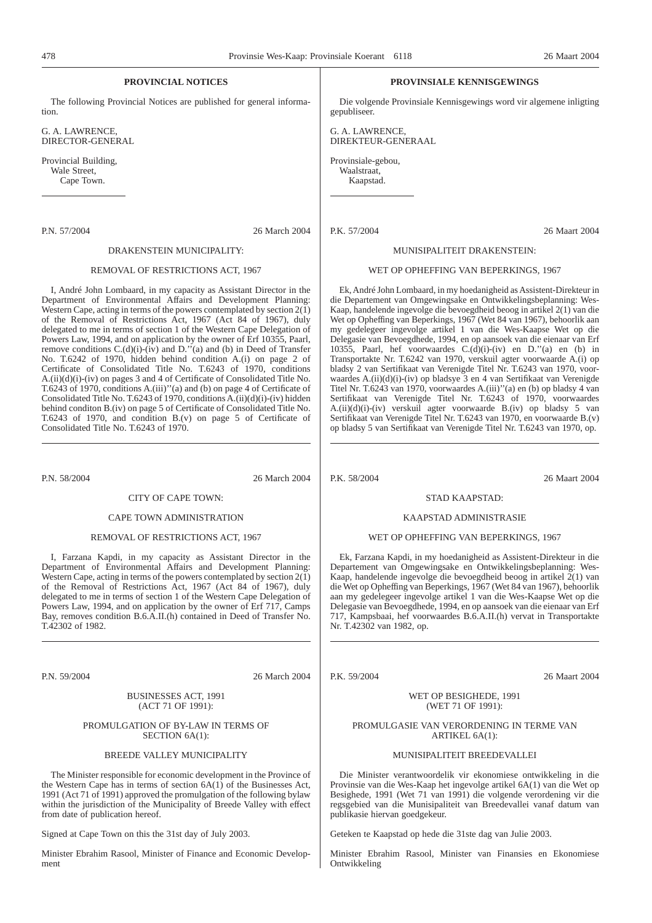#### **PROVINCIAL NOTICES**

The following Provincial Notices are published for general information.

G. A. LAWRENCE, DIRECTOR-GENERAL

Provincial Building, Wale Street, Cape Town.

P.N. 57/2004 26 March 2004

#### DRAKENSTEIN MUNICIPALITY:

#### REMOVAL OF RESTRICTIONS ACT, 1967

I, André John Lombaard, in my capacity as Assistant Director in the Department of Environmental Affairs and Development Planning: Western Cape, acting in terms of the powers contemplated by section  $2(\overline{1})$ of the Removal of Restrictions Act, 1967 (Act 84 of 1967), duly delegated to me in terms of section 1 of the Western Cape Delegation of Powers Law, 1994, and on application by the owner of Erf 10355, Paarl, remove conditions  $C.(d)(i)-(iv)$  and  $D.''(a)$  and (b) in Deed of Transfer No. T.6242 of 1970, hidden behind condition A.(i) on page 2 of Certificate of Consolidated Title No. T.6243 of 1970, conditions A.(ii)(d)(i)-(iv) on pages 3 and 4 of Certificate of Consolidated Title No. T.6243 of 1970, conditions A.(iii)''(a) and (b) on page 4 of Certificate of Consolidated Title No. T.6243 of 1970, conditions A.(ii)(d)(i)-(iv) hidden behind conditon B.(iv) on page 5 of Certificate of Consolidated Title No. T.6243 of 1970, and condition B.(v) on page 5 of Certificate of Consolidated Title No. T.6243 of 1970.

P.N. 58/2004 26 March 2004

CITY OF CAPE TOWN:

#### CAPE TOWN ADMINISTRATION

#### REMOVAL OF RESTRICTIONS ACT, 1967

I, Farzana Kapdi, in my capacity as Assistant Director in the Department of Environmental Affairs and Development Planning: Western Cape, acting in terms of the powers contemplated by section 2(1) of the Removal of Restrictions Act, 1967 (Act 84 of 1967), duly delegated to me in terms of section 1 of the Western Cape Delegation of Powers Law, 1994, and on application by the owner of Erf 717, Camps Bay, removes condition B.6.A.II.(h) contained in Deed of Transfer No. T.42302 of 1982.

P.N. 59/2004 26 March 2004

#### BUSINESSES ACT, 1991 (ACT 71 OF 1991):

#### PROMULGATION OF BY-LAW IN TERMS OF SECTION 6A(1):

#### BREEDE VALLEY MUNICIPALITY

The Minister responsible for economic development in the Province of the Western Cape has in terms of section  $6A(1)$  of the Businesses Act, 1991 (Act 71 of 1991) approved the promulgation of the following bylaw within the jurisdiction of the Municipality of Breede Valley with effect from date of publication hereof.

Signed at Cape Town on this the 31st day of July 2003.

Minister Ebrahim Rasool, Minister of Finance and Economic Development

#### **PROVINSIALE KENNISGEWINGS**

Die volgende Provinsiale Kennisgewings word vir algemene inligting gepubliseer.

G. A. LAWRENCE, DIREKTEUR-GENERAAL

Provinsiale-gebou, Waalstraat,

Kaapstad.

P.K. 57/2004 26 Maart 2004

#### MUNISIPALITEIT DRAKENSTEIN:

#### WET OP OPHEFFING VAN BEPERKINGS, 1967

Ek, André John Lombaard, in my hoedanigheid as Assistent-Direkteur in die Departement van Omgewingsake en Ontwikkelingsbeplanning: Wes-Kaap, handelende ingevolge die bevoegdheid beoog in artikel 2(1) van die Wet op Opheffing van Beperkings, 1967 (Wet 84 van 1967), behoorlik aan my gedelegeer ingevolge artikel 1 van die Wes-Kaapse Wet op die Delegasie van Bevoegdhede, 1994, en op aansoek van die eienaar van Erf 10355, Paarl, hef voorwaardes C.(d)(i)-(iv) en D.''(a) en (b) in Transportakte Nr. T.6242 van 1970, verskuil agter voorwaarde A.(i) op bladsy 2 van Sertifikaat van Verenigde Titel Nr. T.6243 van 1970, voorwaardes A.(ii)(d)(i)-(iv) op bladsye 3 en 4 van Sertifikaat van Verenigde Titel Nr. T.6243 van 1970, voorwaardes A.(iii)''(a) en (b) op bladsy 4 van Sertifikaat van Verenigde Titel Nr. T.6243 of 1970, voorwaardes A.(ii)(d)(i)-(iv) verskuil agter voorwaarde B.(iv) op bladsy 5 van Sertifikaat van Verenigde Titel Nr. T.6243 van 1970, en voorwaarde B.(v) op bladsy 5 van Sertifikaat van Verenigde Titel Nr. T.6243 van 1970, op.

P.K. 58/2004 26 Maart 2004

#### STAD KAAPSTAD:

#### KAAPSTAD ADMINISTRASIE

#### WET OP OPHEFFING VAN BEPERKINGS, 1967

Ek, Farzana Kapdi, in my hoedanigheid as Assistent-Direkteur in die Departement van Omgewingsake en Ontwikkelingsbeplanning: Wes-Kaap, handelende ingevolge die bevoegdheid beoog in artikel 2(1) van die Wet op Opheffing van Beperkings, 1967 (Wet 84 van 1967), behoorlik aan my gedelegeer ingevolge artikel 1 van die Wes-Kaapse Wet op die Delegasie van Bevoegdhede, 1994, en op aansoek van die eienaar van Erf 717, Kampsbaai, hef voorwaardes B.6.A.II.(h) vervat in Transportakte Nr. T.42302 van 1982, op.

P.K. 59/2004 26 Maart 2004

#### WET OP BESIGHEDE, 1991 (WET 71 OF 1991):

#### PROMULGASIE VAN VERORDENING IN TERME VAN ARTIKEL 6A(1):

#### MUNISIPALITEIT BREEDEVALLEI

Die Minister verantwoordelik vir ekonomiese ontwikkeling in die Provinsie van die Wes-Kaap het ingevolge artikel 6A(1) van die Wet op Besighede, 1991 (Wet 71 van 1991) die volgende verordening vir die regsgebied van die Munisipaliteit van Breedevallei vanaf datum van publikasie hiervan goedgekeur.

Geteken te Kaapstad op hede die 31ste dag van Julie 2003.

Minister Ebrahim Rasool, Minister van Finansies en Ekonomiese Ontwikkeling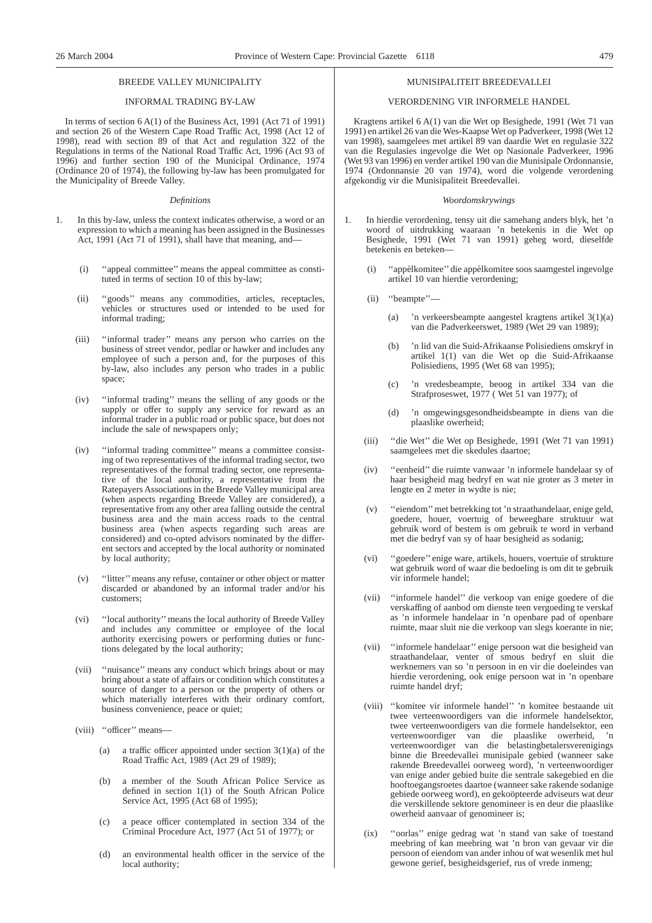#### BREEDE VALLEY MUNICIPALITY

#### INFORMAL TRADING BY-LAW

In terms of section 6 A(1) of the Business Act, 1991 (Act 71 of 1991) and section 26 of the Western Cape Road Traffic Act, 1998 (Act 12 of 1998), read with section 89 of that Act and regulation 322 of the Regulations in terms of the National Road Traffic Act, 1996 (Act 93 of 1996) and further section 190 of the Municipal Ordinance, 1974 (Ordinance 20 of 1974), the following by-law has been promulgated for the Municipality of Breede Valley.

#### *Definitions*

- 1. In this by-law, unless the context indicates otherwise, a word or an expression to which a meaning has been assigned in the Businesses Act, 1991 (Act 71 of 1991), shall have that meaning, and—
	- (i) ''appeal committee'' means the appeal committee as constituted in terms of section 10 of this by-law;
	- (ii) ''goods'' means any commodities, articles, receptacles, vehicles or structures used or intended to be used for informal trading;
	- (iii) ''informal trader'' means any person who carries on the business of street vendor, pedlar or hawker and includes any employee of such a person and, for the purposes of this by-law, also includes any person who trades in a public space;
	- (iv) ''informal trading'' means the selling of any goods or the supply or offer to supply any service for reward as an informal trader in a public road or public space, but does not include the sale of newspapers only;
	- (iv) ''informal trading committee'' means a committee consisting of two representatives of the informal trading sector, two representatives of the formal trading sector, one representative of the local authority, a representative from the Ratepayers Associations in the Breede Valley municipal area (when aspects regarding Breede Valley are considered), a representative from any other area falling outside the central business area and the main access roads to the central business area (when aspects regarding such areas are considered) and co-opted advisors nominated by the different sectors and accepted by the local authority or nominated by local authority;
	- (v) ''litter''means any refuse, container or other object or matter discarded or abandoned by an informal trader and/or his customers;
	- (vi) ''local authority''means the local authority of Breede Valley and includes any committee or employee of the local authority exercising powers or performing duties or functions delegated by the local authority;
	- (vii) ''nuisance'' means any conduct which brings about or may bring about a state of affairs or condition which constitutes a source of danger to a person or the property of others or which materially interferes with their ordinary comfort, business convenience, peace or quiet;
	- (viii) ''officer'' means—
		- (a) a traffic officer appointed under section  $3(1)(a)$  of the Road Traffic Act, 1989 (Act 29 of 1989);
		- (b) a member of the South African Police Service as defined in section 1(1) of the South African Police Service Act, 1995 (Act 68 of 1995);
		- (c) a peace officer contemplated in section 334 of the Criminal Procedure Act, 1977 (Act 51 of 1977); or
		- (d) an environmental health officer in the service of the local authority;

#### MUNISIPALITEIT BREEDEVALLEI

#### VERORDENING VIR INFORMELE HANDEL

Kragtens artikel 6 A(1) van die Wet op Besighede, 1991 (Wet 71 van 1991) en artikel 26 van die Wes-Kaapse Wet op Padverkeer, 1998 (Wet 12 van 1998), saamgelees met artikel 89 van daardie Wet en regulasie 322 van die Regulasies ingevolge die Wet op Nasionale Padverkeer, 1996 (Wet 93 van 1996) en verder artikel 190 van die Munisipale Ordonnansie, 1974 (Ordonnansie 20 van 1974), word die volgende verordening afgekondig vir die Munisipaliteit Breedevallei.

#### *Woordomskrywings*

- 1. In hierdie verordening, tensy uit die samehang anders blyk, het 'n woord of uitdrukking waaraan 'n betekenis in die Wet op Besighede, 1991 (Wet 71 van 1991) geheg word, dieselfde betekenis en beteken—
	- (i) ''appèlkomitee'' die appèlkomitee soos saamgestel ingevolge artikel 10 van hierdie verordening;
	- (ii) ''beampte''—
		- (a) 'n verkeersbeampte aangestel kragtens artikel 3(1)(a) van die Padverkeerswet, 1989 (Wet 29 van 1989);
		- (b) 'n lid van die Suid-Afrikaanse Polisiediens omskryf in artikel 1(1) van die Wet op die Suid-Afrikaanse Polisiediens, 1995 (Wet 68 van 1995);
		- (c) 'n vredesbeampte, beoog in artikel 334 van die Strafproseswet, 1977 ( Wet 51 van 1977); of
		- (d) 'n omgewingsgesondheidsbeampte in diens van die plaaslike owerheid;
	- (iii) ''die Wet'' die Wet op Besighede, 1991 (Wet 71 van 1991) saamgelees met die skedules daartoe;
	- (iv) ''eenheid'' die ruimte vanwaar 'n informele handelaar sy of haar besigheid mag bedryf en wat nie groter as 3 meter in lengte en 2 meter in wydte is nie;
	- (v) ''eiendom''met betrekking tot 'n straathandelaar, enige geld, goedere, houer, voertuig of beweegbare struktuur wat gebruik word of bestem is om gebruik te word in verband met die bedryf van sy of haar besigheid as sodanig;
	- (vi) ''goedere'' enige ware, artikels, houers, voertuie of strukture wat gebruik word of waar die bedoeling is om dit te gebruik vir informele handel;
	- (vii) ''informele handel'' die verkoop van enige goedere of die verskaffing of aanbod om dienste teen vergoeding te verskaf as 'n informele handelaar in 'n openbare pad of openbare ruimte, maar sluit nie die verkoop van slegs koerante in nie;
	- (vii) ''informele handelaar'' enige persoon wat die besigheid van straathandelaar, venter of smous bedryf en sluit die werknemers van so 'n persoon in en vir die doeleindes van hierdie verordening, ook enige persoon wat in 'n openbare ruimte handel dryf;
	- (viii) ''komitee vir informele handel'' 'n komitee bestaande uit twee verteenwoordigers van die informele handelsektor, twee verteenwoordigers van die formele handelsektor, een verteenwoordiger van die plaaslike owerheid, 'n verteenwoordiger van die belastingbetalersverenigings binne die Breedevallei munisipale gebied (wanneer sake rakende Breedevallei oorweeg word), 'n verteenwoordiger van enige ander gebied buite die sentrale sakegebied en die hooftoegangsroetes daartoe (wanneer sake rakende sodanige gebiede oorweeg word), en gekoöpteerde adviseurs wat deur die verskillende sektore genomineer is en deur die plaaslike owerheid aanvaar of genomineer is;
	- (ix) ''oorlas'' enige gedrag wat 'n stand van sake of toestand meebring of kan meebring wat 'n bron van gevaar vir die persoon of eiendom van ander inhou of wat wesenlik met hul gewone gerief, besigheidsgerief, rus of vrede inmeng;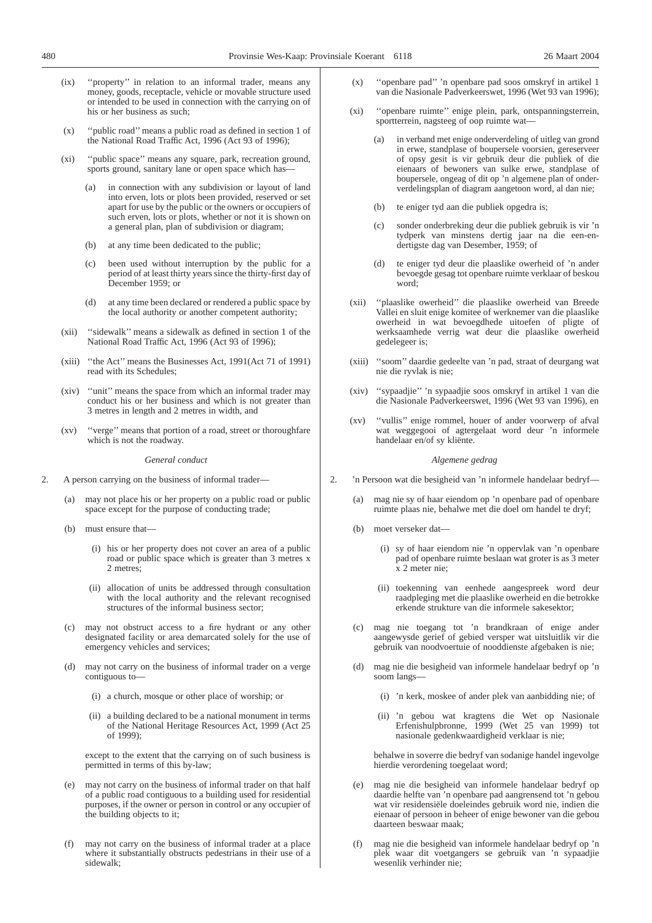- (ix) ''property'' in relation to an informal trader, means any money, goods, receptacle, vehicle or movable structure used or intended to be used in connection with the carrying on of his or her business as such;
- (x) ''public road'' means a public road as defined in section 1 of the National Road Traffic Act, 1996 (Act 93 of 1996);
- (xi) ''public space'' means any square, park, recreation ground, sports ground, sanitary lane or open space which has
	- (a) in connection with any subdivision or layout of land into erven, lots or plots been provided, reserved or set apart for use by the public or the owners or occupiers of such erven, lots or plots, whether or not it is shown on a general plan, plan of subdivision or diagram;
	- (b) at any time been dedicated to the public;
	- (c) been used without interruption by the public for a period of at least thirty years since the thirty-first day of December 1959; or
	- (d) at any time been declared or rendered a public space by the local authority or another competent authority;
- (xii) ''sidewalk'' means a sidewalk as defined in section 1 of the National Road Traffic Act, 1996 (Act 93 of 1996);
- (xiii) ''the Act'' means the Businesses Act, 1991(Act 71 of 1991) read with its Schedules;
- (xiv) ''unit'' means the space from which an informal trader may conduct his or her business and which is not greater than 3 metres in length and 2 metres in width, and
- (xv) ''verge'' means that portion of a road, street or thoroughfare which is not the roadway.

*General conduct*

- 2. A person carrying on the business of informal trader—
	- (a) may not place his or her property on a public road or public space except for the purpose of conducting trade;
	- (b) must ensure that—
		- (i) his or her property does not cover an area of a public road or public space which is greater than 3 metres x 2 metres;
		- (ii) allocation of units be addressed through consultation with the local authority and the relevant recognised structures of the informal business sector;
	- (c) may not obstruct access to a fire hydrant or any other designated facility or area demarcated solely for the use of emergency vehicles and services;
	- (d) may not carry on the business of informal trader on a verge contiguous to—
		- (i) a church, mosque or other place of worship; or
		- (ii) a building declared to be a national monument in terms of the National Heritage Resources Act, 1999 (Act 25 of 1999);

except to the extent that the carrying on of such business is permitted in terms of this by-law;

- (e) may not carry on the business of informal trader on that half of a public road contiguous to a building used for residential purposes, if the owner or person in control or any occupier of the building objects to it;
- (f) may not carry on the business of informal trader at a place where it substantially obstructs pedestrians in their use of a sidewalk;
- (x) ''openbare pad'' 'n openbare pad soos omskryf in artikel 1 van die Nasionale Padverkeerswet, 1996 (Wet 93 van 1996);
- (xi) ''openbare ruimte'' enige plein, park, ontspanningsterrein, sportterrein, nagsteeg of oop ruimte wat—
	- (a) in verband met enige onderverdeling of uitleg van grond in erwe, standplase of boupersele voorsien, gereserveer of opsy gesit is vir gebruik deur die publiek of die eienaars of bewoners van sulke erwe, standplase of boupersele, ongeag of dit op 'n algemene plan of onderverdelingsplan of diagram aangetoon word, al dan nie;
	- (b) te eniger tyd aan die publiek opgedra is;
	- (c) sonder onderbreking deur die publiek gebruik is vir 'n tydperk van minstens dertig jaar na die een-endertigste dag van Desember, 1959; of
	- (d) te eniger tyd deur die plaaslike owerheid of 'n ander bevoegde gesag tot openbare ruimte verklaar of beskou word;
- (xii) ''plaaslike owerheid'' die plaaslike owerheid van Breede Vallei en sluit enige komitee of werknemer van die plaaslike owerheid in wat bevoegdhede uitoefen of pligte of werksaamhede verrig wat deur die plaaslike owerheid gedelegeer is;
- (xiii) ''soom'' daardie gedeelte van 'n pad, straat of deurgang wat nie die ryvlak is nie;
- (xiv) ''sypaadjie'' 'n sypaadjie soos omskryf in artikel 1 van die die Nasionale Padverkeerswet, 1996 (Wet 93 van 1996), en
- (xv) ''vullis'' enige rommel, houer of ander voorwerp of afval wat weggegooi of agtergelaat word deur 'n informele handelaar en/of sy kliënte.

#### *Algemene gedrag*

- 2. 'n Persoon wat die besigheid van 'n informele handelaar bedryf—
	- (a) mag nie sy of haar eiendom op 'n openbare pad of openbare ruimte plaas nie, behalwe met die doel om handel te dryf;
	- (b) moet verseker dat—
		- (i) sy of haar eiendom nie 'n oppervlak van 'n openbare pad of openbare ruimte beslaan wat groter is as 3 meter x 2 meter nie;
		- (ii) toekenning van eenhede aangespreek word deur raadpleging met die plaaslike owerheid en die betrokke erkende strukture van die informele sakesektor;
	- (c) mag nie toegang tot 'n brandkraan of enige ander aangewysde gerief of gebied versper wat uitsluitlik vir die gebruik van noodvoertuie of nooddienste afgebaken is nie;
	- (d) mag nie die besigheid van informele handelaar bedryf op 'n soom langs—
		- (i) 'n kerk, moskee of ander plek van aanbidding nie; of
		- (ii) 'n gebou wat kragtens die Wet op Nasionale Erfenishulpbronne, 1999 (Wet 25 van 1999) tot nasionale gedenkwaardigheid verklaar is nie;

behalwe in soverre die bedryf van sodanige handel ingevolge hierdie verordening toegelaat word;

- (e) mag nie die besigheid van informele handelaar bedryf op daardie helfte van 'n openbare pad aangrensend tot 'n gebou wat vir residensiële doeleindes gebruik word nie, indien die eienaar of persoon in beheer of enige bewoner van die gebou daarteen beswaar maak;
- (f) mag nie die besigheid van informele handelaar bedryf op 'n plek waar dit voetgangers se gebruik van 'n sypaadjie wesenlik verhinder nie;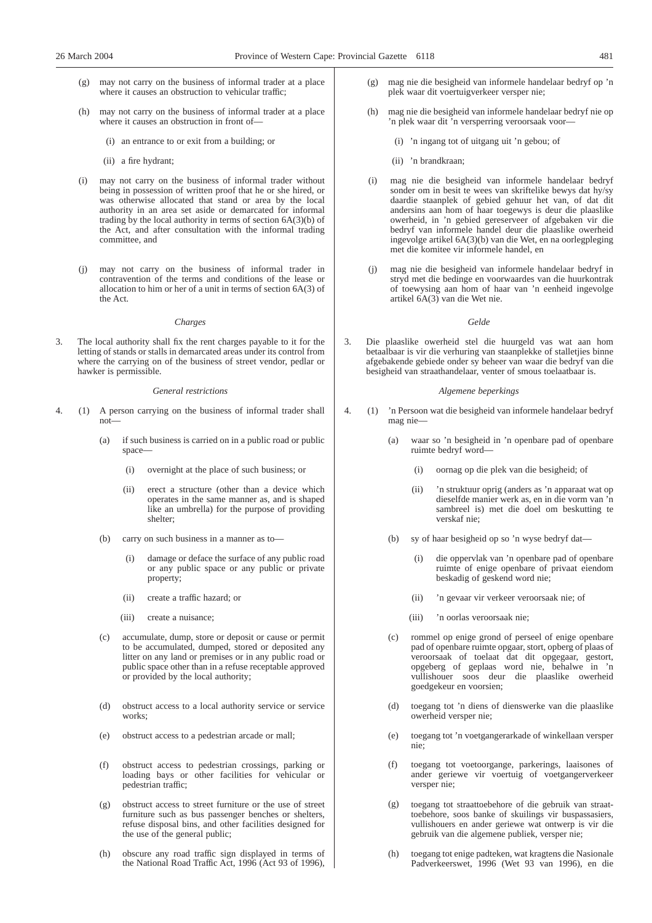- (g) may not carry on the business of informal trader at a place where it causes an obstruction to vehicular traffic;
- (h) may not carry on the business of informal trader at a place where it causes an obstruction in front of—
	- (i) an entrance to or exit from a building; or
	- (ii) a fire hydrant;
- (i) may not carry on the business of informal trader without being in possession of written proof that he or she hired, or was otherwise allocated that stand or area by the local authority in an area set aside or demarcated for informal trading by the local authority in terms of section 6A(3)(b) of the Act, and after consultation with the informal trading committee, and
- (j) may not carry on the business of informal trader in contravention of the terms and conditions of the lease or allocation to him or her of a unit in terms of section 6A(3) of the Act.

#### *Charges*

3. The local authority shall fix the rent charges payable to it for the letting of stands or stalls in demarcated areas under its control from where the carrying on of the business of street vendor, pedlar or hawker is permissible.

#### *General restrictions*

- 4. (1) A person carrying on the business of informal trader shall not—
	- (a) if such business is carried on in a public road or public space—
		- (i) overnight at the place of such business; or
		- (ii) erect a structure (other than a device which operates in the same manner as, and is shaped like an umbrella) for the purpose of providing shelter;
	- (b) carry on such business in a manner as to—
		- (i) damage or deface the surface of any public road or any public space or any public or private property;
		- (ii) create a traffic hazard; or
		- (iii) create a nuisance;
	- (c) accumulate, dump, store or deposit or cause or permit to be accumulated, dumped, stored or deposited any litter on any land or premises or in any public road or public space other than in a refuse receptable approved or provided by the local authority;
	- (d) obstruct access to a local authority service or service works;
	- (e) obstruct access to a pedestrian arcade or mall;
	- (f) obstruct access to pedestrian crossings, parking or loading bays or other facilities for vehicular or pedestrian traffic;
	- (g) obstruct access to street furniture or the use of street furniture such as bus passenger benches or shelters, refuse disposal bins, and other facilities designed for the use of the general public;
	- (h) obscure any road traffic sign displayed in terms of the National Road Traffic Act, 1996 (Act 93 of 1996),
- (g) mag nie die besigheid van informele handelaar bedryf op 'n plek waar dit voertuigverkeer versper nie;
- (h) mag nie die besigheid van informele handelaar bedryf nie op 'n plek waar dit 'n versperring veroorsaak voor—
	- (i) 'n ingang tot of uitgang uit 'n gebou; of
	- (ii) 'n brandkraan;
- (i) mag nie die besigheid van informele handelaar bedryf sonder om in besit te wees van skriftelike bewys dat hy/sy daardie staanplek of gebied gehuur het van, of dat dit andersins aan hom of haar toegewys is deur die plaaslike owerheid, in 'n gebied gereserveer of afgebaken vir die bedryf van informele handel deur die plaaslike owerheid ingevolge artikel 6A(3)(b) van die Wet, en na oorlegpleging met die komitee vir informele handel, en
- (j) mag nie die besigheid van informele handelaar bedryf in stryd met die bedinge en voorwaardes van die huurkontrak of toewysing aan hom of haar van 'n eenheid ingevolge artikel 6A(3) van die Wet nie.

#### *Gelde*

3. Die plaaslike owerheid stel die huurgeld vas wat aan hom betaalbaar is vir die verhuring van staanplekke of stalletjies binne afgebakende gebiede onder sy beheer van waar die bedryf van die besigheid van straathandelaar, venter of smous toelaatbaar is.

#### *Algemene beperkings*

- 4. (1) 'n Persoon wat die besigheid van informele handelaar bedryf mag nie—
	- (a) waar so 'n besigheid in 'n openbare pad of openbare ruimte bedryf word—
		- (i) oornag op die plek van die besigheid; of
		- (ii) 'n struktuur oprig (anders as 'n apparaat wat op dieselfde manier werk as, en in die vorm van 'n sambreel is) met die doel om beskutting te verskaf nie;
	- (b) sy of haar besigheid op so 'n wyse bedryf dat—
		- (i) die oppervlak van 'n openbare pad of openbare ruimte of enige openbare of privaat eiendom beskadig of geskend word nie;
		- (ii) 'n gevaar vir verkeer veroorsaak nie; of
		- (iii) 'n oorlas veroorsaak nie;
	- (c) rommel op enige grond of perseel of enige openbare pad of openbare ruimte opgaar, stort, opberg of plaas of veroorsaak of toelaat dat dit opgegaar, gestort, opgeberg of geplaas word nie, behalwe in 'n vullishouer soos deur die plaaslike owerheid goedgekeur en voorsien;
	- (d) toegang tot 'n diens of dienswerke van die plaaslike owerheid versper nie;
	- (e) toegang tot 'n voetgangerarkade of winkellaan versper nie;
	- (f) toegang tot voetoorgange, parkerings, laaisones of ander geriewe vir voertuig of voetgangerverkeer versper nie;
	- (g) toegang tot straattoebehore of die gebruik van straattoebehore, soos banke of skuilings vir buspassasiers, vullishouers en ander geriewe wat ontwerp is vir die gebruik van die algemene publiek, versper nie;
	- (h) toegang tot enige padteken, wat kragtens die Nasionale Padverkeerswet, 1996 (Wet 93 van 1996), en die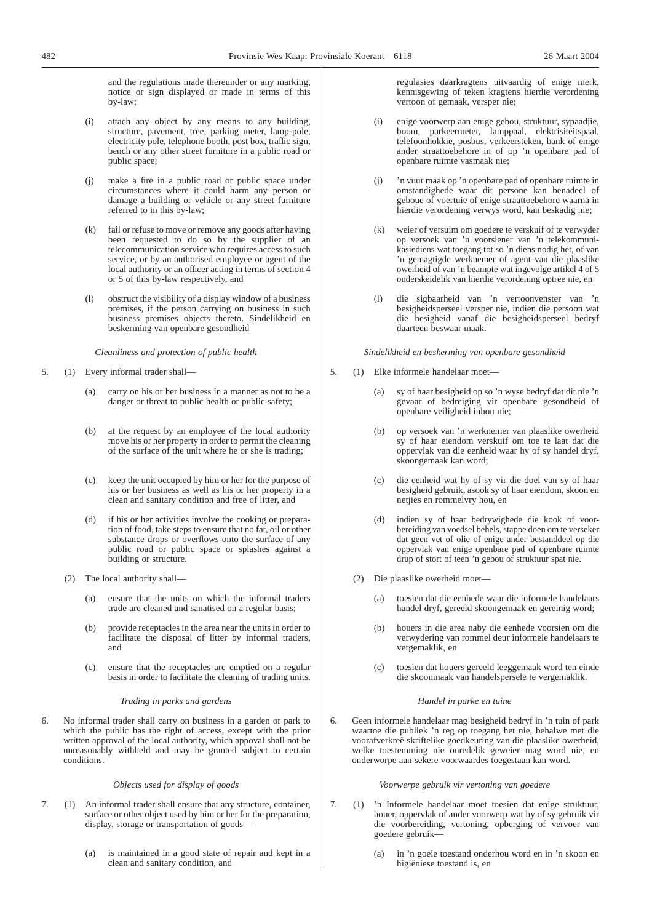and the regulations made thereunder or any marking, notice or sign displayed or made in terms of this by-law;

- (i) attach any object by any means to any building, structure, pavement, tree, parking meter, lamp-pole, electricity pole, telephone booth, post box, traffic sign, bench or any other street furniture in a public road or public space;
- make a fire in a public road or public space under circumstances where it could harm any person or damage a building or vehicle or any street furniture referred to in this by-law;
- (k) fail or refuse to move or remove any goods after having been requested to do so by the supplier of an telecommunication service who requires access to such service, or by an authorised employee or agent of the local authority or an officer acting in terms of section 4 or 5 of this by-law respectively, and
- (l) obstruct the visibility of a display window of a business premises, if the person carrying on business in such business premises objects thereto. Sindelikheid en beskerming van openbare gesondheid

*Cleanliness and protection of public health*

- 5. (1) Every informal trader shall—
	- (a) carry on his or her business in a manner as not to be a danger or threat to public health or public safety;
	- (b) at the request by an employee of the local authority move his or her property in order to permit the cleaning of the surface of the unit where he or she is trading;
	- (c) keep the unit occupied by him or her for the purpose of his or her business as well as his or her property in a clean and sanitary condition and free of litter, and
	- (d) if his or her activities involve the cooking or preparation of food, take steps to ensure that no fat, oil or other substance drops or overflows onto the surface of any public road or public space or splashes against a building or structure.
	- (2) The local authority shall—
		- (a) ensure that the units on which the informal traders trade are cleaned and sanatised on a regular basis;
		- (b) provide receptacles in the area near the units in order to facilitate the disposal of litter by informal traders, and
		- (c) ensure that the receptacles are emptied on a regular basis in order to facilitate the cleaning of trading units.

#### *Trading in parks and gardens*

6. No informal trader shall carry on business in a garden or park to which the public has the right of access, except with the prior written approval of the local authority, which appoval shall not be unreasonably withheld and may be granted subject to certain conditions.

#### *Objects used for display of goods*

- 7. (1) An informal trader shall ensure that any structure, container, surface or other object used by him or her for the preparation, display, storage or transportation of goods—
	- (a) is maintained in a good state of repair and kept in a clean and sanitary condition, and

regulasies daarkragtens uitvaardig of enige merk, kennisgewing of teken kragtens hierdie verordening vertoon of gemaak, versper nie;

- (i) enige voorwerp aan enige gebou, struktuur, sypaadjie, boom, parkeermeter, lamppaal, elektrisiteitspaal, telefoonhokkie, posbus, verkeersteken, bank of enige ander straattoebehore in of op 'n openbare pad of openbare ruimte vasmaak nie;
- (j) 'n vuur maak op 'n openbare pad of openbare ruimte in omstandighede waar dit persone kan benadeel of geboue of voertuie of enige straattoebehore waarna in hierdie verordening verwys word, kan beskadig nie;
- (k) weier of versuim om goedere te verskuif of te verwyder op versoek van 'n voorsiener van 'n telekommunikasiediens wat toegang tot so 'n diens nodig het, of van 'n gemagtigde werknemer of agent van die plaaslike owerheid of van 'n beampte wat ingevolge artikel 4 of 5 onderskeidelik van hierdie verordening optree nie, en
- (l) die sigbaarheid van 'n vertoonvenster van 'n besigheidsperseel versper nie, indien die persoon wat die besigheid vanaf die besigheidsperseel bedryf daarteen beswaar maak.

*Sindelikheid en beskerming van openbare gesondheid*

- 5. (1) Elke informele handelaar moet—
	- (a) sy of haar besigheid op so 'n wyse bedryf dat dit nie 'n gevaar of bedreiging vir openbare gesondheid of openbare veiligheid inhou nie;
	- (b) op versoek van 'n werknemer van plaaslike owerheid sy of haar eiendom verskuif om toe te laat dat die oppervlak van die eenheid waar hy of sy handel dryf, skoongemaak kan word;
	- (c) die eenheid wat hy of sy vir die doel van sy of haar besigheid gebruik, asook sy of haar eiendom, skoon en netjies en rommelvry hou, en
	- (d) indien sy of haar bedrywighede die kook of voorbereiding van voedsel behels, stappe doen om te verseker dat geen vet of olie of enige ander bestanddeel op die oppervlak van enige openbare pad of openbare ruimte drup of stort of teen 'n gebou of struktuur spat nie.
	- (2) Die plaaslike owerheid moet—
		- (a) toesien dat die eenhede waar die informele handelaars handel dryf, gereeld skoongemaak en gereinig word;
		- (b) houers in die area naby die eenhede voorsien om die verwydering van rommel deur informele handelaars te vergemaklik, en
		- (c) toesien dat houers gereeld leeggemaak word ten einde die skoonmaak van handelspersele te vergemaklik.

#### *Handel in parke en tuine*

6. Geen informele handelaar mag besigheid bedryf in 'n tuin of park waartoe die publiek 'n reg op toegang het nie, behalwe met die voorafverkreë skriftelike goedkeuring van die plaaslike owerheid, welke toestemming nie onredelik geweier mag word nie, en onderworpe aan sekere voorwaardes toegestaan kan word.

#### *Voorwerpe gebruik vir vertoning van goedere*

- 7. (1) 'n Informele handelaar moet toesien dat enige struktuur, houer, oppervlak of ander voorwerp wat hy of sy gebruik vir die voorbereiding, vertoning, opberging of vervoer van goedere gebruik—
	- (a) in 'n goeie toestand onderhou word en in 'n skoon en higiëniese toestand is, en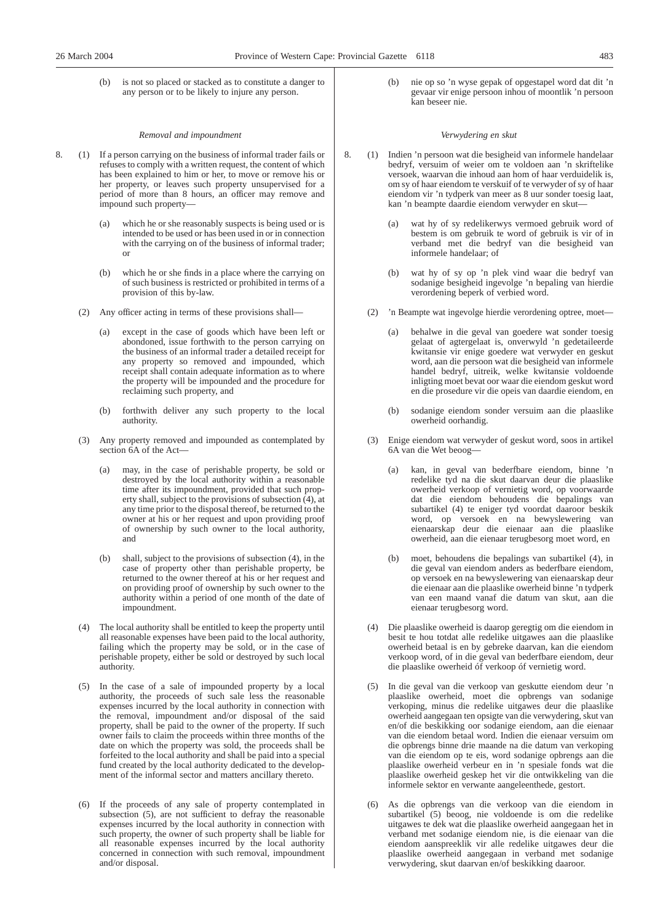(b) is not so placed or stacked as to constitute a danger to any person or to be likely to injure any person.

#### *Removal and impoundment*

- 8. (1) If a person carrying on the business of informal trader fails or refuses to comply with a written request, the content of which has been explained to him or her, to move or remove his or her property, or leaves such property unsupervised for a period of more than 8 hours, an officer may remove and impound such property—
	- (a) which he or she reasonably suspects is being used or is intended to be used or has been used in or in connection with the carrying on of the business of informal trader; or
	- (b) which he or she finds in a place where the carrying on of such business is restricted or prohibited in terms of a provision of this by-law.
	- (2) Any officer acting in terms of these provisions shall—
		- (a) except in the case of goods which have been left or abondoned, issue forthwith to the person carrying on the business of an informal trader a detailed receipt for any property so removed and impounded, which receipt shall contain adequate information as to where the property will be impounded and the procedure for reclaiming such property, and
		- (b) forthwith deliver any such property to the local authority.
	- (3) Any property removed and impounded as contemplated by section 6A of the Act-
		- (a) may, in the case of perishable property, be sold or destroyed by the local authority within a reasonable time after its impoundment, provided that such property shall, subject to the provisions of subsection (4), at any time prior to the disposal thereof, be returned to the owner at his or her request and upon providing proof of ownership by such owner to the local authority, and
		- (b) shall, subject to the provisions of subsection (4), in the case of property other than perishable property, be returned to the owner thereof at his or her request and on providing proof of ownership by such owner to the authority within a period of one month of the date of impoundment.
	- (4) The local authority shall be entitled to keep the property until all reasonable expenses have been paid to the local authority, failing which the property may be sold, or in the case of perishable propety, either be sold or destroyed by such local authority.
	- (5) In the case of a sale of impounded property by a local authority, the proceeds of such sale less the reasonable expenses incurred by the local authority in connection with the removal, impoundment and/or disposal of the said property, shall be paid to the owner of the property. If such owner fails to claim the proceeds within three months of the date on which the property was sold, the proceeds shall be forfeited to the local authority and shall be paid into a special fund created by the local authority dedicated to the development of the informal sector and matters ancillary thereto.
	- (6) If the proceeds of any sale of property contemplated in subsection (5), are not sufficient to defray the reasonable expenses incurred by the local authority in connection with such property, the owner of such property shall be liable for all reasonable expenses incurred by the local authority concerned in connection with such removal, impoundment and/or disposal.

(b) nie op so 'n wyse gepak of opgestapel word dat dit 'n gevaar vir enige persoon inhou of moontlik 'n persoon kan beseer nie.

#### *Verwydering en skut*

- 8. (1) Indien 'n persoon wat die besigheid van informele handelaar bedryf, versuim of weier om te voldoen aan 'n skriftelike versoek, waarvan die inhoud aan hom of haar verduidelik is, om sy of haar eiendom te verskuif of te verwyder of sy of haar eiendom vir 'n tydperk van meer as 8 uur sonder toesig laat, kan 'n beampte daardie eiendom verwyder en skut
	- wat hy of sy redelikerwys vermoed gebruik word of bestem is om gebruik te word of gebruik is vir of in verband met die bedryf van die besigheid van informele handelaar; of
	- (b) wat hy of sy op 'n plek vind waar die bedryf van sodanige besigheid ingevolge 'n bepaling van hierdie verordening beperk of verbied word.
	- (2) 'n Beampte wat ingevolge hierdie verordening optree, moet
		- behalwe in die geval van goedere wat sonder toesig gelaat of agtergelaat is, onverwyld 'n gedetaileerde kwitansie vir enige goedere wat verwyder en geskut word, aan die persoon wat die besigheid van informele handel bedryf, uitreik, welke kwitansie voldoende inligting moet bevat oor waar die eiendom geskut word en die prosedure vir die opeis van daardie eiendom, en
		- (b) sodanige eiendom sonder versuim aan die plaaslike owerheid oorhandig.
	- (3) Enige eiendom wat verwyder of geskut word, soos in artikel 6A van die Wet beoog—
		- (a) kan, in geval van bederfbare eiendom, binne 'n redelike tyd na die skut daarvan deur die plaaslike owerheid verkoop of vernietig word, op voorwaarde dat die eiendom behoudens die bepalings van subartikel (4) te eniger tyd voordat daaroor beskik word, op versoek en na bewyslewering van eienaarskap deur die eienaar aan die plaaslike owerheid, aan die eienaar terugbesorg moet word, en
		- (b) moet, behoudens die bepalings van subartikel (4), in die geval van eiendom anders as bederfbare eiendom, op versoek en na bewyslewering van eienaarskap deur die eienaar aan die plaaslike owerheid binne 'n tydperk van een maand vanaf die datum van skut, aan die eienaar terugbesorg word.
	- (4) Die plaaslike owerheid is daarop geregtig om die eiendom in besit te hou totdat alle redelike uitgawes aan die plaaslike owerheid betaal is en by gebreke daarvan, kan die eiendom verkoop word, of in die geval van bederfbare eiendom, deur die plaaslike owerheid óf verkoop óf vernietig word.
	- (5) In die geval van die verkoop van geskutte eiendom deur 'n plaaslike owerheid, moet die opbrengs van sodanige verkoping, minus die redelike uitgawes deur die plaaslike owerheid aangegaan ten opsigte van die verwydering, skut van en/of die beskikking oor sodanige eiendom, aan die eienaar van die eiendom betaal word. Indien die eienaar versuim om die opbrengs binne drie maande na die datum van verkoping van die eiendom op te eis, word sodanige opbrengs aan die plaaslike owerheid verbeur en in 'n spesiale fonds wat die plaaslike owerheid geskep het vir die ontwikkeling van die informele sektor en verwante aangeleenthede, gestort.
	- (6) As die opbrengs van die verkoop van die eiendom in subartikel (5) beoog, nie voldoende is om die redelike uitgawes te dek wat die plaaslike owerheid aangegaan het in verband met sodanige eiendom nie, is die eienaar van die eiendom aanspreeklik vir alle redelike uitgawes deur die plaaslike owerheid aangegaan in verband met sodanige verwydering, skut daarvan en/of beskikking daaroor.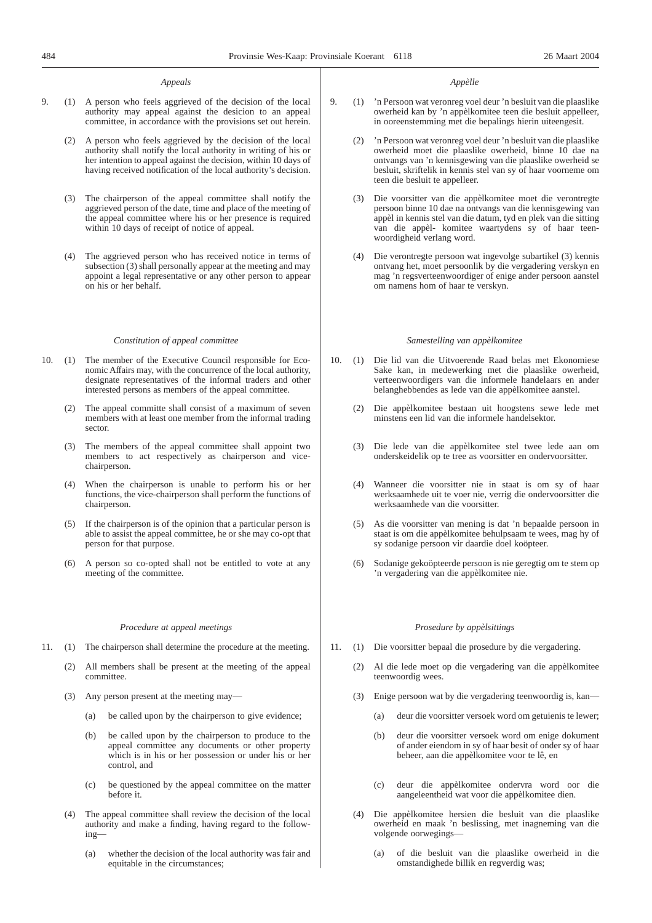#### *Appeals*

- 9. (1) A person who feels aggrieved of the decision of the local authority may appeal against the desicion to an appeal committee, in accordance with the provisions set out herein.
	- (2) A person who feels aggrieved by the decision of the local authority shall notify the local authority in writing of his or her intention to appeal against the decision, within 10 days of having received notification of the local authority's decision.
	- (3) The chairperson of the appeal committee shall notify the aggrieved person of the date, time and place of the meeting of the appeal committee where his or her presence is required within 10 days of receipt of notice of appeal.
	- (4) The aggrieved person who has received notice in terms of subsection (3) shall personally appear at the meeting and may appoint a legal representative or any other person to appear on his or her behalf.

#### *Constitution of appeal committee*

- 10. (1) The member of the Executive Council responsible for Economic Affairs may, with the concurrence of the local authority, designate representatives of the informal traders and other interested persons as members of the appeal committee.
	- (2) The appeal committe shall consist of a maximum of seven members with at least one member from the informal trading sector.
	- (3) The members of the appeal committee shall appoint two members to act respectively as chairperson and vicechairperson.
	- (4) When the chairperson is unable to perform his or her functions, the vice-chairperson shall perform the functions of chairperson.
	- (5) If the chairperson is of the opinion that a particular person is able to assist the appeal committee, he or she may co-opt that person for that purpose.
	- (6) A person so co-opted shall not be entitled to vote at any meeting of the committee.

#### *Procedure at appeal meetings*

- 11. (1) The chairperson shall determine the procedure at the meeting.
	- (2) All members shall be present at the meeting of the appeal committee.
	- (3) Any person present at the meeting may—
		- (a) be called upon by the chairperson to give evidence;
		- (b) be called upon by the chairperson to produce to the appeal committee any documents or other property which is in his or her possession or under his or her control, and
		- (c) be questioned by the appeal committee on the matter before it.
	- (4) The appeal committee shall review the decision of the local authority and make a finding, having regard to the following—
		- (a) whether the decision of the local authority was fair and equitable in the circumstances;

#### *Appèlle*

- 9. (1) 'n Persoon wat veronreg voel deur 'n besluit van die plaaslike owerheid kan by 'n appèlkomitee teen die besluit appelleer, in ooreenstemming met die bepalings hierin uiteengesit.
	- (2) 'n Persoon wat veronreg voel deur 'n besluit van die plaaslike owerheid moet die plaaslike owerheid, binne 10 dae na ontvangs van 'n kennisgewing van die plaaslike owerheid se besluit, skriftelik in kennis stel van sy of haar voorneme om teen die besluit te appelleer.
	- (3) Die voorsitter van die appèlkomitee moet die verontregte persoon binne 10 dae na ontvangs van die kennisgewing van appèl in kennis stel van die datum, tyd en plek van die sitting van die appèl- komitee waartydens sy of haar teenwoordigheid verlang word.
	- (4) Die verontregte persoon wat ingevolge subartikel (3) kennis ontvang het, moet persoonlik by die vergadering verskyn en mag 'n regsverteenwoordiger of enige ander persoon aanstel om namens hom of haar te verskyn.

#### *Samestelling van appèlkomitee*

- 10. (1) Die lid van die Uitvoerende Raad belas met Ekonomiese Sake kan, in medewerking met die plaaslike owerheid, verteenwoordigers van die informele handelaars en ander belanghebbendes as lede van die appèlkomitee aanstel.
	- (2) Die appèlkomitee bestaan uit hoogstens sewe lede met minstens een lid van die informele handelsektor.
	- (3) Die lede van die appèlkomitee stel twee lede aan om onderskeidelik op te tree as voorsitter en ondervoorsitter.
	- (4) Wanneer die voorsitter nie in staat is om sy of haar werksaamhede uit te voer nie, verrig die ondervoorsitter die werksaamhede van die voorsitter.
	- (5) As die voorsitter van mening is dat 'n bepaalde persoon in staat is om die appèlkomitee behulpsaam te wees, mag hy of sy sodanige persoon vir daardie doel koöpteer.
	- (6) Sodanige gekoöpteerde persoon is nie geregtig om te stem op 'n vergadering van die appèlkomitee nie.

#### *Prosedure by appèlsittings*

- 11. (1) Die voorsitter bepaal die prosedure by die vergadering.
	- (2) Al die lede moet op die vergadering van die appèlkomitee teenwoordig wees.
	- (3) Enige persoon wat by die vergadering teenwoordig is, kan—
		- (a) deur die voorsitter versoek word om getuienis te lewer;
		- (b) deur die voorsitter versoek word om enige dokument of ander eiendom in sy of haar besit of onder sy of haar beheer, aan die appèlkomitee voor te lê, en
		- (c) deur die appèlkomitee ondervra word oor die aangeleentheid wat voor die appèlkomitee dien.
	- (4) Die appèlkomitee hersien die besluit van die plaaslike owerheid en maak 'n beslissing, met inagneming van die volgende oorwegings—
		- (a) of die besluit van die plaaslike owerheid in die omstandighede billik en regverdig was;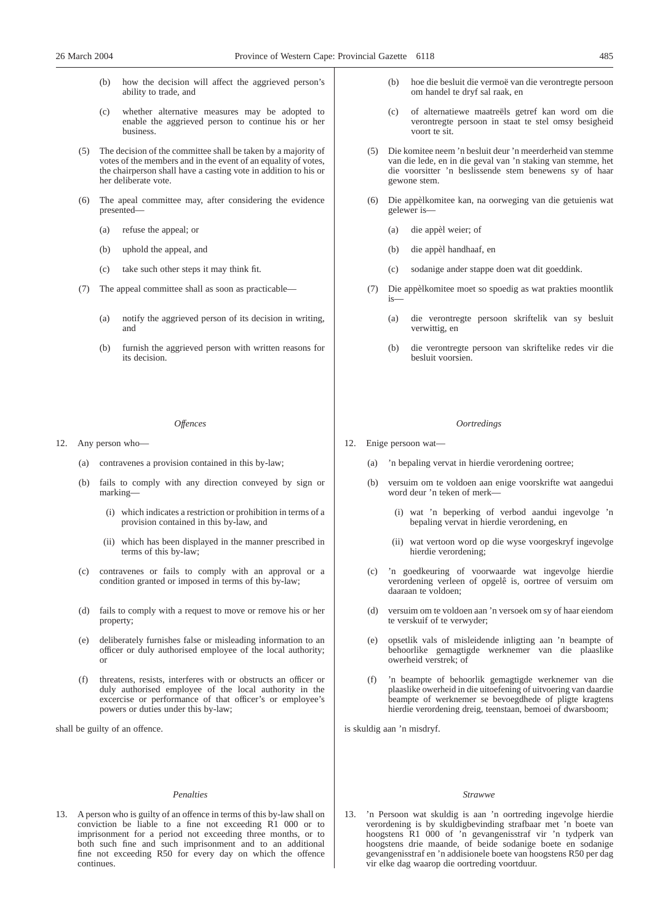- (b) how the decision will affect the aggrieved person's ability to trade, and
- (c) whether alternative measures may be adopted to enable the aggrieved person to continue his or her business.
- (5) The decision of the committee shall be taken by a majority of votes of the members and in the event of an equality of votes, the chairperson shall have a casting vote in addition to his or her deliberate vote.
- (6) The apeal committee may, after considering the evidence presented—
	- (a) refuse the appeal; or
	- (b) uphold the appeal, and
	- (c) take such other steps it may think fit.
- (7) The appeal committee shall as soon as practicable—
	- (a) notify the aggrieved person of its decision in writing, and
	- (b) furnish the aggrieved person with written reasons for its decision.

#### *Offences*

- 12. Any person who—
	- (a) contravenes a provision contained in this by-law;
	- (b) fails to comply with any direction conveyed by sign or marking—
		- (i) which indicates a restriction or prohibition in terms of a provision contained in this by-law, and
		- (ii) which has been displayed in the manner prescribed in terms of this by-law;
	- (c) contravenes or fails to comply with an approval or a condition granted or imposed in terms of this by-law;
	- (d) fails to comply with a request to move or remove his or her property;
	- (e) deliberately furnishes false or misleading information to an officer or duly authorised employee of the local authority; or
	- (f) threatens, resists, interferes with or obstructs an officer or duly authorised employee of the local authority in the excercise or performance of that officer's or employee's powers or duties under this by-law;

shall be guilty of an offence.

#### *Penalties*

13. A person who is guilty of an offence in terms of this by-law shall on conviction be liable to a fine not exceeding R1 000 or to imprisonment for a period not exceeding three months, or to both such fine and such imprisonment and to an additional fine not exceeding R50 for every day on which the offence continues.

- (b) hoe die besluit die vermoë van die verontregte persoon om handel te dryf sal raak, en
- (c) of alternatiewe maatreëls getref kan word om die verontregte persoon in staat te stel omsy besigheid voort te sit.
- (5) Die komitee neem 'n besluit deur 'n meerderheid van stemme van die lede, en in die geval van 'n staking van stemme, het die voorsitter 'n beslissende stem benewens sy of haar gewone stem.
- (6) Die appèlkomitee kan, na oorweging van die getuienis wat gelewer is—
	- (a) die appèl weier; of
	- (b) die appèl handhaaf, en
	- (c) sodanige ander stappe doen wat dit goeddink.
- (7) Die appèlkomitee moet so spoedig as wat prakties moontlik is—
	- (a) die verontregte persoon skriftelik van sy besluit verwittig, en
	- (b) die verontregte persoon van skriftelike redes vir die besluit voorsien.

#### *Oortredings*

- 12. Enige persoon wat—
	- (a) 'n bepaling vervat in hierdie verordening oortree;
	- (b) versuim om te voldoen aan enige voorskrifte wat aangedui word deur 'n teken of merk—
		- (i) wat 'n beperking of verbod aandui ingevolge 'n bepaling vervat in hierdie verordening, en
		- (ii) wat vertoon word op die wyse voorgeskryf ingevolge hierdie verordening;
	- (c) 'n goedkeuring of voorwaarde wat ingevolge hierdie verordening verleen of opgelê is, oortree of versuim om daaraan te voldoen;
	- (d) versuim om te voldoen aan 'n versoek om sy of haar eiendom te verskuif of te verwyder;
	- (e) opsetlik vals of misleidende inligting aan 'n beampte of behoorlike gemagtigde werknemer van die plaaslike owerheid verstrek; of
	- (f) 'n beampte of behoorlik gemagtigde werknemer van die plaaslike owerheid in die uitoefening of uitvoering van daardie beampte of werknemer se bevoegdhede of pligte kragtens hierdie verordening dreig, teenstaan, bemoei of dwarsboom;

is skuldig aan 'n misdryf.

#### *Strawwe*

13. 'n Persoon wat skuldig is aan 'n oortreding ingevolge hierdie verordening is by skuldigbevinding strafbaar met 'n boete van hoogstens R1 000 of 'n gevangenisstraf vir 'n tydperk van hoogstens drie maande, of beide sodanige boete en sodanige gevangenisstraf en 'n addisionele boete van hoogstens R50 per dag vir elke dag waarop die oortreding voortduur.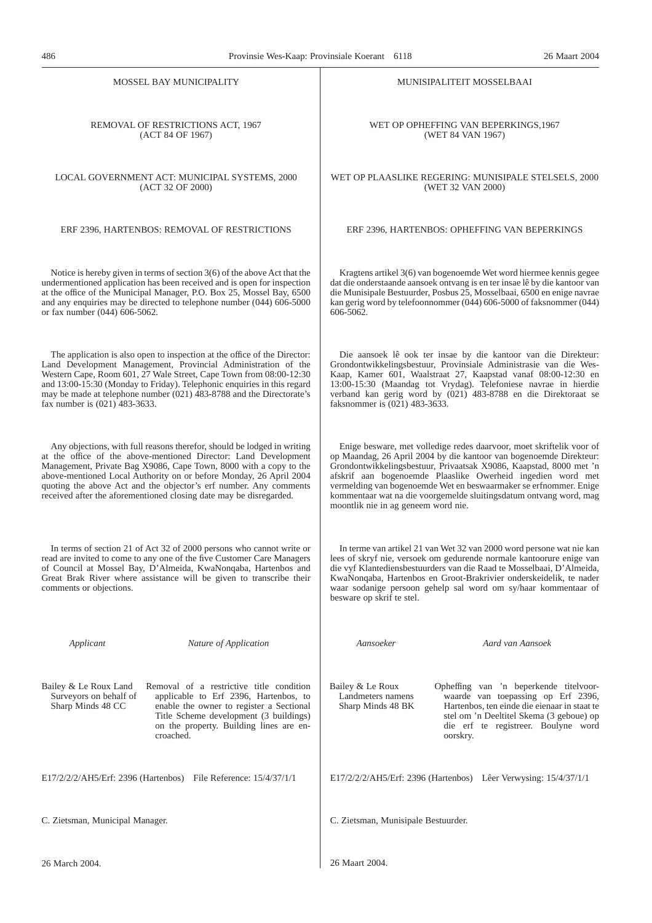| <b>MOSSEL BAY MUNICIPALITY</b>                                                                                                                                                                                                                                                                                                                                                                                                   | MUNISIPALITEIT MOSSELBAAI                                                                                                                                                                                                                                                                                                                                                                                                                                         |
|----------------------------------------------------------------------------------------------------------------------------------------------------------------------------------------------------------------------------------------------------------------------------------------------------------------------------------------------------------------------------------------------------------------------------------|-------------------------------------------------------------------------------------------------------------------------------------------------------------------------------------------------------------------------------------------------------------------------------------------------------------------------------------------------------------------------------------------------------------------------------------------------------------------|
| REMOVAL OF RESTRICTIONS ACT, 1967                                                                                                                                                                                                                                                                                                                                                                                                | WET OP OPHEFFING VAN BEPERKINGS, 1967                                                                                                                                                                                                                                                                                                                                                                                                                             |
| (ACT 84 OF 1967)                                                                                                                                                                                                                                                                                                                                                                                                                 | (WET 84 VAN 1967)                                                                                                                                                                                                                                                                                                                                                                                                                                                 |
| LOCAL GOVERNMENT ACT: MUNICIPAL SYSTEMS, 2000<br>(ACT 32 OF 2000)                                                                                                                                                                                                                                                                                                                                                                | WET OP PLAASLIKE REGERING: MUNISIPALE STELSELS, 2000<br>(WET 32 VAN 2000)                                                                                                                                                                                                                                                                                                                                                                                         |
| ERF 2396, HARTENBOS: REMOVAL OF RESTRICTIONS                                                                                                                                                                                                                                                                                                                                                                                     | ERF 2396, HARTENBOS: OPHEFFING VAN BEPERKINGS                                                                                                                                                                                                                                                                                                                                                                                                                     |
| Notice is hereby given in terms of section $3(6)$ of the above Act that the<br>undermentioned application has been received and is open for inspection<br>at the office of the Municipal Manager, P.O. Box 25, Mossel Bay, 6500<br>and any enquiries may be directed to telephone number (044) 606-5000<br>or fax number (044) 606-5062.                                                                                         | Kragtens artikel 3(6) van bogenoemde Wet word hiermee kennis gegee<br>dat die onderstaande aansoek ontvang is en ter insae lê by die kantoor van<br>die Munisipale Bestuurder, Posbus 25, Mosselbaai, 6500 en enige navrae<br>kan gerig word by telefoonnommer (044) 606-5000 of faksnommer (044)<br>606-5062.                                                                                                                                                    |
| The application is also open to inspection at the office of the Director:<br>Land Development Management, Provincial Administration of the<br>Western Cape, Room 601, 27 Wale Street, Cape Town from 08:00-12:30<br>and 13:00-15:30 (Monday to Friday). Telephonic enquiries in this regard<br>may be made at telephone number (021) 483-8788 and the Directorate's<br>fax number is (021) 483-3633.                             | Die aansoek lê ook ter insae by die kantoor van die Direkteur:<br>Grondontwikkelingsbestuur, Provinsiale Administrasie van die Wes-<br>Kaap, Kamer 601, Waalstraat 27, Kaapstad vanaf 08:00-12:30 en<br>13:00-15:30 (Maandag tot Vrydag). Telefoniese navrae in hierdie<br>verband kan gerig word by (021) 483-8788 en die Direktoraat se<br>faksnommer is (021) 483-3633.                                                                                        |
| Any objections, with full reasons therefor, should be lodged in writing<br>at the office of the above-mentioned Director: Land Development<br>Management, Private Bag X9086, Cape Town, 8000 with a copy to the<br>above-mentioned Local Authority on or before Monday, 26 April 2004<br>quoting the above Act and the objector's erf number. Any comments<br>received after the aforementioned closing date may be disregarded. | Enige besware, met volledige redes daarvoor, moet skriftelik voor of<br>op Maandag, 26 April 2004 by die kantoor van bogenoemde Direkteur:<br>Grondontwikkelingsbestuur, Privaatsak X9086, Kaapstad, 8000 met 'n<br>afskrif aan bogenoemde Plaaslike Owerheid ingedien word met<br>vermelding van bogenoemde Wet en beswaarmaker se erfnommer. Enige<br>kommentaar wat na die voorgemelde sluitingsdatum ontvang word, mag<br>moontlik nie in ag geneem word nie. |
| In terms of section 21 of Act 32 of 2000 persons who cannot write or<br>read are invited to come to any one of the five Customer Care Managers<br>of Council at Mossel Bay, D'Almeida, KwaNonqaba, Hartenbos and<br>Great Brak River where assistance will be given to transcribe their<br>comments or objections.                                                                                                               | In terme van artikel 21 van Wet 32 van 2000 word persone wat nie kan<br>lees of skryf nie, versoek om gedurende normale kantoorure enige van<br>die vyf Klantediensbestuurders van die Raad te Mosselbaai, D'Almeida,<br>KwaNonqaba, Hartenbos en Groot-Brakrivier onderskeidelik, te nader<br>waar sodanige persoon gehelp sal word om sy/haar kommentaar of<br>besware op skrif te stel.                                                                        |
| Applicant<br>Nature of Application                                                                                                                                                                                                                                                                                                                                                                                               | Aansoeker<br>Aard van Aansoek                                                                                                                                                                                                                                                                                                                                                                                                                                     |
| Bailey & Le Roux Land<br>Removal of a restrictive title condition<br>Surveyors on behalf of<br>applicable to Erf 2396, Hartenbos, to<br>Sharp Minds 48 CC<br>enable the owner to register a Sectional<br>Title Scheme development (3 buildings)<br>on the property. Building lines are en-<br>croached.                                                                                                                          | Bailey & Le Roux<br>Opheffing van 'n beperkende titelvoor-<br>waarde van toepassing op Erf 2396,<br>Landmeters namens<br>Hartenbos, ten einde die eienaar in staat te<br>Sharp Minds 48 BK<br>stel om 'n Deeltitel Skema (3 geboue) op<br>die erf te registreer. Boulyne word<br>oorskry.                                                                                                                                                                         |
| E17/2/2/2/AH5/Erf: 2396 (Hartenbos) File Reference: 15/4/37/1/1                                                                                                                                                                                                                                                                                                                                                                  | E17/2/2/2/AH5/Erf: 2396 (Hartenbos) Lêer Verwysing: 15/4/37/1/1                                                                                                                                                                                                                                                                                                                                                                                                   |
| C. Zietsman, Municipal Manager.                                                                                                                                                                                                                                                                                                                                                                                                  | C. Zietsman, Munisipale Bestuurder.                                                                                                                                                                                                                                                                                                                                                                                                                               |
| 26 March 2004.                                                                                                                                                                                                                                                                                                                                                                                                                   | 26 Maart 2004.                                                                                                                                                                                                                                                                                                                                                                                                                                                    |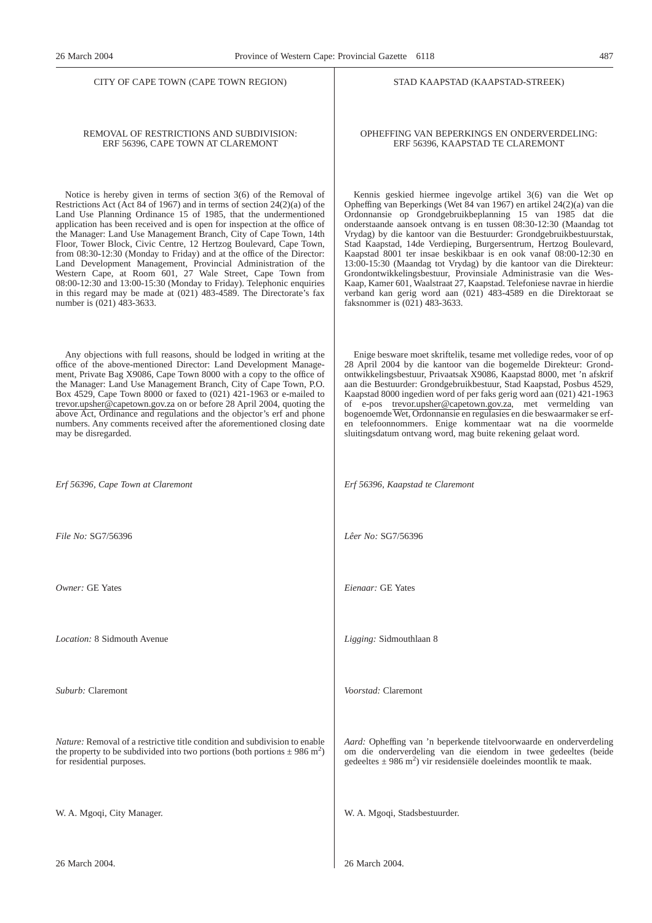CITY OF CAPE TOWN (CAPE TOWN REGION)

#### REMOVAL OF RESTRICTIONS AND SUBDIVISION: ERF 56396, CAPE TOWN AT CLAREMONT

Notice is hereby given in terms of section 3(6) of the Removal of Restrictions Act (Act 84 of 1967) and in terms of section 24(2)(a) of the Land Use Planning Ordinance 15 of 1985, that the undermentioned application has been received and is open for inspection at the office of the Manager: Land Use Management Branch, City of Cape Town, 14th Floor, Tower Block, Civic Centre, 12 Hertzog Boulevard, Cape Town, from 08:30-12:30 (Monday to Friday) and at the office of the Director: Land Development Management, Provincial Administration of the Western Cape, at Room 601, 27 Wale Street, Cape Town from 08:00-12:30 and 13:00-15:30 (Monday to Friday). Telephonic enquiries in this regard may be made at (021) 483-4589. The Directorate's fax number is (021) 483-3633.

Any objections with full reasons, should be lodged in writing at the office of the above-mentioned Director: Land Development Management, Private Bag X9086, Cape Town 8000 with a copy to the office of the Manager: Land Use Management Branch, City of Cape Town, P.O. Box 4529, Cape Town 8000 or faxed to (021) 421-1963 or e-mailed to trevor.upsher@capetown.gov.za on or before 28 April 2004, quoting the above Act, Ordinance and regulations and the objector's erf and phone numbers. Any comments received after the aforementioned closing date may be disregarded.

*Erf 56396, Cape Town at Claremont*

*File No:* SG7/56396

*Owner:* GE Yates

*Location:* 8 Sidmouth Avenue

*Suburb:* Claremont

*Nature:* Removal of a restrictive title condition and subdivision to enable the property to be subdivided into two portions (both portions  $\pm$  986 m<sup>2</sup>) for residential purposes.

W. A. Mgoqi, City Manager.

26 March 2004.

STAD KAAPSTAD (KAAPSTAD-STREEK)

OPHEFFING VAN BEPERKINGS EN ONDERVERDELING: ERF 56396, KAAPSTAD TE CLAREMONT

Kennis geskied hiermee ingevolge artikel 3(6) van die Wet op Opheffing van Beperkings (Wet 84 van 1967) en artikel 24(2)(a) van die Ordonnansie op Grondgebruikbeplanning 15 van 1985 dat die onderstaande aansoek ontvang is en tussen 08:30-12:30 (Maandag tot Vrydag) by die kantoor van die Bestuurder: Grondgebruikbestuurstak, Stad Kaapstad, 14de Verdieping, Burgersentrum, Hertzog Boulevard, Kaapstad 8001 ter insae beskikbaar is en ook vanaf 08:00-12:30 en 13:00-15:30 (Maandag tot Vrydag) by die kantoor van die Direkteur: Grondontwikkelingsbestuur, Provinsiale Administrasie van die Wes-Kaap, Kamer 601, Waalstraat 27, Kaapstad. Telefoniese navrae in hierdie verband kan gerig word aan (021) 483-4589 en die Direktoraat se faksnommer is (021) 483-3633.

Enige besware moet skriftelik, tesame met volledige redes, voor of op 28 April 2004 by die kantoor van die bogemelde Direkteur: Grondontwikkelingsbestuur, Privaatsak X9086, Kaapstad 8000, met 'n afskrif aan die Bestuurder: Grondgebruikbestuur, Stad Kaapstad, Posbus 4529, Kaapstad 8000 ingedien word of per faks gerig word aan (021) 421-1963 of e-pos trevor.upsher@capetown.gov.za, met vermelding van bogenoemde Wet, Ordonnansie en regulasies en die beswaarmaker se erfen telefoonnommers. Enige kommentaar wat na die voormelde sluitingsdatum ontvang word, mag buite rekening gelaat word.

*Erf 56396, Kaapstad te Claremont*

*Lêer No:* SG7/56396

*Eienaar:* GE Yates

*Ligging:* Sidmouthlaan 8

*Voorstad:* Claremont

*Aard:* Opheffing van 'n beperkende titelvoorwaarde en onderverdeling om die onderverdeling van die eiendom in twee gedeeltes (beide gedeeltes  $\pm$  986 m<sup>2</sup>) vir residensiële doeleindes moontlik te maak.

W. A. Mgoqi, Stadsbestuurder.

26 March 2004.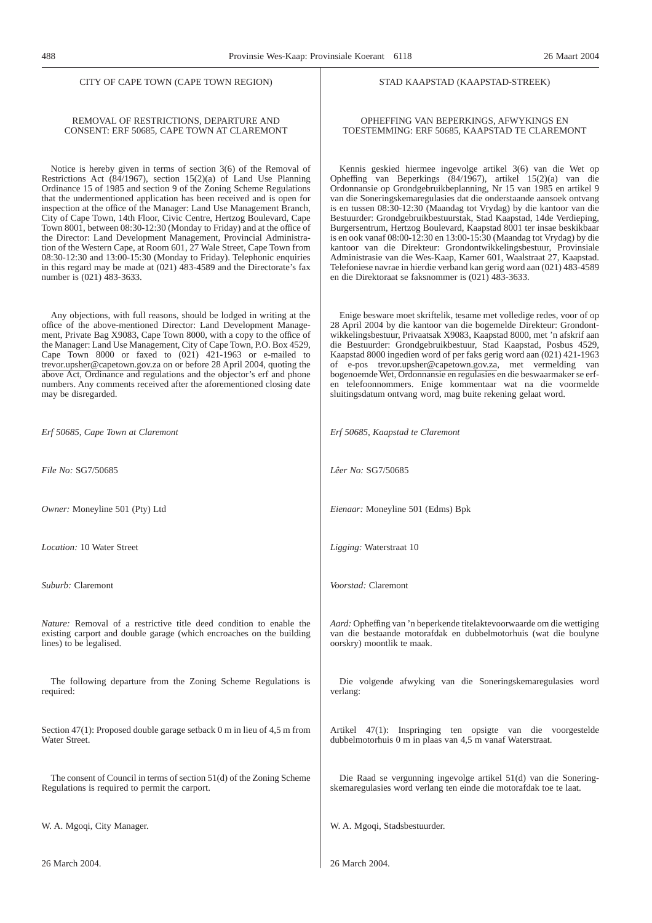#### CITY OF CAPE TOWN (CAPE TOWN REGION)

#### REMOVAL OF RESTRICTIONS, DEPARTURE AND CONSENT: ERF 50685, CAPE TOWN AT CLAREMONT

Notice is hereby given in terms of section 3(6) of the Removal of Restrictions Act (84/1967), section 15(2)(a) of Land Use Planning Ordinance 15 of 1985 and section 9 of the Zoning Scheme Regulations that the undermentioned application has been received and is open for inspection at the office of the Manager: Land Use Management Branch, City of Cape Town, 14th Floor, Civic Centre, Hertzog Boulevard, Cape Town 8001, between 08:30-12:30 (Monday to Friday) and at the office of the Director: Land Development Management, Provincial Administration of the Western Cape, at Room 601, 27 Wale Street, Cape Town from 08:30-12:30 and 13:00-15:30 (Monday to Friday). Telephonic enquiries in this regard may be made at (021) 483-4589 and the Directorate's fax number is (021) 483-3633.

Any objections, with full reasons, should be lodged in writing at the office of the above-mentioned Director: Land Development Management, Private Bag X9083, Cape Town 8000, with a copy to the office of the Manager: Land Use Management, City of Cape Town, P.O. Box 4529, Cape Town 8000 or faxed to  $(021)$  421-1963 or e-mailed to trevor.upsher@capetown.gov.za on or before 28 April 2004, quoting the above Act, Ordinance and regulations and the objector's erf and phone numbers. Any comments received after the aforementioned closing date may be disregarded.

*Erf 50685, Cape Town at Claremont*

*File No:* SG7/50685

*Owner:* Moneyline 501 (Pty) Ltd

*Location:* 10 Water Street

*Suburb:* Claremont

*Nature:* Removal of a restrictive title deed condition to enable the existing carport and double garage (which encroaches on the building lines) to be legalised.

The following departure from the Zoning Scheme Regulations is required:

Section 47(1): Proposed double garage setback 0 m in lieu of 4,5 m from Water Street.

The consent of Council in terms of section 51(d) of the Zoning Scheme Regulations is required to permit the carport.

W. A. Mgoqi, City Manager.

26 March 2004.

#### STAD KAAPSTAD (KAAPSTAD-STREEK)

#### OPHEFFING VAN BEPERKINGS, AFWYKINGS EN TOESTEMMING: ERF 50685, KAAPSTAD TE CLAREMONT

Kennis geskied hiermee ingevolge artikel 3(6) van die Wet op Opheffing van Beperkings (84/1967), artikel 15(2)(a) van die Ordonnansie op Grondgebruikbeplanning, Nr 15 van 1985 en artikel 9 van die Soneringskemaregulasies dat die onderstaande aansoek ontvang is en tussen 08:30-12:30 (Maandag tot Vrydag) by die kantoor van die Bestuurder: Grondgebruikbestuurstak, Stad Kaapstad, 14de Verdieping, Burgersentrum, Hertzog Boulevard, Kaapstad 8001 ter insae beskikbaar is en ook vanaf 08:00-12:30 en 13:00-15:30 (Maandag tot Vrydag) by die kantoor van die Direkteur: Grondontwikkelingsbestuur, Provinsiale Administrasie van die Wes-Kaap, Kamer 601, Waalstraat 27, Kaapstad. Telefoniese navrae in hierdie verband kan gerig word aan (021) 483-4589 en die Direktoraat se faksnommer is (021) 483-3633.

Enige besware moet skriftelik, tesame met volledige redes, voor of op 28 April 2004 by die kantoor van die bogemelde Direkteur: Grondontwikkelingsbestuur, Privaatsak X9083, Kaapstad 8000, met 'n afskrif aan die Bestuurder: Grondgebruikbestuur, Stad Kaapstad, Posbus 4529, Kaapstad 8000 ingedien word of per faks gerig word aan (021) 421-1963 of e-pos trevor.upsher@capetown.gov.za, met vermelding van bogenoemde Wet, Ordonnansie en regulasies en die beswaarmaker se erfen telefoonnommers. Enige kommentaar wat na die voormelde sluitingsdatum ontvang word, mag buite rekening gelaat word.

*Erf 50685, Kaapstad te Claremont*

*Lêer No:* SG7/50685

*Eienaar:* Moneyline 501 (Edms) Bpk

*Ligging:* Waterstraat 10

*Voorstad:* Claremont

*Aard:* Opheffing van 'n beperkende titelaktevoorwaarde om die wettiging van die bestaande motorafdak en dubbelmotorhuis (wat die boulyne oorskry) moontlik te maak.

Die volgende afwyking van die Soneringskemaregulasies word verlang:

Artikel 47(1): Inspringing ten opsigte van die voorgestelde dubbelmotorhuis 0 m in plaas van 4,5 m vanaf Waterstraat.

Die Raad se vergunning ingevolge artikel 51(d) van die Soneringskemaregulasies word verlang ten einde die motorafdak toe te laat.

W. A. Mgoqi, Stadsbestuurder.

26 March 2004.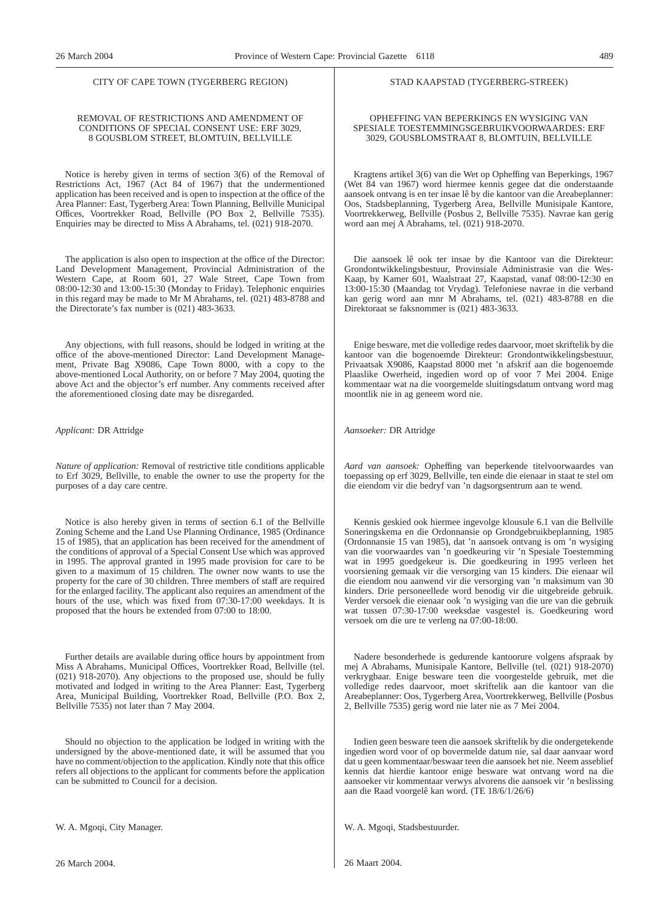#### CITY OF CAPE TOWN (TYGERBERG REGION)

#### REMOVAL OF RESTRICTIONS AND AMENDMENT OF CONDITIONS OF SPECIAL CONSENT USE: ERF 3029, 8 GOUSBLOM STREET, BLOMTUIN, BELLVILLE

Notice is hereby given in terms of section 3(6) of the Removal of Restrictions Act, 1967 (Act 84 of 1967) that the undermentioned application has been received and is open to inspection at the office of the Area Planner: East, Tygerberg Area: Town Planning, Bellville Municipal Offices, Voortrekker Road, Bellville (PO Box 2, Bellville 7535). Enquiries may be directed to Miss A Abrahams, tel. (021) 918-2070.

The application is also open to inspection at the office of the Director: Land Development Management, Provincial Administration of the Western Cape, at Room 601, 27 Wale Street, Cape Town from 08:00-12:30 and 13:00-15:30 (Monday to Friday). Telephonic enquiries in this regard may be made to Mr M Abrahams, tel. (021) 483-8788 and the Directorate's fax number is (021) 483-3633.

Any objections, with full reasons, should be lodged in writing at the office of the above-mentioned Director: Land Development Management, Private Bag X9086, Cape Town 8000, with a copy to the above-mentioned Local Authority, on or before 7 May 2004, quoting the above Act and the objector's erf number. Any comments received after the aforementioned closing date may be disregarded.

*Applicant:* DR Attridge

*Nature of application:* Removal of restrictive title conditions applicable to Erf 3029, Bellville, to enable the owner to use the property for the purposes of a day care centre.

Notice is also hereby given in terms of section 6.1 of the Bellville Zoning Scheme and the Land Use Planning Ordinance, 1985 (Ordinance 15 of 1985), that an application has been received for the amendment of the conditions of approval of a Special Consent Use which was approved in 1995. The approval granted in 1995 made provision for care to be given to a maximum of 15 children. The owner now wants to use the property for the care of 30 children. Three members of staff are required for the enlarged facility. The applicant also requires an amendment of the hours of the use, which was fixed from 07:30-17:00 weekdays. It is proposed that the hours be extended from 07:00 to 18:00.

Further details are available during office hours by appointment from Miss A Abrahams, Municipal Offices, Voortrekker Road, Bellville (tel. (021) 918-2070). Any objections to the proposed use, should be fully motivated and lodged in writing to the Area Planner: East, Tygerberg Area, Municipal Building, Voortrekker Road, Bellville (P.O. Box 2, Bellville 7535) not later than 7 May 2004.

Should no objection to the application be lodged in writing with the undersigned by the above-mentioned date, it will be assumed that you have no comment/objection to the application. Kindly note that this office refers all objections to the applicant for comments before the application can be submitted to Council for a decision.

W. A. Mgoqi, City Manager.

26 March 2004.

#### STAD KAAPSTAD (TYGERBERG-STREEK)

#### OPHEFFING VAN BEPERKINGS EN WYSIGING VAN SPESIALE TOESTEMMINGSGEBRUIKVOORWAARDES: ERF 3029, GOUSBLOMSTRAAT 8, BLOMTUIN, BELLVILLE

Kragtens artikel 3(6) van die Wet op Opheffing van Beperkings, 1967 (Wet 84 van 1967) word hiermee kennis gegee dat die onderstaande aansoek ontvang is en ter insae lê by die kantoor van die Areabeplanner: Oos, Stadsbeplanning, Tygerberg Area, Bellville Munisipale Kantore, Voortrekkerweg, Bellville (Posbus 2, Bellville 7535). Navrae kan gerig word aan mej A Abrahams, tel. (021) 918-2070.

Die aansoek lê ook ter insae by die Kantoor van die Direkteur: Grondontwikkelingsbestuur, Provinsiale Administrasie van die Wes-Kaap, by Kamer 601, Waalstraat 27, Kaapstad, vanaf 08:00-12:30 en 13:00-15:30 (Maandag tot Vrydag). Telefoniese navrae in die verband kan gerig word aan mnr M Abrahams, tel. (021) 483-8788 en die Direktoraat se faksnommer is (021) 483-3633.

Enige besware, met die volledige redes daarvoor, moet skriftelik by die kantoor van die bogenoemde Direkteur: Grondontwikkelingsbestuur, Privaatsak X9086, Kaapstad 8000 met 'n afskrif aan die bogenoemde Plaaslike Owerheid, ingedien word op of voor 7 Mei 2004. Enige kommentaar wat na die voorgemelde sluitingsdatum ontvang word mag moontlik nie in ag geneem word nie.

*Aansoeker:* DR Attridge

*Aard van aansoek:* Opheffing van beperkende titelvoorwaardes van toepassing op erf 3029, Bellville, ten einde die eienaar in staat te stel om die eiendom vir die bedryf van 'n dagsorgsentrum aan te wend.

Kennis geskied ook hiermee ingevolge klousule 6.1 van die Bellville Soneringskema en die Ordonnansie op Grondgebruikbeplanning, 1985 (Ordonnansie 15 van 1985), dat 'n aansoek ontvang is om 'n wysiging van die voorwaardes van 'n goedkeuring vir 'n Spesiale Toestemming wat in 1995 goedgekeur is. Die goedkeuring in 1995 verleen het voorsiening gemaak vir die versorging van 15 kinders. Die eienaar wil die eiendom nou aanwend vir die versorging van 'n maksimum van 30 kinders. Drie personeellede word benodig vir die uitgebreide gebruik. Verder versoek die eienaar ook 'n wysiging van die ure van die gebruik wat tussen 07:30-17:00 weeksdae vasgestel is. Goedkeuring word versoek om die ure te verleng na 07:00-18:00.

Nadere besonderhede is gedurende kantoorure volgens afspraak by mej A Abrahams, Munisipale Kantore, Bellville (tel. (021) 918-2070) verkrygbaar. Enige besware teen die voorgestelde gebruik, met die volledige redes daarvoor, moet skriftelik aan die kantoor van die Areabeplanner: Oos, Tygerberg Area, Voortrekkerweg, Bellville (Posbus 2, Bellville 7535) gerig word nie later nie as 7 Mei 2004.

Indien geen besware teen die aansoek skriftelik by die ondergetekende ingedien word voor of op bovermelde datum nie, sal daar aanvaar word dat u geen kommentaar/beswaar teen die aansoek het nie. Neem asseblief kennis dat hierdie kantoor enige besware wat ontvang word na die aansoeker vir kommentaar verwys alvorens die aansoek vir 'n beslissing aan die Raad voorgelê kan word. (TE 18/6/1/26/6)

W. A. Mgoqi, Stadsbestuurder.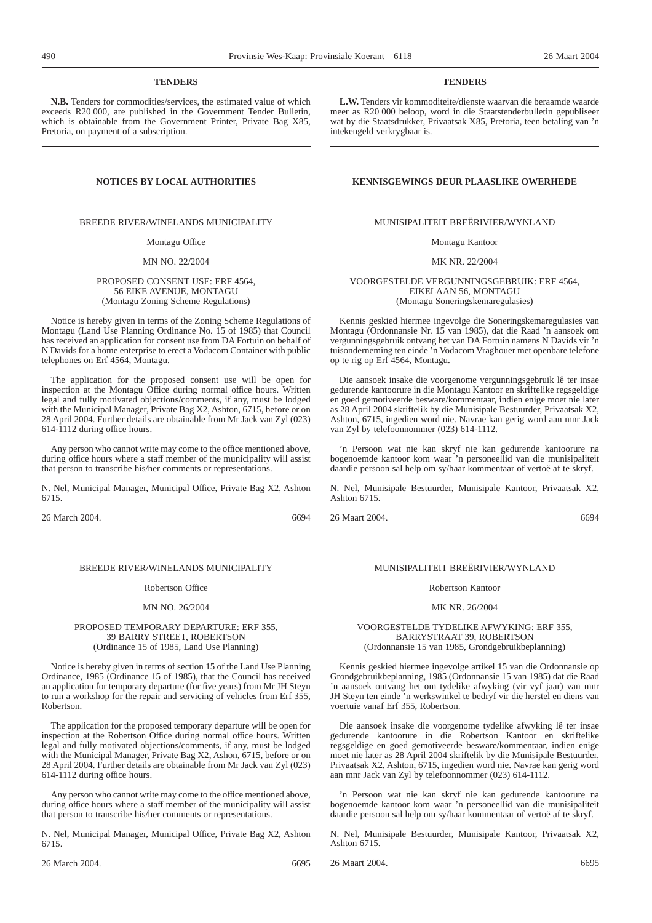#### **TENDERS**

**N.B.** Tenders for commodities/services, the estimated value of which exceeds R20 000, are published in the Government Tender Bulletin, which is obtainable from the Government Printer, Private Bag X85, Pretoria, on payment of a subscription.

BREEDE RIVER/WINELANDS MUNICIPALITY

Montagu Office

MN NO. 22/2004

#### PROPOSED CONSENT USE: ERF 4564, 56 EIKE AVENUE, MONTAGU (Montagu Zoning Scheme Regulations)

Notice is hereby given in terms of the Zoning Scheme Regulations of Montagu (Land Use Planning Ordinance No. 15 of 1985) that Council has received an application for consent use from DA Fortuin on behalf of N Davids for a home enterprise to erect a Vodacom Container with public telephones on Erf 4564, Montagu.

The application for the proposed consent use will be open for inspection at the Montagu Office during normal office hours. Written legal and fully motivated objections/comments, if any, must be lodged with the Municipal Manager, Private Bag X2, Ashton, 6715, before or on 28 April 2004. Further details are obtainable from Mr Jack van Zyl (023) 614-1112 during office hours.

Any person who cannot write may come to the office mentioned above, during office hours where a staff member of the municipality will assist that person to transcribe his/her comments or representations.

N. Nel, Municipal Manager, Municipal Office, Private Bag X2, Ashton 6715.

26 March 2004. 6694

#### BREEDE RIVER/WINELANDS MUNICIPALITY

#### Robertson Office

#### MN NO. 26/2004

#### PROPOSED TEMPORARY DEPARTURE: ERF 355, 39 BARRY STREET, ROBERTSON (Ordinance 15 of 1985, Land Use Planning)

Notice is hereby given in terms of section 15 of the Land Use Planning Ordinance, 1985 (Ordinance 15 of 1985), that the Council has received an application for temporary departure (for five years) from Mr JH Steyn to run a workshop for the repair and servicing of vehicles from Erf 355, Robertson.

The application for the proposed temporary departure will be open for inspection at the Robertson Office during normal office hours. Written legal and fully motivated objections/comments, if any, must be lodged with the Municipal Manager, Private Bag X2, Ashon, 6715, before or on 28 April 2004. Further details are obtainable from Mr Jack van Zyl (023) 614-1112 during office hours.

Any person who cannot write may come to the office mentioned above, during office hours where a staff member of the municipality will assist that person to transcribe his/her comments or representations.

N. Nel, Municipal Manager, Municipal Office, Private Bag X2, Ashton 6715.

**TENDERS**

**L.W.** Tenders vir kommoditeite/dienste waarvan die beraamde waarde meer as R20 000 beloop, word in die Staatstenderbulletin gepubliseer wat by die Staatsdrukker, Privaatsak X85, Pretoria, teen betaling van 'n intekengeld verkrygbaar is.

#### **NOTICES BY LOCAL AUTHORITIES KENNISGEWINGS DEUR PLAASLIKE OWERHEDE**

#### MUNISIPALITEIT BREËRIVIER/WYNLAND

Montagu Kantoor

MK NR. 22/2004

VOORGESTELDE VERGUNNINGSGEBRUIK: ERF 4564, EIKELAAN 56, MONTAGU (Montagu Soneringskemaregulasies)

Kennis geskied hiermee ingevolge die Soneringskemaregulasies van Montagu (Ordonnansie Nr. 15 van 1985), dat die Raad 'n aansoek om vergunningsgebruik ontvang het van DA Fortuin namens N Davids vir 'n tuisonderneming ten einde 'n Vodacom Vraghouer met openbare telefone op te rig op Erf 4564, Montagu.

Die aansoek insake die voorgenome vergunningsgebruik lê ter insae gedurende kantoorure in die Montagu Kantoor en skriftelike regsgeldige en goed gemotiveerde besware/kommentaar, indien enige moet nie later as 28 April 2004 skriftelik by die Munisipale Bestuurder, Privaatsak X2, Ashton, 6715, ingedien word nie. Navrae kan gerig word aan mnr Jack van Zyl by telefoonnommer (023) 614-1112.

'n Persoon wat nie kan skryf nie kan gedurende kantoorure na bogenoemde kantoor kom waar 'n personeellid van die munisipaliteit daardie persoon sal help om sy/haar kommentaar of vertoë af te skryf.

N. Nel, Munisipale Bestuurder, Munisipale Kantoor, Privaatsak X2, Ashton 6715.

26 Maart 2004. 6694

#### MUNISIPALITEIT BREËRIVIER/WYNLAND

#### Robertson Kantoor

#### MK NR. 26/2004

#### VOORGESTELDE TYDELIKE AFWYKING: ERF 355, BARRYSTRAAT 39, ROBERTSON (Ordonnansie 15 van 1985, Grondgebruikbeplanning)

Kennis geskied hiermee ingevolge artikel 15 van die Ordonnansie op Grondgebruikbeplanning, 1985 (Ordonnansie 15 van 1985) dat die Raad 'n aansoek ontvang het om tydelike afwyking (vir vyf jaar) van mnr JH Steyn ten einde 'n werkswinkel te bedryf vir die herstel en diens van voertuie vanaf Erf 355, Robertson.

Die aansoek insake die voorgenome tydelike afwyking lê ter insae gedurende kantoorure in die Robertson Kantoor en skriftelike regsgeldige en goed gemotiveerde besware/kommentaar, indien enige moet nie later as 28 April 2004 skriftelik by die Munisipale Bestuurder, Privaatsak X2, Ashton, 6715, ingedien word nie. Navrae kan gerig word aan mnr Jack van Zyl by telefoonnommer (023) 614-1112.

'n Persoon wat nie kan skryf nie kan gedurende kantoorure na bogenoemde kantoor kom waar 'n personeellid van die munisipaliteit daardie persoon sal help om sy/haar kommentaar of vertoë af te skryf.

N. Nel, Munisipale Bestuurder, Munisipale Kantoor, Privaatsak X2, Ashton 6715.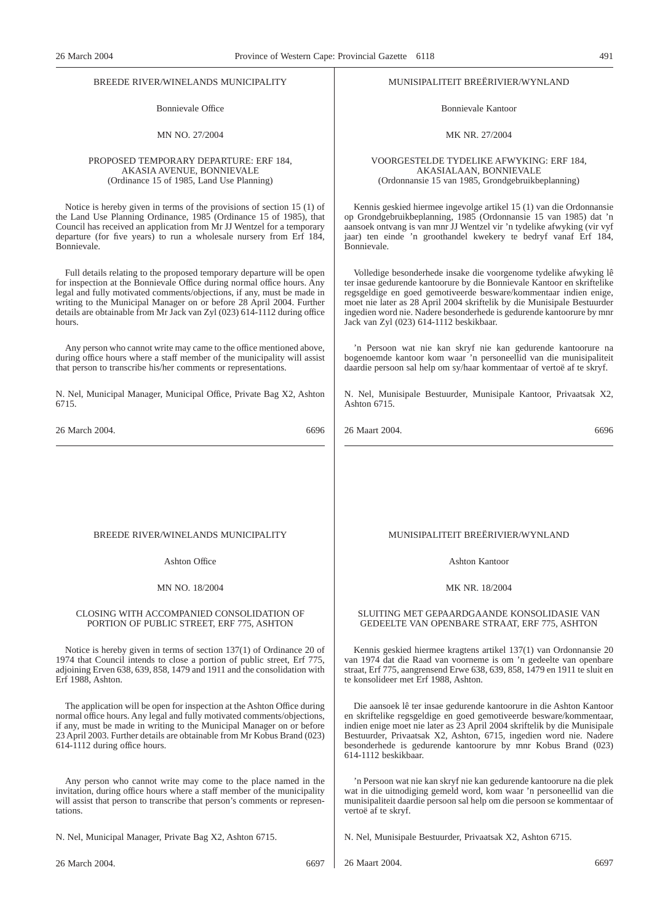#### BREEDE RIVER/WINELANDS MUNICIPALITY

Bonnievale Office

#### MN NO. 27/2004

#### PROPOSED TEMPORARY DEPARTURE: ERF 184, AKASIA AVENUE, BONNIEVALE (Ordinance 15 of 1985, Land Use Planning)

Notice is hereby given in terms of the provisions of section 15 (1) of the Land Use Planning Ordinance, 1985 (Ordinance 15 of 1985), that Council has received an application from Mr JJ Wentzel for a temporary departure (for five years) to run a wholesale nursery from Erf 184, Bonnievale.

Full details relating to the proposed temporary departure will be open for inspection at the Bonnievale Office during normal office hours. Any legal and fully motivated comments/objections, if any, must be made in writing to the Municipal Manager on or before 28 April 2004. Further details are obtainable from Mr Jack van Zyl (023) 614-1112 during office hours.

Any person who cannot write may came to the office mentioned above, during office hours where a staff member of the municipality will assist that person to transcribe his/her comments or representations.

N. Nel, Municipal Manager, Municipal Office, Private Bag X2, Ashton 6715.

26 March 2004. 6696

#### MUNISIPALITEIT BREËRIVIER/WYNLAND

Bonnievale Kantoor

#### MK NR. 27/2004

#### VOORGESTELDE TYDELIKE AFWYKING: ERF 184, AKASIALAAN, BONNIEVALE (Ordonnansie 15 van 1985, Grondgebruikbeplanning)

Kennis geskied hiermee ingevolge artikel 15 (1) van die Ordonnansie op Grondgebruikbeplanning, 1985 (Ordonnansie 15 van 1985) dat 'n aansoek ontvang is van mnr JJ Wentzel vir 'n tydelike afwyking (vir vyf jaar) ten einde 'n groothandel kwekery te bedryf vanaf Erf 184, Bonnievale.

Volledige besonderhede insake die voorgenome tydelike afwyking lê ter insae gedurende kantoorure by die Bonnievale Kantoor en skriftelike regsgeldige en goed gemotiveerde besware/kommentaar indien enige, moet nie later as 28 April 2004 skriftelik by die Munisipale Bestuurder ingedien word nie. Nadere besonderhede is gedurende kantoorure by mnr Jack van Zyl (023) 614-1112 beskikbaar.

'n Persoon wat nie kan skryf nie kan gedurende kantoorure na bogenoemde kantoor kom waar 'n personeellid van die munisipaliteit daardie persoon sal help om sy/haar kommentaar of vertoë af te skryf.

N. Nel, Munisipale Bestuurder, Munisipale Kantoor, Privaatsak X2, Ashton 6715.

26 Maart 2004. 6696

#### BREEDE RIVER/WINELANDS MUNICIPALITY

Ashton Office

#### MN NO. 18/2004

#### CLOSING WITH ACCOMPANIED CONSOLIDATION OF PORTION OF PUBLIC STREET, ERF 775, ASHTON

Notice is hereby given in terms of section 137(1) of Ordinance 20 of 1974 that Council intends to close a portion of public street, Erf 775, adjoining Erven 638, 639, 858, 1479 and 1911 and the consolidation with Erf 1988, Ashton.

The application will be open for inspection at the Ashton Office during normal office hours. Any legal and fully motivated comments/objections, if any, must be made in writing to the Municipal Manager on or before 23 April 2003. Further details are obtainable from Mr Kobus Brand (023) 614-1112 during office hours.

Any person who cannot write may come to the place named in the invitation, during office hours where a staff member of the municipality will assist that person to transcribe that person's comments or representations.

N. Nel, Municipal Manager, Private Bag X2, Ashton 6715.

26 March 2004. 6697

#### MUNISIPALITEIT BREËRIVIER/WYNLAND

Ashton Kantoor

#### MK NR. 18/2004

#### SLUITING MET GEPAARDGAANDE KONSOLIDASIE VAN GEDEELTE VAN OPENBARE STRAAT, ERF 775, ASHTON

Kennis geskied hiermee kragtens artikel 137(1) van Ordonnansie 20 van 1974 dat die Raad van voorneme is om 'n gedeelte van openbare straat, Erf 775, aangrensend Erwe 638, 639, 858, 1479 en 1911 te sluit en te konsolideer met Erf 1988, Ashton.

Die aansoek lê ter insae gedurende kantoorure in die Ashton Kantoor en skriftelike regsgeldige en goed gemotiveerde besware/kommentaar, indien enige moet nie later as 23 April 2004 skriftelik by die Munisipale Bestuurder, Privaatsak X2, Ashton, 6715, ingedien word nie. Nadere besonderhede is gedurende kantoorure by mnr Kobus Brand (023) 614-1112 beskikbaar.

'n Persoon wat nie kan skryf nie kan gedurende kantoorure na die plek wat in die uitnodiging gemeld word, kom waar 'n personeellid van die munisipaliteit daardie persoon sal help om die persoon se kommentaar of vertoë af te skryf.

N. Nel, Munisipale Bestuurder, Privaatsak X2, Ashton 6715.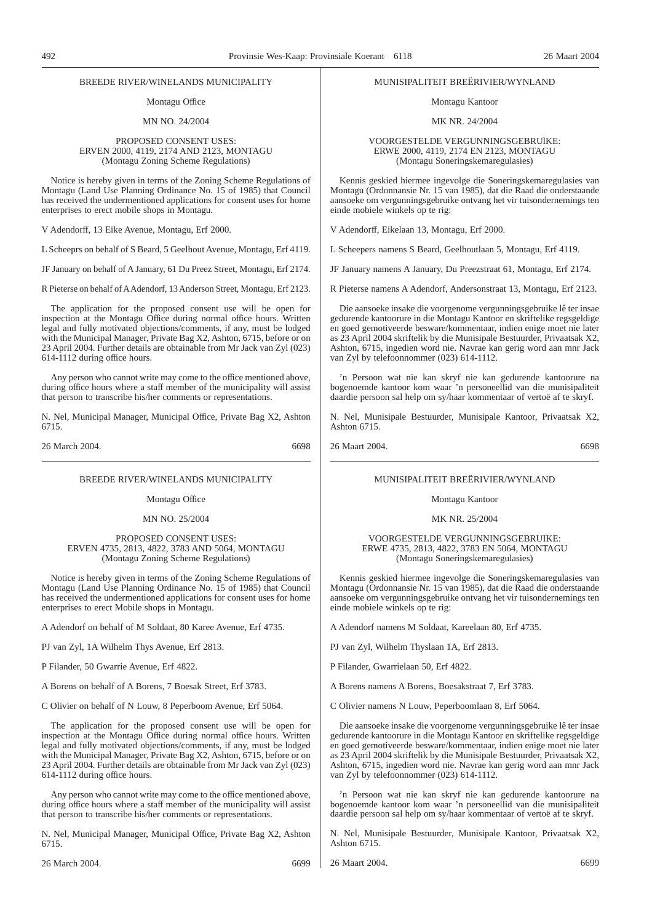#### BREEDE RIVER/WINELANDS MUNICIPALITY

#### Montagu Office

#### MN NO. 24/2004

#### PROPOSED CONSENT USES: ERVEN 2000, 4119, 2174 AND 2123, MONTAGU (Montagu Zoning Scheme Regulations)

Notice is hereby given in terms of the Zoning Scheme Regulations of Montagu (Land Use Planning Ordinance No. 15 of 1985) that Council has received the undermentioned applications for consent uses for home enterprises to erect mobile shops in Montagu.

V Adendorff, 13 Eike Avenue, Montagu, Erf 2000.

L Scheeprs on behalf of S Beard, 5 Geelhout Avenue, Montagu, Erf 4119.

JF January on behalf of A January, 61 Du Preez Street, Montagu, Erf 2174.

R Pieterse on behalf of AAdendorf, 13 Anderson Street, Montagu, Erf 2123.

The application for the proposed consent use will be open for inspection at the Montagu Office during normal office hours. Written legal and fully motivated objections/comments, if any, must be lodged with the Municipal Manager, Private Bag X2, Ashton, 6715, before or on 23 April 2004. Further details are obtainable from Mr Jack van Zyl (023) 614-1112 during office hours.

Any person who cannot write may come to the office mentioned above, during office hours where a staff member of the municipality will assist that person to transcribe his/her comments or representations.

N. Nel, Municipal Manager, Municipal Office, Private Bag X2, Ashton 6715.

26 March 2004. 6698

#### BREEDE RIVER/WINELANDS MUNICIPALITY

Montagu Office

MN NO. 25/2004

#### PROPOSED CONSENT USES: ERVEN 4735, 2813, 4822, 3783 AND 5064, MONTAGU (Montagu Zoning Scheme Regulations)

Notice is hereby given in terms of the Zoning Scheme Regulations of Montagu (Land Use Planning Ordinance No. 15 of 1985) that Council has received the undermentioned applications for consent uses for home enterprises to erect Mobile shops in Montagu.

A Adendorf on behalf of M Soldaat, 80 Karee Avenue, Erf 4735.

PJ van Zyl, 1A Wilhelm Thys Avenue, Erf 2813.

P Filander, 50 Gwarrie Avenue, Erf 4822.

A Borens on behalf of A Borens, 7 Boesak Street, Erf 3783.

C Olivier on behalf of N Louw, 8 Peperboom Avenue, Erf 5064.

The application for the proposed consent use will be open for inspection at the Montagu Office during normal office hours. Written legal and fully motivated objections/comments, if any, must be lodged with the Municipal Manager, Private Bag X2, Ashton, 6715, before or on 23 April 2004. Further details are obtainable from Mr Jack van Zyl (023) 614-1112 during office hours.

Any person who cannot write may come to the office mentioned above, during office hours where a staff member of the municipality will assist that person to transcribe his/her comments or representations.

N. Nel, Municipal Manager, Municipal Office, Private Bag X2, Ashton 6715.

#### MUNISIPALITEIT BREËRIVIER/WYNLAND

Montagu Kantoor

MK NR. 24/2004

#### VOORGESTELDE VERGUNNINGSGEBRUlKE: ERWE 2000, 4119, 2174 EN 2123, MONTAGU (Montagu Soneringskemaregulasies)

Kennis geskied hiermee ingevolge die Soneringskemaregulasies van Montagu (Ordonnansie Nr. 15 van 1985), dat die Raad die onderstaande aansoeke om vergunningsgebruike ontvang het vir tuisondernemings ten einde mobiele winkels op te rig:

V Adendorff, Eikelaan 13, Montagu, Erf 2000.

L Scheepers namens S Beard, Geelhoutlaan 5, Montagu, Erf 4119.

JF January namens A January, Du Preezstraat 61, Montagu, Erf 2174.

R Pieterse namens A Adendorf, Andersonstraat 13, Montagu, Erf 2123.

Die aansoeke insake die voorgenome vergunningsgebruike lê ter insae gedurende kantoorure in die Montagu Kantoor en skriftelike regsgeldige en goed gemotiveerde besware/kommentaar, indien enige moet nie later as 23 April 2004 skriftelik by die Munisipale Bestuurder, Privaatsak X2, Ashton, 6715, ingedien word nie. Navrae kan gerig word aan mnr Jack van Zyl by telefoonnommer (023) 614-1112.

'n Persoon wat nie kan skryf nie kan gedurende kantoorure na bogenoemde kantoor kom waar 'n personeellid van die munisipaliteit daardie persoon sal help om sy/haar kommentaar of vertoë af te skryf.

N. Nel, Munisipale Bestuurder, Munisipale Kantoor, Privaatsak X2, Ashton 6715.

26 Maart 2004. 6698

#### MUNISIPALITEIT BREËRIVIER/WYNLAND

#### Montagu Kantoor

MK NR. 25/2004

#### VOORGESTELDE VERGUNNINGSGEBRUIKE: ERWE 4735, 2813, 4822, 3783 EN 5064, MONTAGU (Montagu Soneringskemaregulasies)

Kennis geskied hiermee ingevolge die Soneringskemaregulasies van Montagu (Ordonnansie Nr. 15 van 1985), dat die Raad die onderstaande aansoeke om vergunningsgebruike ontvang het vir tuisondernemings ten einde mobiele winkels op te rig:

A Adendorf namens M Soldaat, Kareelaan 80, Erf 4735.

PJ van Zyl, Wilhelm Thyslaan 1A, Erf 2813.

P Filander, Gwarrielaan 50, Erf 4822.

A Borens namens A Borens, Boesakstraat 7, Erf 3783.

C Olivier namens N Louw, Peperboomlaan 8, Erf 5064.

Die aansoeke insake die voorgenome vergunningsgebruike lê ter insae gedurende kantoorure in die Montagu Kantoor en skriftelike regsgeldige en goed gemotiveerde besware/kommentaar, indien enige moet nie later as 23 April 2004 skriftelik by die Munisipale Bestuurder, Privaatsak X2, Ashton, 6715, ingedien word nie. Navrae kan gerig word aan mnr Jack van Zyl by telefoonnommer (023) 614-1112.

'n Persoon wat nie kan skryf nie kan gedurende kantoorure na bogenoemde kantoor kom waar 'n personeellid van die munisipaliteit daardie persoon sal help om sy/haar kommentaar of vertoë af te skryf.

N. Nel, Munisipale Bestuurder, Munisipale Kantoor, Privaatsak X2, Ashton 6715.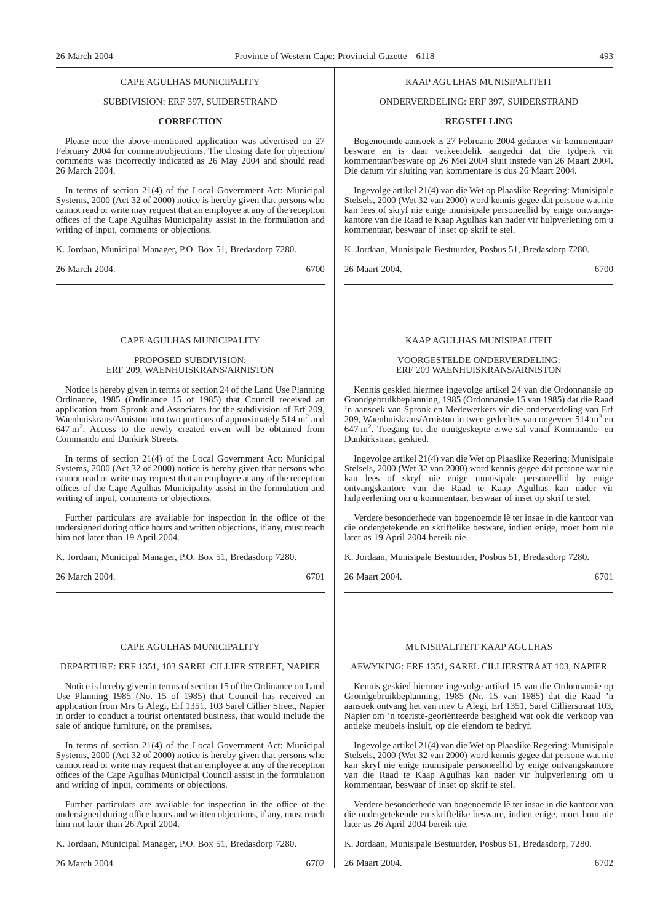#### CAPE AGULHAS MUNICIPALITY

### SUBDIVISION: ERF 397, SUIDERSTRAND

#### **CORRECTION**

Please note the above-mentioned application was advertised on 27 February 2004 for comment/objections. The closing date for objection/ comments was incorrectly indicated as 26 May 2004 and should read 26 March 2004.

In terms of section 21(4) of the Local Government Act: Municipal Systems, 2000 (Act 32 of 2000) notice is hereby given that persons who cannot read or write may request that an employee at any of the reception offices of the Cape Agulhas Municipality assist in the formulation and writing of input, comments or objections.

K. Jordaan, Municipal Manager, P.O. Box 51, Bredasdorp 7280.

26 March 2004. 6700

#### CAPE AGULHAS MUNICIPALITY

#### PROPOSED SUBDIVISION: ERF 209, WAENHUISKRANS/ARNISTON

Notice is hereby given in terms of section 24 of the Land Use Planning Ordinance, 1985 (Ordinance 15 of 1985) that Council received an application from Spronk and Associates for the subdivision of Erf 209, Waenhuiskrans/Arniston into two portions of approximately 514  $m<sup>2</sup>$  and 647 m<sup>2</sup> . Access to the newly created erven will be obtained from Commando and Dunkirk Streets.

In terms of section 21(4) of the Local Government Act: Municipal Systems, 2000 (Act 32 of 2000) notice is hereby given that persons who cannot read or write may request that an employee at any of the reception offices of the Cape Agulhas Municipality assist in the formulation and writing of input, comments or objections.

Further particulars are available for inspection in the office of the undersigned during office hours and written objections, if any, must reach him not later than 19 April 2004.

K. Jordaan, Municipal Manager, P.O. Box 51, Bredasdorp 7280.

26 March 2004. 6701

#### CAPE AGULHAS MUNICIPALITY

#### DEPARTURE: ERF 1351, 103 SAREL CILLIER STREET, NAPIER

Notice is hereby given in terms of section 15 of the Ordinance on Land Use Planning 1985 (No. 15 of 1985) that Council has received an application from Mrs G Alegi, Erf 1351, 103 Sarel Cillier Street, Napier in order to conduct a tourist orientated business, that would include the sale of antique furniture, on the premises.

In terms of section 21(4) of the Local Government Act: Municipal Systems, 2000 (Act 32 of 2000) notice is hereby given that persons who cannot read or write may request that an employee at any of the reception offices of the Cape Agulhas Municipal Council assist in the formulation and writing of input, comments or objections.

Further particulars are available for inspection in the office of the undersigned during office hours and written objections, if any, must reach him not later than 26 April 2004.

K. Jordaan, Municipal Manager, P.O. Box 51, Bredasdorp 7280.

26 March 2004. 6702

#### KAAP AGULHAS MUNISIPALITEIT

ONDERVERDELING: ERF 397, SUIDERSTRAND

#### **REGSTELLING**

Bogenoemde aansoek is 27 Februarie 2004 gedateer vir kommentaar/ besware en is daar verkeerdelik aangedui dat die tydperk vir kommentaar/besware op 26 Mei 2004 sluit instede van 26 Maart 2004. Die datum vir sluiting van kommentare is dus 26 Maart 2004.

Ingevolge artikel 21(4) van die Wet op Plaaslike Regering: Munisipale Stelsels, 2000 (Wet 32 van 2000) word kennis gegee dat persone wat nie kan lees of skryf nie enige munisipale personeellid by enige ontvangskantore van die Raad te Kaap Agulhas kan nader vir hulpverlening om u kommentaar, beswaar of inset op skrif te stel.

K. Jordaan, Munisipale Bestuurder, Posbus 51, Bredasdorp 7280.

26 Maart 2004. 6700

#### KAAP AGULHAS MUNISIPALITEIT

#### VOORGESTELDE ONDERVERDELING: ERF 209 WAENHUISKRANS/ARNISTON

Kennis geskied hiermee ingevolge artikel 24 van die Ordonnansie op Grondgebruikbeplanning, 1985 (Ordonnansie 15 van 1985) dat die Raad 'n aansoek van Spronk en Medewerkers vir die onderverdeling van Erf 209, Waenhuiskrans/Arniston in twee gedeeltes van ongeveer  $\frac{514 \text{ m}^2}{2}$  en 647 m<sup>2</sup> . Toegang tot die nuutgeskepte erwe sal vanaf Kommando- en Dunkirkstraat geskied.

Ingevolge artikel 21(4) van die Wet op Plaaslike Regering: Munisipale Stelsels, 2000 (Wet 32 van 2000) word kennis gegee dat persone wat nie kan lees of skryf nie enige munisipale personeellid by enige ontvangskantore van die Raad te Kaap Agulhas kan nader vir hulpverlening om u kommentaar, beswaar of inset op skrif te stel.

Verdere besonderhede van bogenoemde lê ter insae in die kantoor van die ondergetekende en skriftelike besware, indien enige, moet hom nie later as 19 April 2004 bereik nie.

K. Jordaan, Munisipale Bestuurder, Posbus 51, Bredasdorp 7280.

26 Maart 2004. 6701

#### MUNISIPALITEIT KAAP AGULHAS

#### AFWYKING: ERF 1351, SAREL CILLIERSTRAAT 103, NAPIER

Kennis geskied hiermee ingevolge artikel 15 van die Ordonnansie op Grondgebruikbeplanning, 1985 (Nr. 15 van 1985) dat die Raad 'n aansoek ontvang het van mev G Alegi, Erf 1351, Sarel Cillierstraat 103, Napier om 'n toeriste-georiënteerde besigheid wat ook die verkoop van antieke meubels insluit, op die eiendom te bedryf.

Ingevolge artikel 21(4) van die Wet op Plaaslike Regering: Munisipale Stelsels, 2000 (Wet 32 van 2000) word kennis gegee dat persone wat nie kan skryf nie enige munisipale personeellid by enige ontvangskantore van die Raad te Kaap Agulhas kan nader vir hulpverlening om u kommentaar, beswaar of inset op skrif te stel.

Verdere besonderhede van bogenoemde lê ter insae in die kantoor van die ondergetekende en skriftelike besware, indien enige, moet hom nie later as 26 April 2004 bereik nie.

K. Jordaan, Munisipale Bestuurder, Posbus 51, Bredasdorp, 7280.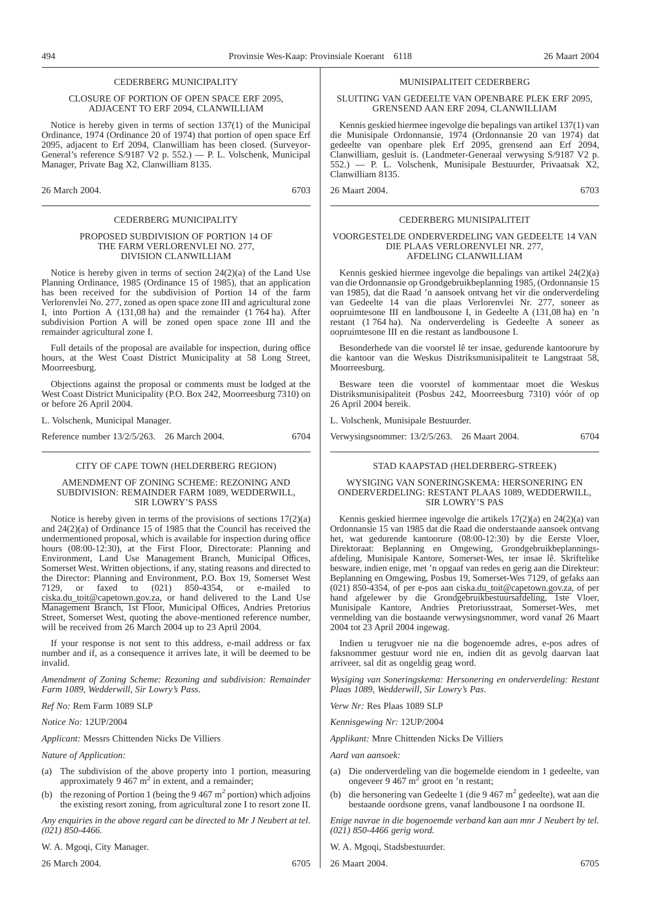#### CEDERBERG MUNICIPALITY

#### CLOSURE OF PORTION OF OPEN SPACE ERF 2095, ADJACENT TO ERF 2094, CLANWILLIAM

Notice is hereby given in terms of section 137(1) of the Municipal Ordinance, 1974 (Ordinance 20 of 1974) that portion of open space Erf 2095, adjacent to Erf 2094, Clanwilliam has been closed. (Surveyor-General's reference S/9187 V2 p. 552.) — P. L. Volschenk, Municipal Manager, Private Bag X2, Clanwilliam 8135.

26 March 2004. 6703

#### CEDERBERG MUNICIPALITY

#### PROPOSED SUBDIVISION OF PORTION 14 OF THE FARM VERLORENVLEI NO. 277, DIVISION CLANWILLIAM

Notice is hereby given in terms of section 24(2)(a) of the Land Use Planning Ordinance, 1985 (Ordinance 15 of 1985), that an application has been received for the subdivision of Portion 14 of the farm Verlorenvlei No. 277, zoned as open space zone III and agricultural zone I, into Portion A  $(131.08 \text{ ha})$  and the remainder  $(1764 \text{ ha})$ . After subdivision Portion A will be zoned open space zone III and the remainder agricultural zone I.

Full details of the proposal are available for inspection, during office hours, at the West Coast District Municipality at 58 Long Street, Moorreesburg.

Objections against the proposal or comments must be lodged at the West Coast District Municipality (P.O. Box 242, Moorreesburg 7310) on or before 26 April 2004.

L. Volschenk, Municipal Manager.

Reference number 13/2/5/263. 26 March 2004. 6704

#### CITY OF CAPE TOWN (HELDERBERG REGION)

#### AMENDMENT OF ZONING SCHEME: REZONING AND SUBDIVISION: REMAINDER FARM 1089, WEDDERWILL, SIR LOWRY'S PASS

Notice is hereby given in terms of the provisions of sections  $17(2)(a)$ and 24(2)(a) of Ordinance 15 of 1985 that the Council has received the undermentioned proposal, which is available for inspection during office hours (08:00-12:30), at the First Floor, Directorate: Planning and Environment, Land Use Management Branch, Municipal Offices, Somerset West. Written objections, if any, stating reasons and directed to the Director: Planning and Environment, P.O. Box 19, Somerset West 7129, or faxed to (021) 850-4354, or e-mailed to ciska.du\_toit@capetown.gov.za, or hand delivered to the Land Use Management Branch, 1st Floor, Municipal Offices, Andries Pretorius Street, Somerset West, quoting the above-mentioned reference number, will be received from 26 March 2004 up to 23 April 2004.

If your response is not sent to this address, e-mail address or fax number and if, as a consequence it arrives late, it will be deemed to be invalid.

*Amendment of Zoning Scheme: Rezoning and subdivision: Remainder Farm 1089, Wedderwill, Sir Lowry's Pass*.

*Ref No:* Rem Farm 1089 SLP

*Notice No:* 12UP/2004

*Applicant:* Messrs Chittenden Nicks De Villiers

*Nature of Application:*

- (a) The subdivision of the above property into 1 portion, measuring approximately 9 467  $m<sup>2</sup>$  in extent, and a remainder;
- the rezoning of Portion 1 (being the 9 467  $m^2$  portion) which adjoins the existing resort zoning, from agricultural zone I to resort zone II.

*Any enquiries in the above regard can be directed to Mr J Neubert at tel. (021) 850-4466.*

W. A. Mgoqi, City Manager.

26 March 2004. 6705

#### MUNISIPALITEIT CEDERBERG

#### SLUITING VAN GEDEELTE VAN OPENBARE PLEK ERF 2095, GRENSEND AAN ERF 2094, CLANWILLIAM

Kennis geskied hiermee ingevolge die bepalings van artikel 137(1) van die Munisipale Ordonnansie, 1974 (Ordonnansie 20 van 1974) dat gedeelte van openbare plek Erf 2095, grensend aan Erf 2094, Clanwilliam, gesluit is. (Landmeter-Generaal verwysing S/9187 V2 p. 552.) — P. L. Volschenk, Munisipale Bestuurder, Privaatsak X2, Clanwilliam 8135.

26 Maart 2004. 6703

#### CEDERBERG MUNISIPALITEIT

#### VOORGESTELDE ONDERVERDELING VAN GEDEELTE 14 VAN DIE PLAAS VERLORENVLEI NR. 277, AFDELING CLANWILLIAM

Kennis geskied hiermee ingevolge die bepalings van artikel 24(2)(a) van die Ordonnansie op Grondgebruikbeplanning 1985, (Ordonnansie 15 van 1985), dat die Raad 'n aansoek ontvang het vir die onderverdeling van Gedeelte 14 van die plaas Verlorenvlei Nr. 277, soneer as oopruimtesone III en landbousone I, in Gedeelte A (131,08 ha) en 'n restant (1 764 ha). Na onderverdeling is Gedeelte A soneer as oopruimtesone III en die restant as landbousone I.

Besonderhede van die voorstel lê ter insae, gedurende kantoorure by die kantoor van die Weskus Distriksmunisipaliteit te Langstraat 58, Moorreesburg.

Besware teen die voorstel of kommentaar moet die Weskus Distriksmunisipaliteit (Posbus 242, Moorreesburg 7310) vóór of op 26 April 2004 bereik.

L. Volschenk, Munisipale Bestuurder.

Verwysingsnommer: 13/2/5/263. 26 Maart 2004. 6704

#### STAD KAAPSTAD (HELDERBERG-STREEK)

#### WYSIGING VAN SONERINGSKEMA: HERSONERING EN ONDERVERDELING: RESTANT PLAAS 1089, WEDDERWILL, SIR LOWRY'S PAS

Kennis geskied hiermee ingevolge die artikels 17(2)(a) en 24(2)(a) van Ordonnansie 15 van 1985 dat die Raad die onderstaande aansoek ontvang het, wat gedurende kantoorure (08:00-12:30) by die Eerste Vloer, Direktoraat: Beplanning en Omgewing, Grondgebruikbeplanningsafdeling, Munisipale Kantore, Somerset-Wes, ter insae lê. Skriftelike besware, indien enige, met 'n opgaaf van redes en gerig aan die Direkteur: Beplanning en Omgewing, Posbus 19, Somerset-Wes 7129, of gefaks aan (021) 850-4354, of per e-pos aan ciska.du\_toit@capetown.gov.za, of per hand afgelewer by die Grondgebruikbestuursafdeling, 1ste Vloer, Munisipale Kantore, Andries Pretoriusstraat, Somerset-Wes, met vermelding van die bostaande verwysingsnommer, word vanaf 26 Maart 2004 tot 23 April 2004 ingewag.

Indien u terugvoer nie na die bogenoemde adres, e-pos adres of faksnommer gestuur word nie en, indien dit as gevolg daarvan laat arriveer, sal dit as ongeldig geag word.

*Wysiging van Soneringskema: Hersonering en onderverdeling: Restant Plaas 1089, Wedderwill, Sir Lowry's Pas*.

*Verw Nr:* Res Plaas 1089 SLP

*Kennisgewing Nr:* 12UP/2004

*Applikant:* Mnre Chittenden Nicks De Villiers

*Aard van aansoek:*

- (a) Die onderverdeling van die bogemelde eiendom in 1 gedeelte, van ongeveer 9 467 m<sup>2</sup> groot en 'n restant;
- (b) die hersonering van Gedeelte 1 (die 9 467 m<sup>2</sup> gedeelte), wat aan die bestaande oordsone grens, vanaf landbousone I na oordsone II.

*Enige navrae in die bogenoemde verband kan aan mnr J Neubert by tel. (021) 850-4466 gerig word.*

W. A. Mgoqi, Stadsbestuurder.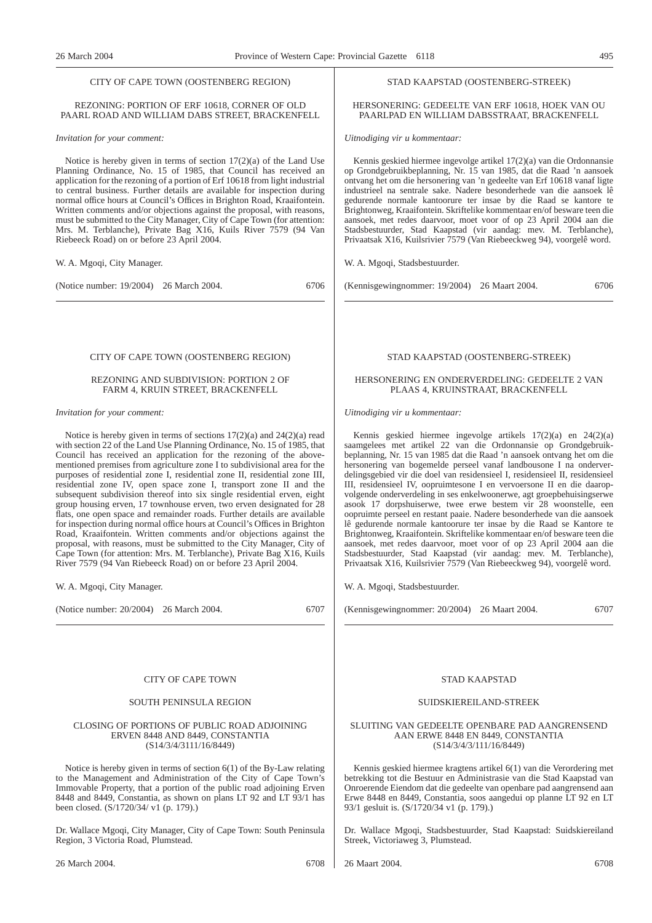#### CITY OF CAPE TOWN (OOSTENBERG REGION)

#### REZONING: PORTION OF ERF 10618, CORNER OF OLD PAARL ROAD AND WILLIAM DABS STREET, BRACKENFELL

#### *Invitation for your comment:*

Notice is hereby given in terms of section 17(2)(a) of the Land Use Planning Ordinance, No. 15 of 1985, that Council has received an application for the rezoning of a portion of Erf 10618 from light industrial to central business. Further details are available for inspection during normal office hours at Council's Offices in Brighton Road, Kraaifontein. Written comments and/or objections against the proposal, with reasons, must be submitted to the City Manager, City of Cape Town (for attention: Mrs. M. Terblanche), Private Bag X16, Kuils River 7579 (94 Van Riebeeck Road) on or before 23 April 2004.

W. A. Mgoqi, City Manager.

(Notice number: 19/2004) 26 March 2004. 6706

#### CITY OF CAPE TOWN (OOSTENBERG REGION)

#### REZONING AND SUBDIVISION: PORTION 2 OF FARM 4, KRUIN STREET, BRACKENFELL

#### *Invitation for your comment:*

Notice is hereby given in terms of sections 17(2)(a) and 24(2)(a) read with section 22 of the Land Use Planning Ordinance, No. 15 of 1985, that Council has received an application for the rezoning of the abovementioned premises from agriculture zone I to subdivisional area for the purposes of residential zone I, residential zone II, residential zone III, residential zone IV, open space zone I, transport zone II and the subsequent subdivision thereof into six single residential erven, eight group housing erven, 17 townhouse erven, two erven designated for 28 flats, one open space and remainder roads. Further details are available for inspection during normal office hours at Council's Offices in Brighton Road, Kraaifontein. Written comments and/or objections against the proposal, with reasons, must be submitted to the City Manager, City of Cape Town (for attention: Mrs. M. Terblanche), Private Bag X16, Kuils River 7579 (94 Van Riebeeck Road) on or before 23 April 2004.

W. A. Mgoqi, City Manager.

(Notice number: 20/2004) 26 March 2004. 6707

#### CITY OF CAPE TOWN

#### SOUTH PENINSULA REGION

#### CLOSING OF PORTIONS OF PUBLIC ROAD ADJOINING ERVEN 8448 AND 8449, CONSTANTIA (S14/3/4/3111/16/8449)

Notice is hereby given in terms of section 6(1) of the By-Law relating to the Management and Administration of the City of Cape Town's Immovable Property, that a portion of the public road adjoining Erven 8448 and 8449, Constantia, as shown on plans LT 92 and LT 93/1 has been closed. (S/1720/34/ v1 (p. 179).)

Dr. Wallace Mgoqi, City Manager, City of Cape Town: South Peninsula Region, 3 Victoria Road, Plumstead.

#### STAD KAAPSTAD (OOSTENBERG-STREEK)

#### HERSONERING: GEDEELTE VAN ERF 10618, HOEK VAN OU PAARLPAD EN WILLIAM DABSSTRAAT, BRACKENFELL

*Uitnodiging vir u kommentaar:*

Kennis geskied hiermee ingevolge artikel 17(2)(a) van die Ordonnansie op Grondgebruikbeplanning, Nr. 15 van 1985, dat die Raad 'n aansoek ontvang het om die hersonering van 'n gedeelte van Erf 10618 vanaf ligte industrieel na sentrale sake. Nadere besonderhede van die aansoek lê gedurende normale kantoorure ter insae by die Raad se kantore te Brightonweg, Kraaifontein. Skriftelike kommentaar en/of besware teen die aansoek, met redes daarvoor, moet voor of op 23 April 2004 aan die Stadsbestuurder, Stad Kaapstad (vir aandag: mev. M. Terblanche), Privaatsak X16, Kuilsrivier 7579 (Van Riebeeckweg 94), voorgelê word.

W. A. Mgoqi, Stadsbestuurder.

(Kennisgewingnommer: 19/2004) 26 Maart 2004. 6706

#### STAD KAAPSTAD (OOSTENBERG-STREEK)

#### HERSONERING EN ONDERVERDELING: GEDEELTE 2 VAN PLAAS 4, KRUINSTRAAT, BRACKENFELL

*Uitnodiging vir u kommentaar:*

Kennis geskied hiermee ingevolge artikels 17(2)(a) en 24(2)(a) saamgelees met artikel 22 van die Ordonnansie op Grondgebruikbeplanning, Nr. 15 van 1985 dat die Raad 'n aansoek ontvang het om die hersonering van bogemelde perseel vanaf landbousone I na onderverdelingsgebied vir die doel van residensieel I, residensieel II, residensieel III, residensieel IV, oopruimtesone I en vervoersone II en die daaropvolgende onderverdeling in ses enkelwoonerwe, agt groepbehuisingserwe asook 17 dorpshuiserwe, twee erwe bestem vir 28 woonstelle, een oopruimte perseel en restant paaie. Nadere besonderhede van die aansoek lê gedurende normale kantoorure ter insae by die Raad se Kantore te Brightonweg, Kraaifontein. Skriftelike kommentaar en/of besware teen die aansoek, met redes daarvoor, moet voor of op 23 April 2004 aan die Stadsbestuurder, Stad Kaapstad (vir aandag: mev. M. Terblanche), Privaatsak X16, Kuilsrivier 7579 (Van Riebeeckweg 94), voorgelê word.

W. A. Mgoqi, Stadsbestuurder.

(Kennisgewingnommer: 20/2004) 26 Maart 2004. 6707

#### STAD KAAPSTAD

#### SUIDSKIEREILAND-STREEK

#### SLUITING VAN GEDEELTE OPENBARE PAD AANGRENSEND AAN ERWE 8448 EN 8449, CONSTANTIA (S14/3/4/3/111/16/8449)

Kennis geskied hiermee kragtens artikel 6(1) van die Verordering met betrekking tot die Bestuur en Administrasie van die Stad Kaapstad van Onroerende Eiendom dat die gedeelte van openbare pad aangrensend aan Erwe 8448 en 8449, Constantia, soos aangedui op planne LT 92 en LT 93/1 gesluit is. (S/1720/34 v1 (p. 179).)

Dr. Wallace Mgoqi, Stadsbestuurder, Stad Kaapstad: Suidskiereiland Streek, Victoriaweg 3, Plumstead.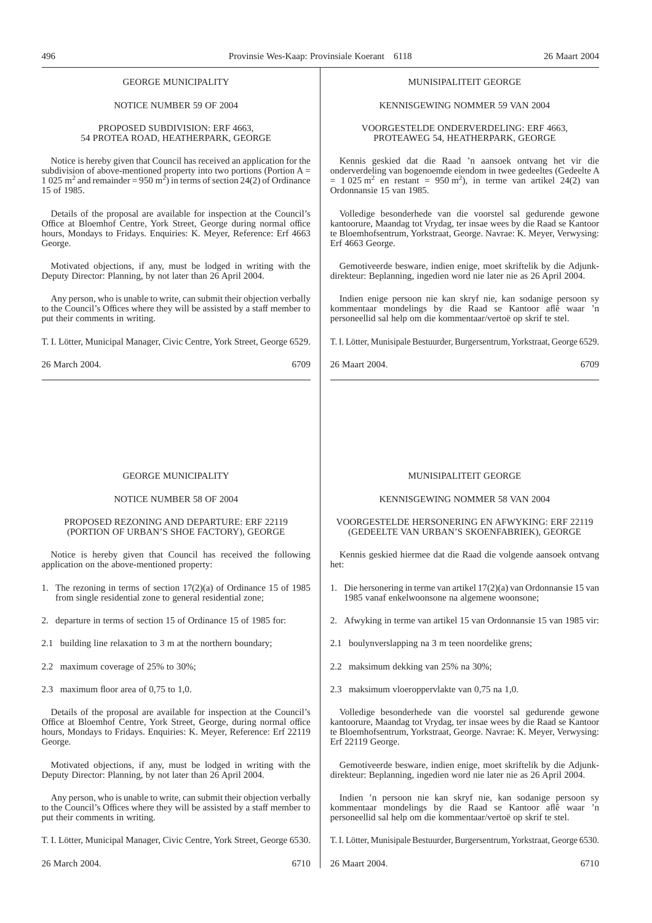| <b>GEORGE MUNICIPALITY</b>                                                                       | <b>MUNISIPALITEIT GEORGE</b>                                                              |
|--------------------------------------------------------------------------------------------------|-------------------------------------------------------------------------------------------|
| NOTICE NUMBER 59 OF 2004                                                                         | KENNISGEWING NOMMER 59 VAN 2004                                                           |
| PROPOSED SUBDIVISION: ERF 4663,                                                                  | VOORGESTELDE ONDERVERDELING: ERF 4663,                                                    |
| 54 PROTEA ROAD, HEATHERPARK, GEORGE                                                              | PROTEAWEG 54, HEATHERPARK, GEORGE                                                         |
| Notice is hereby given that Council has received an application for the                          | Kennis geskied dat die Raad 'n aansoek ontvang het vir die                                |
| subdivision of above-mentioned property into two portions (Portion $A =$                         | onderverdeling van bogenoemde eiendom in twee gedeeltes (Gedeelte A                       |
| 1 025 m <sup>2</sup> and remainder = 950 m <sup>2</sup> ) in terms of section 24(2) of Ordinance | $= 1025$ m <sup>2</sup> en restant = 950 m <sup>2</sup> ), in terme van artikel 24(2) van |
| 15 of 1985.                                                                                      | Ordonnansie 15 van 1985.                                                                  |
| Details of the proposal are available for inspection at the Council's                            | Volledige besonderhede van die voorstel sal gedurende gewone                              |
| Office at Bloemhof Centre, York Street, George during normal office                              | kantoorure, Maandag tot Vrydag, ter insae wees by die Raad se Kantoor                     |
| hours, Mondays to Fridays. Enquiries: K. Meyer, Reference: Erf 4663                              | te Bloemhofsentrum, Yorkstraat, George. Navrae: K. Meyer, Verwysing:                      |
| George.                                                                                          | Erf 4663 George.                                                                          |
| Motivated objections, if any, must be lodged in writing with the                                 | Gemotiveerde besware, indien enige, moet skriftelik by die Adjunk-                        |
| Deputy Director: Planning, by not later than 26 April 2004.                                      | direkteur: Beplanning, ingedien word nie later nie as 26 April 2004.                      |
| Any person, who is unable to write, can submit their objection verbally                          | Indien enige persoon nie kan skryf nie, kan sodanige persoon sy                           |
| to the Council's Offices where they will be assisted by a staff member to                        | kommentaar mondelings by die Raad se Kantoor aflê waar 'n                                 |
| put their comments in writing.                                                                   | personeellid sal help om die kommentaar/vertoë op skrif te stel.                          |
| T. I. Lötter, Municipal Manager, Civic Centre, York Street, George 6529.                         | T. I. Lötter, Munisipale Bestuurder, Burgersentrum, Yorkstraat, George 6529.              |
| 26 March 2004.                                                                                   | 26 Maart 2004.                                                                            |
| 6709                                                                                             | 6709                                                                                      |
| <b>GEORGE MUNICIPALITY</b>                                                                       | <b>MUNISIPALITEIT GEORGE</b>                                                              |
| NOTICE NUMBER 58 OF 2004                                                                         | KENNISGEWING NOMMER 58 VAN 2004                                                           |
|                                                                                                  |                                                                                           |
| PROPOSED REZONING AND DEPARTURE: ERF 22119                                                       | VOORGESTELDE HERSONERING EN AFWYKING: ERF 22119                                           |
| (PORTION OF URBAN'S SHOE FACTORY), GEORGE                                                        | (GEDEELTE VAN URBAN'S SKOENFABRIEK), GEORGE                                               |
| Notice is hereby given that Council has received the following                                   | Kennis geskied hiermee dat die Raad die volgende aansoek ontvang                          |
| application on the above-mentioned property:                                                     | het:                                                                                      |
| 1. The rezoning in terms of section $17(2)(a)$ of Ordinance 15 of 1985                           | 1. Die hersonering in terme van artikel 17(2)(a) van Ordonnansie 15 van                   |
| from single residential zone to general residential zone;                                        | 1985 vanaf enkelwoonsone na algemene woonsone;                                            |
| 2. departure in terms of section 15 of Ordinance 15 of 1985 for:                                 | 2. Afwyking in terme van artikel 15 van Ordonnansie 15 van 1985 vir:                      |
| building line relaxation to 3 m at the northern boundary;<br>2.1                                 | 2.1 boulynverslapping na 3 m teen noordelike grens;                                       |
| 2.2 maximum coverage of 25% to 30%;                                                              | 2.2 maksimum dekking van 25% na 30%;                                                      |
| 2.3 maximum floor area of 0,75 to 1,0.                                                           | 2.3 maksimum vloeroppervlakte van 0,75 na 1,0.                                            |
| Details of the proposal are available for inspection at the Council's                            | Volledige besonderhede van die voorstel sal gedurende gewone                              |
| Office at Bloemhof Centre, York Street, George, during normal office                             | kantoorure, Maandag tot Vrydag, ter insae wees by die Raad se Kantoor                     |
| hours, Mondays to Fridays. Enquiries: K. Meyer, Reference: Erf 22119                             | te Bloemhofsentrum, Yorkstraat, George. Navrae: K. Meyer, Verwysing:                      |
| George.                                                                                          | Erf 22119 George.                                                                         |
| Motivated objections, if any, must be lodged in writing with the                                 | Gemotiveerde besware, indien enige, moet skriftelik by die Adjunk-                        |
| Deputy Director: Planning, by not later than 26 April 2004.                                      | direkteur: Beplanning, ingedien word nie later nie as 26 April 2004.                      |
| Any person, who is unable to write, can submit their objection verbally                          | Indien 'n persoon nie kan skryf nie, kan sodanige persoon sy                              |
| to the Council's Offices where they will be assisted by a staff member to                        | kommentaar mondelings by die Raad se Kantoor aflê waar 'n                                 |
| put their comments in writing.                                                                   | personeellid sal help om die kommentaar/vertoë op skrif te stel.                          |
| T. I. Lötter, Municipal Manager, Civic Centre, York Street, George 6530.                         | T. I. Lötter, Munisipale Bestuurder, Burgersentrum, Yorkstraat, George 6530.              |
| 26 March 2004.                                                                                   | 26 Maart 2004.                                                                            |
| 6710                                                                                             | 6710                                                                                      |
|                                                                                                  |                                                                                           |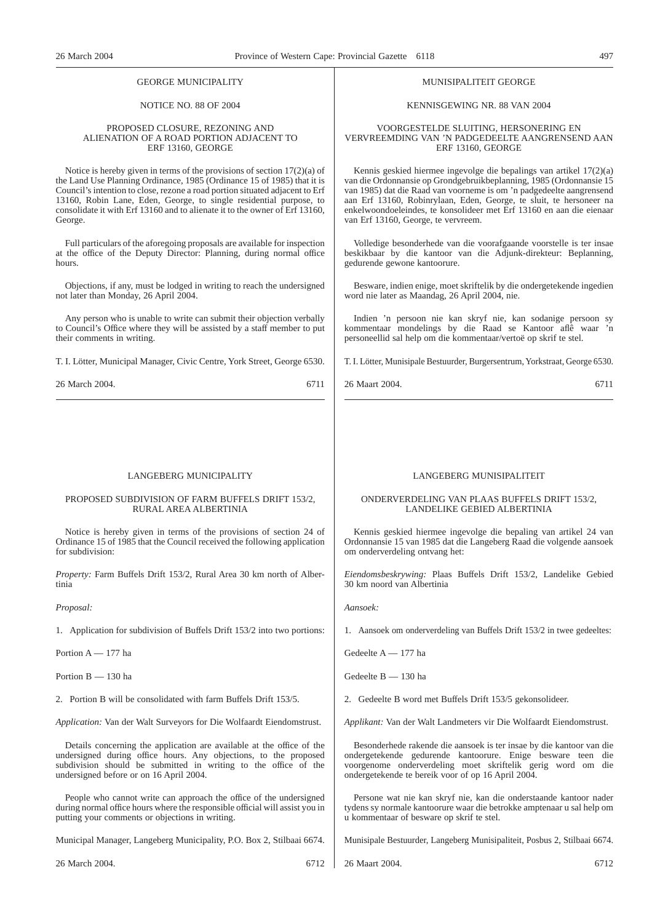#### GEORGE MUNICIPALITY

#### NOTICE NO. 88 OF 2004

#### PROPOSED CLOSURE, REZONING AND ALIENATION OF A ROAD PORTION ADJACENT TO ERF 13160, GEORGE

Notice is hereby given in terms of the provisions of section 17(2)(a) of the Land Use Planning Ordinance, 1985 (Ordinance 15 of 1985) that it is Council's intention to close, rezone a road portion situated adjacent to Erf 13160, Robin Lane, Eden, George, to single residential purpose, to consolidate it with Erf 13160 and to alienate it to the owner of Erf 13160, George.

Full particulars of the aforegoing proposals are available for inspection at the office of the Deputy Director: Planning, during normal office hours.

Objections, if any, must be lodged in writing to reach the undersigned not later than Monday, 26 April 2004.

Any person who is unable to write can submit their objection verbally to Council's Office where they will be assisted by a staff member to put their comments in writing.

T. I. Lötter, Municipal Manager, Civic Centre, York Street, George 6530.

| 26 March 2004. | 6711 |
|----------------|------|
|----------------|------|

#### LANGEBERG MUNICIPALITY

#### PROPOSED SUBDIVISION OF FARM BUFFELS DRIFT 153/2, RURAL AREA ALBERTINIA

Notice is hereby given in terms of the provisions of section 24 of Ordinance 15 of 1985 that the Council received the following application for subdivision:

*Property:* Farm Buffels Drift 153/2, Rural Area 30 km north of Albertinia

*Proposal:*

1. Application for subdivision of Buffels Drift 153/2 into two portions:

Portion A — 177 ha

Portion B — 130 ha

2. Portion B will be consolidated with farm Buffels Drift 153/5.

*Application:* Van der Walt Surveyors for Die Wolfaardt Eiendomstrust.

Details concerning the application are available at the office of the undersigned during office hours. Any objections, to the proposed subdivision should be submitted in writing to the office of the undersigned before or on 16 April 2004.

People who cannot write can approach the office of the undersigned during normal office hours where the responsible official will assist you in putting your comments or objections in writing.

Municipal Manager, Langeberg Municipality, P.O. Box 2, Stilbaai 6674.

26 March 2004. 6712

#### MUNISIPALITEIT GEORGE

#### KENNISGEWING NR. 88 VAN 2004

#### VOORGESTELDE SLUITING, HERSONERING EN VERVREEMDING VAN 'N PADGEDEELTE AANGRENSEND AAN ERF 13160, GEORGE

Kennis geskied hiermee ingevolge die bepalings van artikel 17(2)(a) van die Ordonnansie op Grondgebruikbeplanning, 1985 (Ordonnansie 15 van 1985) dat die Raad van voorneme is om 'n padgedeelte aangrensend aan Erf 13160, Robinrylaan, Eden, George, te sluit, te hersoneer na enkelwoondoeleindes, te konsolideer met Erf 13160 en aan die eienaar van Erf 13160, George, te vervreem.

Volledige besonderhede van die voorafgaande voorstelle is ter insae beskikbaar by die kantoor van die Adjunk-direkteur: Beplanning, gedurende gewone kantoorure.

Besware, indien enige, moet skriftelik by die ondergetekende ingedien word nie later as Maandag, 26 April 2004, nie.

Indien 'n persoon nie kan skryf nie, kan sodanige persoon sy kommentaar mondelings by die Raad se Kantoor aflê waar 'n personeellid sal help om die kommentaar/vertoë op skrif te stel.

T. I. Lötter, Munisipale Bestuurder, Burgersentrum, Yorkstraat, George 6530.

26 Maart 2004. 6711

### LANGEBERG MUNISIPALITEIT

#### ONDERVERDELING VAN PLAAS BUFFELS DRIFT 153/2, LANDELIKE GEBIED ALBERTINIA

Kennis geskied hiermee ingevolge die bepaling van artikel 24 van Ordonnansie 15 van 1985 dat die Langeberg Raad die volgende aansoek om onderverdeling ontvang het:

*Eiendomsbeskrywing:* Plaas Buffels Drift 153/2, Landelike Gebied 30 km noord van Albertinia

*Aansoek:*

1. Aansoek om onderverdeling van Buffels Drift 153/2 in twee gedeeltes:

Gedeelte A — 177 ha

Gedeelte B — 130 ha

2. Gedeelte B word met Buffels Drift 153/5 gekonsolideer.

*Applikant:* Van der Walt Landmeters vir Die Wolfaardt Eiendomstrust.

Besonderhede rakende die aansoek is ter insae by die kantoor van die ondergetekende gedurende kantoorure. Enige besware teen die voorgenome onderverdeling moet skriftelik gerig word om die ondergetekende te bereik voor of op 16 April 2004.

Persone wat nie kan skryf nie, kan die onderstaande kantoor nader tydens sy normale kantoorure waar die betrokke amptenaar u sal help om u kommentaar of besware op skrif te stel.

Munisipale Bestuurder, Langeberg Munisipaliteit, Posbus 2, Stilbaai 6674.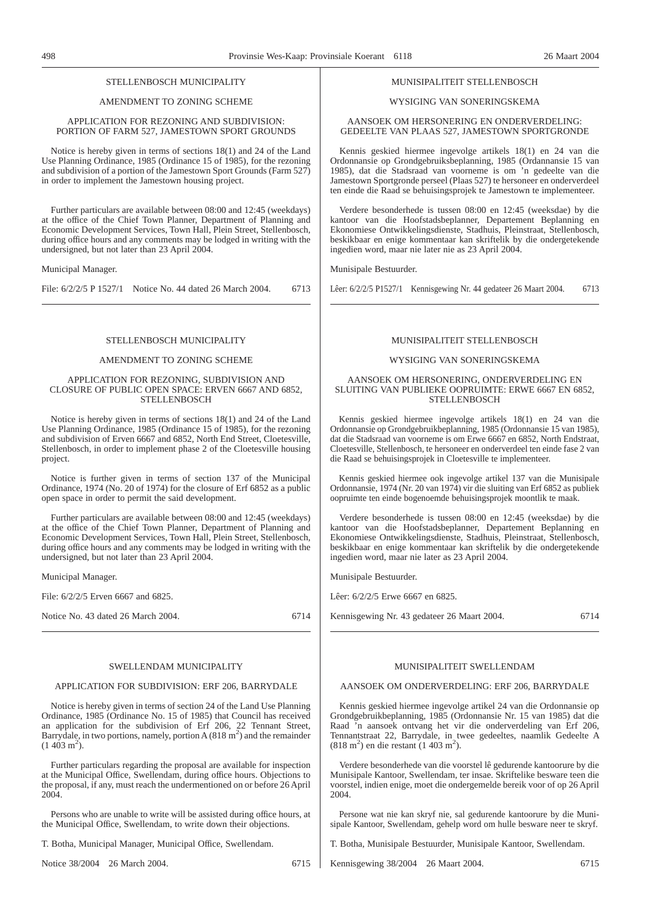#### STELLENBOSCH MUNICIPALITY

#### AMENDMENT TO ZONING SCHEME

#### APPLICATION FOR REZONING AND SUBDIVISION: PORTION OF FARM 527, JAMESTOWN SPORT GROUNDS

Notice is hereby given in terms of sections 18(1) and 24 of the Land Use Planning Ordinance, 1985 (Ordinance 15 of 1985), for the rezoning and subdivision of a portion of the Jamestown Sport Grounds (Farm 527) in order to implement the Jamestown housing project.

Further particulars are available between 08:00 and 12:45 (weekdays) at the office of the Chief Town Planner, Department of Planning and Economic Development Services, Town Hall, Plein Street, Stellenbosch, during office hours and any comments may be lodged in writing with the undersigned, but not later than 23 April 2004.

#### Municipal Manager.

File: 6/2/2/5 P 1527/1 Notice No. 44 dated 26 March 2004. 6713

#### STELLENBOSCH MUNICIPALITY

#### AMENDMENT TO ZONING SCHEME

#### APPLICATION FOR REZONING, SUBDIVISION AND CLOSURE OF PUBLIC OPEN SPACE: ERVEN 6667 AND 6852, **STELLENBOSCH**

Notice is hereby given in terms of sections 18(1) and 24 of the Land Use Planning Ordinance, 1985 (Ordinance 15 of 1985), for the rezoning and subdivision of Erven 6667 and 6852, North End Street, Cloetesville, Stellenbosch, in order to implement phase 2 of the Cloetesville housing project.

Notice is further given in terms of section 137 of the Municipal Ordinance, 1974 (No. 20 of 1974) for the closure of Erf 6852 as a public open space in order to permit the said development.

Further particulars are available between 08:00 and 12:45 (weekdays) at the office of the Chief Town Planner, Department of Planning and Economic Development Services, Town Hall, Plein Street, Stellenbosch, during office hours and any comments may be lodged in writing with the undersigned, but not later than 23 April 2004.

Municipal Manager.

File: 6/2/2/5 Erven 6667 and 6825.

Notice No. 43 dated 26 March 2004. 6714

#### SWELLENDAM MUNICIPALITY

#### APPLICATION FOR SUBDIVISION: ERF 206, BARRYDALE

Notice is hereby given in terms of section 24 of the Land Use Planning Ordinance, 1985 (Ordinance No. 15 of 1985) that Council has received an application for the subdivision of Erf 206, 22 Tennant Street, Barrydale, in two portions, namely, portion A  $(818 \text{ m}^2)$  and the remainder  $(1\ 403\ \mathrm{m}^2)$ .

Further particulars regarding the proposal are available for inspection at the Municipal Office, Swellendam, during office hours. Objections to the proposal, if any, must reach the undermentioned on or before 26 April 2004.

Persons who are unable to write will be assisted during office hours, at the Municipal Office, Swellendam, to write down their objections.

T. Botha, Municipal Manager, Municipal Office, Swellendam.

Notice 38/2004 26 March 2004. 6715

#### MUNISIPALITEIT STELLENBOSCH

### WYSIGING VAN SONERINGSKEMA

AANSOEK OM HERSONERING EN ONDERVERDELING: GEDEELTE VAN PLAAS 527, JAMESTOWN SPORTGRONDE

Kennis geskied hiermee ingevolge artikels 18(1) en 24 van die Ordonnansie op Grondgebruiksbeplanning, 1985 (Ordannansie 15 van 1985), dat die Stadsraad van voorneme is om 'n gedeelte van die Jamestown Sportgronde perseel (Plaas 527) te hersoneer en onderverdeel ten einde die Raad se behuisingsprojek te Jamestown te implementeer.

Verdere besonderhede is tussen 08:00 en 12:45 (weeksdae) by die kantoor van die Hoofstadsbeplanner, Departement Beplanning en Ekonomiese Ontwikkelingsdienste, Stadhuis, Pleinstraat, Stellenbosch, beskikbaar en enige kommentaar kan skriftelik by die ondergetekende ingedien word, maar nie later nie as 23 April 2004.

Munisipale Bestuurder.

Lêer: 6/2/2/5 P1527/1 Kennisgewing Nr. 44 gedateer 26 Maart 2004. 6713

#### MUNISIPALITEIT STELLENBOSCH

#### WYSIGING VAN SONERINGSKEMA

#### AANSOEK OM HERSONERING, ONDERVERDELING EN SLUITING VAN PUBLIEKE OOPRUIMTE: ERWE 6667 EN 6852, **STELLENBOSCH**

Kennis geskied hiermee ingevolge artikels 18(1) en 24 van die Ordonnansie op Grondgebruikbeplanning, 1985 (Ordonnansie 15 van 1985), dat die Stadsraad van voorneme is om Erwe 6667 en 6852, North Endstraat, Cloetesville, Stellenbosch, te hersoneer en onderverdeel ten einde fase 2 van die Raad se behuisingsprojek in Cloetesville te implementeer.

Kennis geskied hiermee ook ingevolge artikel 137 van die Munisipale Ordonnansie, 1974 (Nr. 20 van 1974) vir die sluiting van Erf 6852 as publiek oopruimte ten einde bogenoemde behuisingsprojek moontlik te maak.

Verdere besonderhede is tussen 08:00 en 12:45 (weeksdae) by die kantoor van die Hoofstadsbeplanner, Departement Beplanning en Ekonomiese Ontwikkelingsdienste, Stadhuis, Pleinstraat, Stellenbosch, beskikbaar en enige kommentaar kan skriftelik by die ondergetekende ingedien word, maar nie later as 23 April 2004.

Munisipale Bestuurder.

Lêer: 6/2/2/5 Erwe 6667 en 6825.

Kennisgewing Nr. 43 gedateer 26 Maart 2004. 6714

#### MUNISIPALITEIT SWELLENDAM

#### AANSOEK OM ONDERVERDELING: ERF 206, BARRYDALE

Kennis geskied hiermee ingevolge artikel 24 van die Ordonnansie op Grondgebruikbeplanning, 1985 (Ordonnansie Nr. 15 van 1985) dat die Raad 'n aansoek ontvang het vir die onderverdeling van Erf 206, Tennantstraat 22, Barrydale, in twee gedeeltes, naamlik Gedeelte A  $(818 \text{ m}^2)$  en die restant (1 403 m<sup>2</sup>).

Verdere besonderhede van die voorstel lê gedurende kantoorure by die Munisipale Kantoor, Swellendam, ter insae. Skriftelike besware teen die voorstel, indien enige, moet die ondergemelde bereik voor of op 26 April 2004.

Persone wat nie kan skryf nie, sal gedurende kantoorure by die Munisipale Kantoor, Swellendam, gehelp word om hulle besware neer te skryf.

T. Botha, Munisipale Bestuurder, Munisipale Kantoor, Swellendam.

Kennisgewing 38/2004 26 Maart 2004. 6715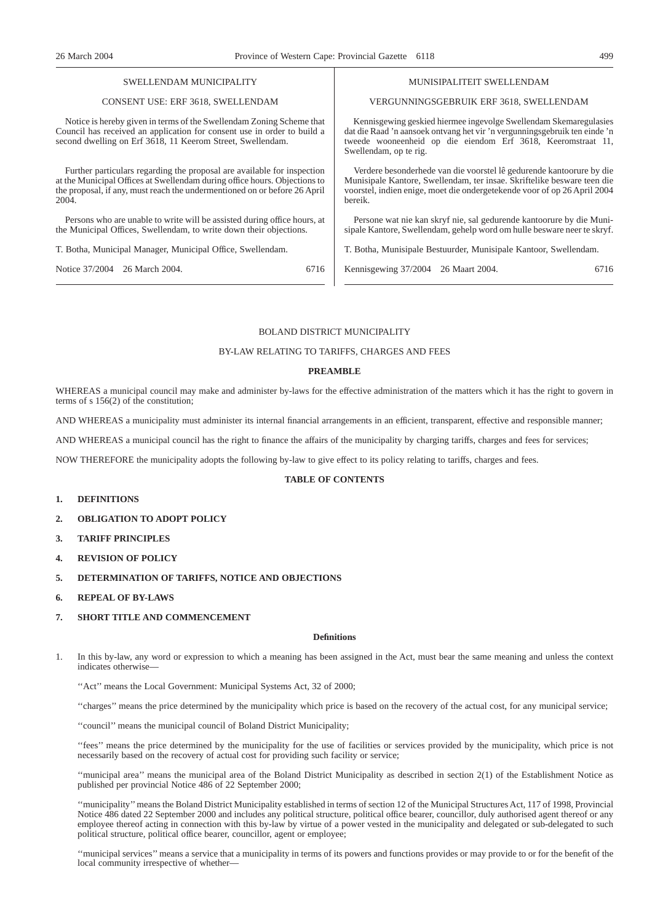#### SWELLENDAM MUNICIPALITY

#### CONSENT USE: ERF 3618, SWELLENDAM

Notice is hereby given in terms of the Swellendam Zoning Scheme that Council has received an application for consent use in order to build a second dwelling on Erf 3618, 11 Keerom Street, Swellendam.

Further particulars regarding the proposal are available for inspection at the Municipal Offices at Swellendam during office hours. Objections to the proposal, if any, must reach the undermentioned on or before 26 April 2004.

Persons who are unable to write will be assisted during office hours, at the Municipal Offices, Swellendam, to write down their objections.

T. Botha, Municipal Manager, Municipal Office, Swellendam.

Notice 37/2004 26 March 2004. 6716

MUNISIPALITEIT SWELLENDAM

#### VERGUNNINGSGEBRUIK ERF 3618, SWELLENDAM

Kennisgewing geskied hiermee ingevolge Swellendam Skemaregulasies dat die Raad 'n aansoek ontvang het vir 'n vergunningsgebruik ten einde 'n tweede wooneenheid op die eiendom Erf 3618, Keeromstraat 11, Swellendam, op te rig.

Verdere besonderhede van die voorstel lê gedurende kantoorure by die Munisipale Kantore, Swellendam, ter insae. Skriftelike besware teen die voorstel, indien enige, moet die ondergetekende voor of op 26 April 2004 bereik.

Persone wat nie kan skryf nie, sal gedurende kantoorure by die Munisipale Kantore, Swellendam, gehelp word om hulle besware neer te skryf.

T. Botha, Munisipale Bestuurder, Munisipale Kantoor, Swellendam.

Kennisgewing 37/2004 26 Maart 2004. 6716

### BOLAND DISTRICT MUNICIPALITY

#### BY-LAW RELATING TO TARIFFS, CHARGES AND FEES

#### **PREAMBLE**

WHEREAS a municipal council may make and administer by-laws for the effective administration of the matters which it has the right to govern in terms of s  $156(2)$  of the constitution;

AND WHEREAS a municipality must administer its internal financial arrangements in an efficient, transparent, effective and responsible manner;

AND WHEREAS a municipal council has the right to finance the affairs of the municipality by charging tariffs, charges and fees for services;

NOW THEREFORE the municipality adopts the following by-law to give effect to its policy relating to tariffs, charges and fees.

#### **TABLE OF CONTENTS**

- **1. DEFINITIONS**
- **2. OBLIGATION TO ADOPT POLICY**
- **3. TARIFF PRINCIPLES**
- **4. REVISION OF POLICY**
- **5. DETERMINATION OF TARIFFS, NOTICE AND OBJECTIONS**
- **6. REPEAL OF BY-LAWS**

#### **7. SHORT TITLE AND COMMENCEMENT**

#### **Definitions**

1. In this by-law, any word or expression to which a meaning has been assigned in the Act, must bear the same meaning and unless the context indicates otherwise—

"Act" means the Local Government: Municipal Systems Act, 32 of 2000;

''charges'' means the price determined by the municipality which price is based on the recovery of the actual cost, for any municipal service;

''council'' means the municipal council of Boland District Municipality;

''fees'' means the price determined by the municipality for the use of facilities or services provided by the municipality, which price is not necessarily based on the recovery of actual cost for providing such facility or service;

''municipal area'' means the municipal area of the Boland District Municipality as described in section 2(1) of the Establishment Notice as published per provincial Notice 486 of 22 September 2000;

''municipality''means the Boland District Municipality established in terms of section 12 of the Municipal Structures Act, 117 of 1998, Provincial Notice 486 dated 22 September 2000 and includes any political structure, political office bearer, councillor, duly authorised agent thereof or any employee thereof acting in connection with this by-law by virtue of a power vested in the municipality and delegated or sub-delegated to such political structure, political office bearer, councillor, agent or employee;

''municipal services'' means a service that a municipality in terms of its powers and functions provides or may provide to or for the benefit of the local community irrespective of whether—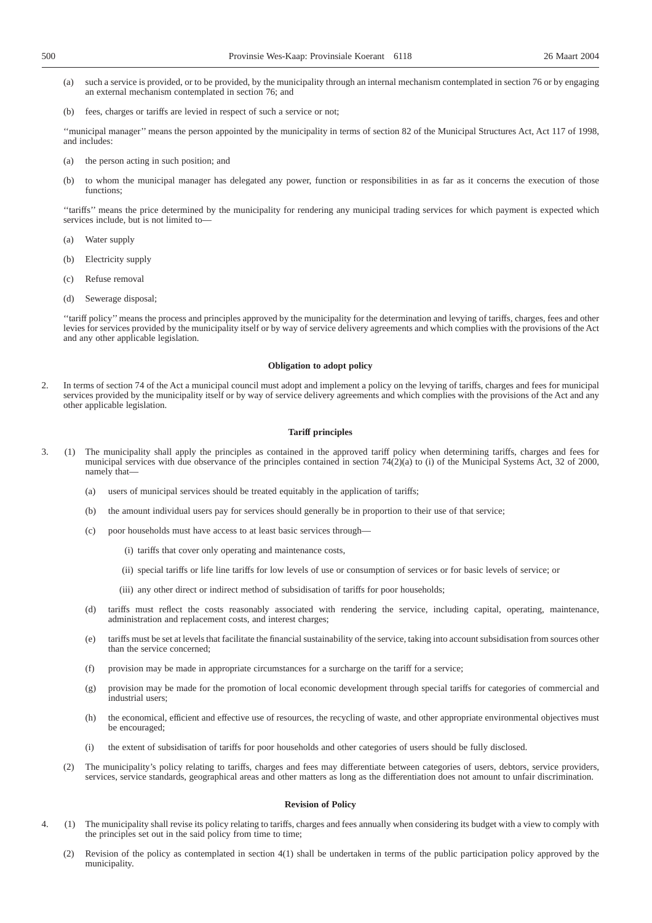- (a) such a service is provided, or to be provided, by the municipality through an internal mechanism contemplated in section 76 or by engaging an external mechanism contemplated in section 76; and
- (b) fees, charges or tariffs are levied in respect of such a service or not;

''municipal manager'' means the person appointed by the municipality in terms of section 82 of the Municipal Structures Act, Act 117 of 1998, and includes:

- (a) the person acting in such position; and
- (b) to whom the municipal manager has delegated any power, function or responsibilities in as far as it concerns the execution of those functions;

''tariffs'' means the price determined by the municipality for rendering any municipal trading services for which payment is expected which services include, but is not limited to—

- (a) Water supply
- (b) Electricity supply
- (c) Refuse removal
- (d) Sewerage disposal;

''tariff policy''means the process and principles approved by the municipality for the determination and levying of tariffs, charges, fees and other levies for services provided by the municipality itself or by way of service delivery agreements and which complies with the provisions of the Act and any other applicable legislation.

#### **Obligation to adopt policy**

2. In terms of section 74 of the Act a municipal council must adopt and implement a policy on the levying of tariffs, charges and fees for municipal services provided by the municipality itself or by way of service delivery agreements and which complies with the provisions of the Act and any other applicable legislation.

#### **Tariff principles**

- 3. (1) The municipality shall apply the principles as contained in the approved tariff policy when determining tariffs, charges and fees for municipal services with due observance of the principles contained in section 74(2)(a) to (i) of the Municipal Systems Act, 32 of 2000, namely that—
	- (a) users of municipal services should be treated equitably in the application of tariffs;
	- (b) the amount individual users pay for services should generally be in proportion to their use of that service;
	- (c) poor households must have access to at least basic services through—
		- (i) tariffs that cover only operating and maintenance costs,
		- (ii) special tariffs or life line tariffs for low levels of use or consumption of services or for basic levels of service; or
		- (iii) any other direct or indirect method of subsidisation of tariffs for poor households;
	- (d) tariffs must reflect the costs reasonably associated with rendering the service, including capital, operating, maintenance, administration and replacement costs, and interest charges;
	- (e) tariffs must be set at levels that facilitate the financial sustainability of the service, taking into account subsidisation from sources other than the service concerned;
	- (f) provision may be made in appropriate circumstances for a surcharge on the tariff for a service;
	- (g) provision may be made for the promotion of local economic development through special tariffs for categories of commercial and industrial users;
	- (h) the economical, efficient and effective use of resources, the recycling of waste, and other appropriate environmental objectives must be encouraged;
	- (i) the extent of subsidisation of tariffs for poor households and other categories of users should be fully disclosed.
	- (2) The municipality's policy relating to tariffs, charges and fees may differentiate between categories of users, debtors, service providers, services, service standards, geographical areas and other matters as long as the differentiation does not amount to unfair discrimination.

#### **Revision of Policy**

- 4. (1) The municipality shall revise its policy relating to tariffs, charges and fees annually when considering its budget with a view to comply with the principles set out in the said policy from time to time;
	- (2) Revision of the policy as contemplated in section 4(1) shall be undertaken in terms of the public participation policy approved by the municipality.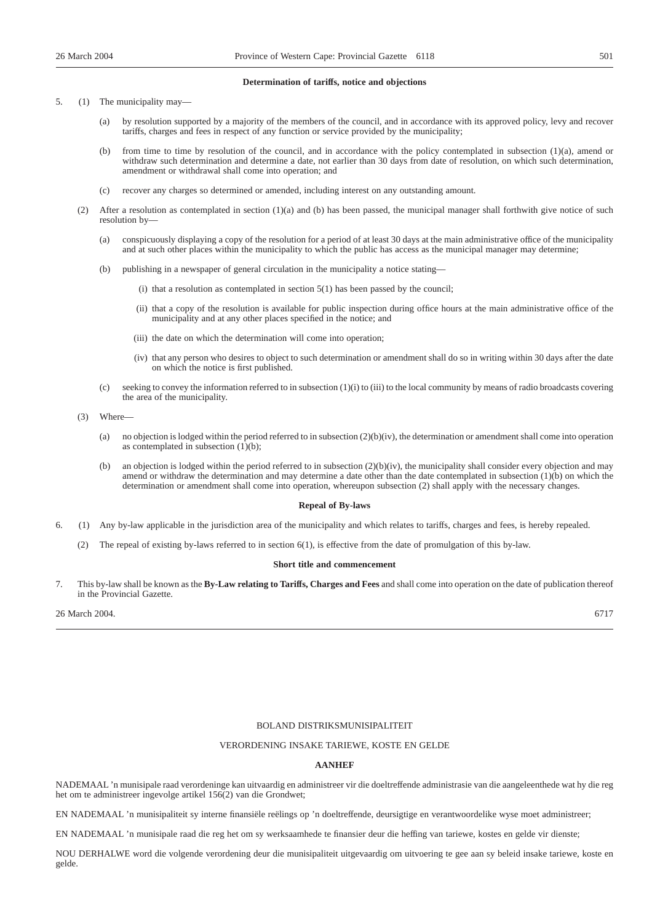#### **Determination of tariffs, notice and objections**

5. (1) The municipality may—

- (a) by resolution supported by a majority of the members of the council, and in accordance with its approved policy, levy and recover tariffs, charges and fees in respect of any function or service provided by the municipality;
- (b) from time to time by resolution of the council, and in accordance with the policy contemplated in subsection (1)(a), amend or withdraw such determination and determine a date, not earlier than 30 days from date of resolution, on which such determination, amendment or withdrawal shall come into operation; and
- (c) recover any charges so determined or amended, including interest on any outstanding amount.
- (2) After a resolution as contemplated in section (1)(a) and (b) has been passed, the municipal manager shall forthwith give notice of such resolution by—
	- (a) conspicuously displaying a copy of the resolution for a period of at least 30 days at the main administrative office of the municipality and at such other places within the municipality to which the public has access as the municipal manager may determine;
	- (b) publishing in a newspaper of general circulation in the municipality a notice stating—
		- $(i)$  that a resolution as contemplated in section  $5(1)$  has been passed by the council;
		- (ii) that a copy of the resolution is available for public inspection during office hours at the main administrative office of the municipality and at any other places specified in the notice; and
		- (iii) the date on which the determination will come into operation;
		- (iv) that any person who desires to object to such determination or amendment shall do so in writing within 30 days after the date on which the notice is first published.
	- (c) seeking to convey the information referred to in subsection (1)(i) to (iii) to the local community by means of radio broadcasts covering the area of the municipality.
- (3) Where—
	- (a) no objection is lodged within the period referred to in subsection  $(2)(b)(iv)$ , the determination or amendment shall come into operation as contemplated in subsection (1)(b);
	- (b) an objection is lodged within the period referred to in subsection  $(2)(b)(iv)$ , the municipality shall consider every objection and may amend or withdraw the determination and may determine a date other than the date contemplated in subsection (1)(b) on which the determination or amendment shall come into operation, whereupon subsection (2) shall apply with the necessary changes.

#### **Repeal of By-laws**

- 6. (1) Any by-law applicable in the jurisdiction area of the municipality and which relates to tariffs, charges and fees, is hereby repealed.
	- (2) The repeal of existing by-laws referred to in section 6(1), is effective from the date of promulgation of this by-law.

#### **Short title and commencement**

7. This by-law shall be known as the **By-Law relating to Tariffs, Charges and Fees** and shall come into operation on the date of publication thereof in the Provincial Gazette.

26 March 2004. 6717

#### BOLAND DISTRIKSMUNISIPALITEIT

#### VERORDENING INSAKE TARIEWE, KOSTE EN GELDE

#### **AANHEF**

NADEMAAL 'n munisipale raad verordeninge kan uitvaardig en administreer vir die doeltreffende administrasie van die aangeleenthede wat hy die reg het om te administreer ingevolge artikel 156(2) van die Grondwet;

EN NADEMAAL 'n munisipaliteit sy interne finansiële reëlings op 'n doeltreffende, deursigtige en verantwoordelike wyse moet administreer;

EN NADEMAAL 'n munisipale raad die reg het om sy werksaamhede te finansier deur die heffing van tariewe, kostes en gelde vir dienste;

NOU DERHALWE word die volgende verordening deur die munisipaliteit uitgevaardig om uitvoering te gee aan sy beleid insake tariewe, koste en gelde.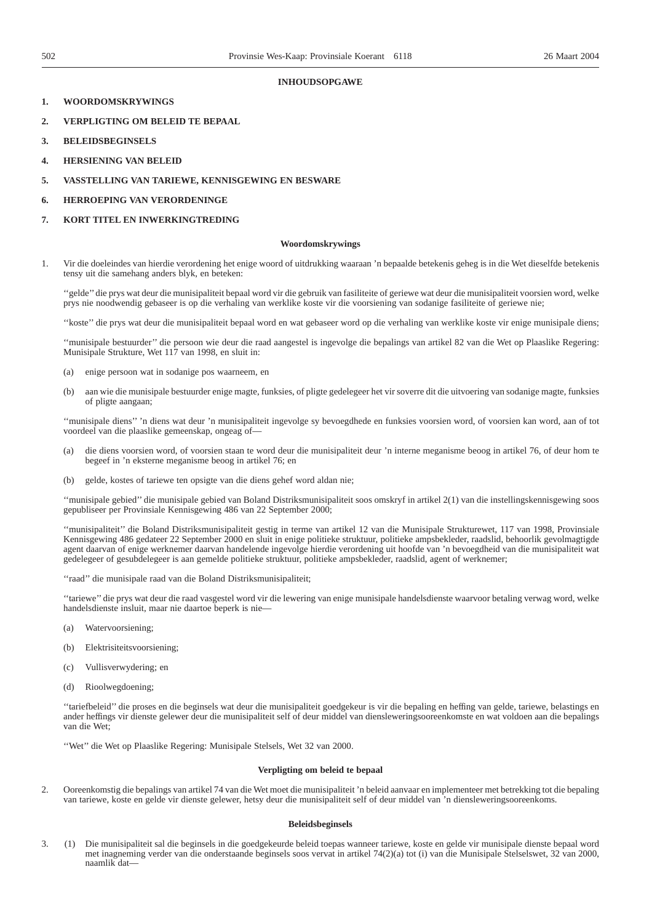#### **INHOUDSOPGAWE**

- **1. WOORDOMSKRYWINGS**
- **2. VERPLIGTING OM BELEID TE BEPAAL**
- **3. BELEIDSBEGINSELS**
- **4. HERSIENING VAN BELEID**
- **5. VASSTELLING VAN TARIEWE, KENNISGEWING EN BESWARE**
- **6. HERROEPING VAN VERORDENINGE**
- **7. KORT TITEL EN INWERKINGTREDING**

#### **Woordomskrywings**

1. Vir die doeleindes van hierdie verordening het enige woord of uitdrukking waaraan 'n bepaalde betekenis geheg is in die Wet dieselfde betekenis tensy uit die samehang anders blyk, en beteken:

''gelde''die prys wat deur die munisipaliteit bepaal word vir die gebruik van fasiliteite of geriewe wat deur die munisipaliteit voorsien word, welke prys nie noodwendig gebaseer is op die verhaling van werklike koste vir die voorsiening van sodanige fasiliteite of geriewe nie;

''koste'' die prys wat deur die munisipaliteit bepaal word en wat gebaseer word op die verhaling van werklike koste vir enige munisipale diens;

''munisipale bestuurder'' die persoon wie deur die raad aangestel is ingevolge die bepalings van artikel 82 van die Wet op Plaaslike Regering: Munisipale Strukture, Wet 117 van 1998, en sluit in:

- (a) enige persoon wat in sodanige pos waarneem, en
- (b) aan wie die munisipale bestuurder enige magte, funksies, of pligte gedelegeer het vir soverre dit die uitvoering van sodanige magte, funksies of pligte aangaan;

''munisipale diens'' 'n diens wat deur 'n munisipaliteit ingevolge sy bevoegdhede en funksies voorsien word, of voorsien kan word, aan of tot voordeel van die plaaslike gemeenskap, ongeag of—

- (a) die diens voorsien word, of voorsien staan te word deur die munisipaliteit deur 'n interne meganisme beoog in artikel 76, of deur hom te begeef in 'n eksterne meganisme beoog in artikel 76; en
- (b) gelde, kostes of tariewe ten opsigte van die diens gehef word aldan nie;

''munisipale gebied'' die munisipale gebied van Boland Distriksmunisipaliteit soos omskryf in artikel 2(1) van die instellingskennisgewing soos gepubliseer per Provinsiale Kennisgewing 486 van 22 September 2000;

''munisipaliteit'' die Boland Distriksmunisipaliteit gestig in terme van artikel 12 van die Munisipale Strukturewet, 117 van 1998, Provinsiale Kennisgewing 486 gedateer 22 September 2000 en sluit in enige politieke struktuur, politieke ampsbekleder, raadslid, behoorlik gevolmagtigde agent daarvan of enige werknemer daarvan handelende ingevolge hierdie verordening uit hoofde van 'n bevoegdheid van die munisipaliteit wat gedelegeer of gesubdelegeer is aan gemelde politieke struktuur, politieke ampsbekleder, raadslid, agent of werknemer;

''raad'' die munisipale raad van die Boland Distriksmunisipaliteit;

''tariewe'' die prys wat deur die raad vasgestel word vir die lewering van enige munisipale handelsdienste waarvoor betaling verwag word, welke handelsdienste insluit, maar nie daartoe beperk is nie—

- (a) Watervoorsiening;
- (b) Elektrisiteitsvoorsiening;
- (c) Vullisverwydering; en
- (d) Rioolwegdoening;

''tariefbeleid'' die proses en die beginsels wat deur die munisipaliteit goedgekeur is vir die bepaling en heffing van gelde, tariewe, belastings en ander heffings vir dienste gelewer deur die munisipaliteit self of deur middel van diensleweringsooreenkomste en wat voldoen aan die bepalings van die Wet;

''Wet'' die Wet op Plaaslike Regering: Munisipale Stelsels, Wet 32 van 2000.

#### **Verpligting om beleid te bepaal**

2. Ooreenkomstig die bepalings van artikel 74 van die Wet moet die munisipaliteit 'n beleid aanvaar en implementeer met betrekking tot die bepaling van tariewe, koste en gelde vir dienste gelewer, hetsy deur die munisipaliteit self of deur middel van 'n diensleweringsooreenkoms.

#### **Beleidsbeginsels**

3. (1) Die munisipaliteit sal die beginsels in die goedgekeurde beleid toepas wanneer tariewe, koste en gelde vir munisipale dienste bepaal word met inagneming verder van die onderstaande beginsels soos vervat in artikel 74(2)(a) tot (i) van die Munisipale Stelselswet, 32 van 2000, naamlik dat—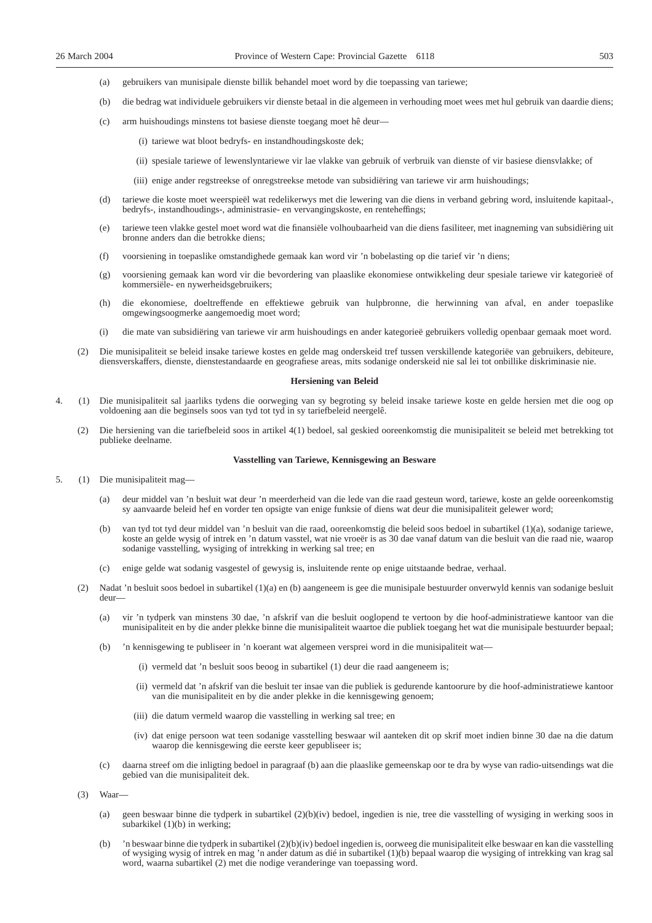- (a) gebruikers van munisipale dienste billik behandel moet word by die toepassing van tariewe;
- (b) die bedrag wat individuele gebruikers vir dienste betaal in die algemeen in verhouding moet wees met hul gebruik van daardie diens;
- (c) arm huishoudings minstens tot basiese dienste toegang moet hê deur—
	- (i) tariewe wat bloot bedryfs- en instandhoudingskoste dek;
	- (ii) spesiale tariewe of lewenslyntariewe vir lae vlakke van gebruik of verbruik van dienste of vir basiese diensvlakke; of
	- (iii) enige ander regstreekse of onregstreekse metode van subsidiëring van tariewe vir arm huishoudings;
- (d) tariewe die koste moet weerspieël wat redelikerwys met die lewering van die diens in verband gebring word, insluitende kapitaal-, bedryfs-, instandhoudings-, administrasie- en vervangingskoste, en renteheffings;
- (e) tariewe teen vlakke gestel moet word wat die finansiële volhoubaarheid van die diens fasiliteer, met inagneming van subsidiëring uit bronne anders dan die betrokke diens;
- (f) voorsiening in toepaslike omstandighede gemaak kan word vir 'n bobelasting op die tarief vir 'n diens;
- (g) voorsiening gemaak kan word vir die bevordering van plaaslike ekonomiese ontwikkeling deur spesiale tariewe vir kategorieë of kommersiële- en nywerheidsgebruikers;
- (h) die ekonomiese, doeltreffende en effektiewe gebruik van hulpbronne, die herwinning van afval, en ander toepaslike omgewingsoogmerke aangemoedig moet word;
- (i) die mate van subsidiëring van tariewe vir arm huishoudings en ander kategorieë gebruikers volledig openbaar gemaak moet word.
- (2) Die munisipaliteit se beleid insake tariewe kostes en gelde mag onderskeid tref tussen verskillende kategoriëe van gebruikers, debiteure, diensverskaffers, dienste, dienstestandaarde en geografiese areas, mits sodanige onderskeid nie sal lei tot onbillike diskriminasie nie.

#### **Hersiening van Beleid**

- 4. (1) Die munisipaliteit sal jaarliks tydens die oorweging van sy begroting sy beleid insake tariewe koste en gelde hersien met die oog op voldoening aan die beginsels soos van tyd tot tyd in sy tariefbeleid neergelê.
	- (2) Die hersiening van die tariefbeleid soos in artikel 4(1) bedoel, sal geskied ooreenkomstig die munisipaliteit se beleid met betrekking tot publieke deelname.

#### **Vasstelling van Tariewe, Kennisgewing an Besware**

- 5. (1) Die munisipaliteit mag—
	- (a) deur middel van 'n besluit wat deur 'n meerderheid van die lede van die raad gesteun word, tariewe, koste an gelde ooreenkomstig sy aanvaarde beleid hef en vorder ten opsigte van enige funksie of diens wat deur die munisipaliteit gelewer word;
	- (b) van tyd tot tyd deur middel van 'n besluit van die raad, ooreenkomstig die beleid soos bedoel in subartikel (1)(a), sodanige tariewe, koste an gelde wysig of intrek en 'n datum vasstel, wat nie vroeër is as 30 dae vanaf datum van die besluit van die raad nie, waarop sodanige vasstelling, wysiging of intrekking in werking sal tree; en
	- (c) enige gelde wat sodanig vasgestel of gewysig is, insluitende rente op enige uitstaande bedrae, verhaal.
	- (2) Nadat 'n besluit soos bedoel in subartikel (1)(a) en (b) aangeneem is gee die munisipale bestuurder onverwyld kennis van sodanige besluit deur—
		- (a) vir 'n tydperk van minstens 30 dae, 'n afskrif van die besluit ooglopend te vertoon by die hoof-administratiewe kantoor van die munisipaliteit en by die ander plekke binne die munisipaliteit waartoe die publiek toegang het wat die munisipale bestuurder bepaal;
		- (b) 'n kennisgewing te publiseer in 'n koerant wat algemeen versprei word in die munisipaliteit wat—
			- (i) vermeld dat 'n besluit soos beoog in subartikel (1) deur die raad aangeneem is;
			- (ii) vermeld dat 'n afskrif van die besluit ter insae van die publiek is gedurende kantoorure by die hoof-administratiewe kantoor van die munisipaliteit en by die ander plekke in die kennisgewing genoem;
			- (iii) die datum vermeld waarop die vasstelling in werking sal tree; en
			- (iv) dat enige persoon wat teen sodanige vasstelling beswaar wil aanteken dit op skrif moet indien binne 30 dae na die datum waarop die kennisgewing die eerste keer gepubliseer is;
		- (c) daarna streef om die inligting bedoel in paragraaf (b) aan die plaaslike gemeenskap oor te dra by wyse van radio-uitsendings wat die gebied van die munisipaliteit dek.
	- (3) Waar—
		- (a) geen beswaar binne die tydperk in subartikel (2)(b)(iv) bedoel, ingedien is nie, tree die vasstelling of wysiging in werking soos in subarkikel (1)(b) in werking;
		- (b) 'n beswaar binne die tydperk in subartikel (2)(b)(iv) bedoel ingedien is, oorweeg die munisipaliteit elke beswaar en kan die vasstelling of wysiging wysig of intrek en mag 'n ander datum as dié in subartikel (1)(b) bepaal waarop die wysiging of intrekking van krag sal word, waarna subartikel (2) met die nodige veranderinge van toepassing word.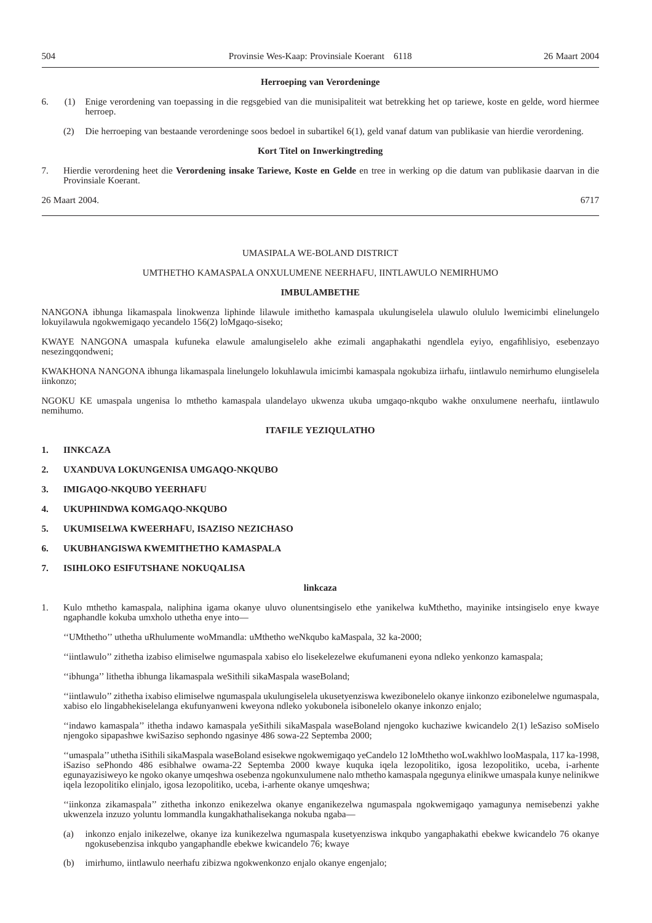#### **Herroeping van Verordeninge**

- 6. (1) Enige verordening van toepassing in die regsgebied van die munisipaliteit wat betrekking het op tariewe, koste en gelde, word hiermee herroep.
	- (2) Die herroeping van bestaande verordeninge soos bedoel in subartikel 6(1), geld vanaf datum van publikasie van hierdie verordening.

#### **Kort Titel on Inwerkingtreding**

7. Hierdie verordening heet die **Verordening insake Tariewe, Koste en Gelde** en tree in werking op die datum van publikasie daarvan in die Provinsiale Koerant.

26 Maart 2004. 6717

#### UMASIPALA WE-BOLAND DISTRICT

#### UMTHETHO KAMASPALA ONXULUMENE NEERHAFU, IINTLAWULO NEMIRHUMO

#### **IMBULAMBETHE**

NANGONA ibhunga likamaspala linokwenza liphinde lilawule imithetho kamaspala ukulungiselela ulawulo olululo lwemicimbi elinelungelo lokuyilawula ngokwemigaqo yecandelo 156(2) loMgaqo-siseko;

KWAYE NANGONA umaspala kufuneka elawule amalungiselelo akhe ezimali angaphakathi ngendlela eyiyo, engafihlisiyo, esebenzayo nesezingqondweni;

KWAKHONA NANGONA ibhunga likamaspala linelungelo lokuhlawula imicimbi kamaspala ngokubiza iirhafu, iintlawulo nemirhumo elungiselela iinkonzo;

NGOKU KE umaspala ungenisa lo mthetho kamaspala ulandelayo ukwenza ukuba umgaqo-nkqubo wakhe onxulumene neerhafu, iintlawulo nemihumo.

#### **ITAFILE YEZIQULATHO**

- **1. IINKCAZA**
- **2. UXANDUVA LOKUNGENISA UMGAQO-NKQUBO**
- **3. IMIGAQO-NKQUBO YEERHAFU**
- **4. UKUPHINDWA KOMGAQO-NKQUBO**
- **5. UKUMISELWA KWEERHAFU, ISAZISO NEZICHASO**
- **6. UKUBHANGISWA KWEMITHETHO KAMASPALA**
- **7. ISIHLOKO ESIFUTSHANE NOKUQALISA**

#### **linkcaza**

1. Kulo mthetho kamaspala, naliphina igama okanye uluvo olunentsingiselo ethe yanikelwa kuMthetho, mayinike intsingiselo enye kwaye ngaphandle kokuba umxholo uthetha enye into—

''UMthetho'' uthetha uRhulumente woMmandla: uMthetho weNkqubo kaMaspala, 32 ka-2000;

''iintlawulo'' zithetha izabiso elimiselwe ngumaspala xabiso elo lisekelezelwe ekufumaneni eyona ndleko yenkonzo kamaspala;

''ibhunga'' lithetha ibhunga likamaspala weSithili sikaMaspala waseBoland;

''iintlawulo'' zithetha ixabiso elimiselwe ngumaspala ukulungiselela ukusetyenziswa kwezibonelelo okanye iinkonzo ezibonelelwe ngumaspala, xabiso elo lingabhekiselelanga ekufunyanweni kweyona ndleko yokubonela isibonelelo okanye inkonzo enjalo;

''indawo kamaspala'' ithetha indawo kamaspala yeSithili sikaMaspala waseBoland njengoko kuchaziwe kwicandelo 2(1) leSaziso soMiselo njengoko sipapashwe kwiSaziso sephondo ngasinye 486 sowa-22 Septemba 2000;

''umaspala'' uthetha iSithili sikaMaspala waseBoland esisekwe ngokwemigaqo yeCandelo 12 loMthetho woLwakhlwo looMaspala, 117 ka-1998, iSaziso sePhondo 486 esibhalwe owama-22 Septemba 2000 kwaye kuquka iqela lezopolitiko, igosa lezopolitiko, uceba, i-arhente egunayazisiweyo ke ngoko okanye umqeshwa osebenza ngokunxulumene nalo mthetho kamaspala ngegunya elinikwe umaspala kunye nelinikwe iqela lezopolitiko elinjalo, igosa lezopolitiko, uceba, i-arhente okanye umqeshwa;

''iinkonza zikamaspala'' zithetha inkonzo enikezelwa okanye enganikezelwa ngumaspala ngokwemigaqo yamagunya nemisebenzi yakhe ukwenzela inzuzo yoluntu lommandla kungakhathalisekanga nokuba ngaba—

- (a) inkonzo enjalo inikezelwe, okanye iza kunikezelwa ngumaspala kusetyenziswa inkqubo yangaphakathi ebekwe kwicandelo 76 okanye ngokusebenzisa inkqubo yangaphandle ebekwe kwicandelo 76; kwaye
- (b) imirhumo, iintlawulo neerhafu zibizwa ngokwenkonzo enjalo okanye engenjalo;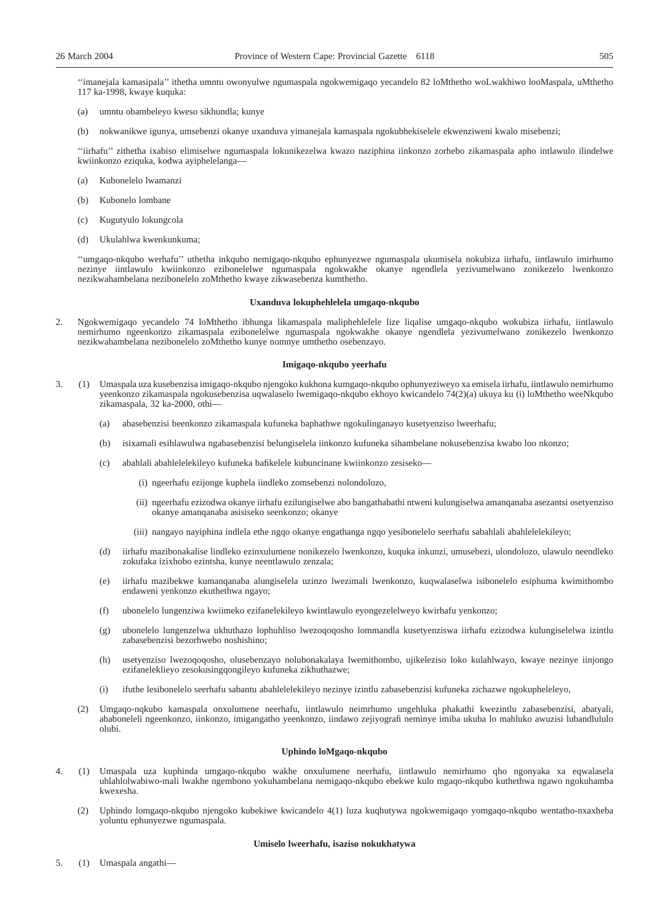''imanejala kamasipala'' ithetha umntu owonyulwe ngumaspala ngokwemigaqo yecandelo 82 loMthetho woLwakhiwo looMaspala, uMthetho 117 ka-1998, kwaye kuquka:

- (a) umntu obambeleyo kweso sikhundla; kunye
- (b) nokwanikwe igunya, umsebenzi okanye uxanduva yimanejala kamaspala ngokubhekiselele ekwenziweni kwalo misebenzi;

''iirhafu'' zithetha ixabiso elimiselwe ngumaspala lokunikezelwa kwazo naziphina iinkonzo zorhebo zikamaspala apho intlawulo ilindelwe kwiinkonzo eziquka, kodwa ayiphelelanga—

- (a) Kubonelelo lwamanzi
- (b) Kubonelo lombane
- (c) Kugutyulo lokungcola
- (d) Ukulahlwa kwenkunkuma;

''umgaqo-nkqubo werhafu'' uthetha inkqubo nemigaqo-nkqubo ephunyezwe ngumaspala ukumisela nokubiza iirhafu, iintlawulo imirhumo nezinye iintlawulo kwiinkonzo ezibonelelwe ngumaspala ngokwakhe okanye ngendlela yezivumelwano zonikezelo lwenkonzo nezikwahambelana nezibonelelo zoMthetho kwaye zikwasebenza kumthetho.

#### **Uxanduva lokuphehlelela umgaqo-nkqubo**

2. Ngokwemigaqo yecandelo 74 loMthetho ibhunga likamaspala maliphehlelele lize liqalise umgaqo-nkqubo wokubiza iirhafu, iintlawulo nemirhumo ngeenkonzo zikamaspala ezibonelelwe ngumaspala ngokwakhe okanye ngendlela yezivumelwano zonikezelo lwenkonzo nezikwahambelana nezibonelelo zoMthetho kunye nomnye umthetho osebenzayo.

#### **Imigaqo-nkqubo yeerhafu**

- 3. (1) Umaspala uza kusebenzisa imigaqo-nkqubo njengoko kukhona kumgaqo-nkqubo ophunyeziweyo xa emisela iirhafu, iintlawulo nemirhumo yeenkonzo zikamaspala ngokusebenzisa uqwalaselo lwemigaqo-nkqubo ekhoyo kwicandelo 74(2)(a) ukuya ku (i) loMthetho weeNkqubo zikamaspala, 32 ka-2000, othi—
	- (a) abasebenzisi beenkonzo zikamaspala kufuneka baphathwe ngokulinganayo kusetyenziso lweerhafu;
	- (b) isixamali esihlawulwa ngabasebenzisi belungiselela iinkonzo kufuneka sihambelane nokusebenzisa kwabo loo nkonzo;
	- (c) abahlali abahlelelekileyo kufuneka bafikelele kubuncinane kwiinkonzo zesiseko—
		- (i) ngeerhafu ezijonge kuphela iindleko zomsebenzi nolondolozo,
		- (ii) ngeerhafu ezizodwa okanye iirhafu ezilungiselwe abo bangathabathi ntweni kulungiselwa amanqanaba asezantsi osetyenziso okanye amanqanaba asisiseko seenkonzo; okanye
		- (iii) nangayo nayiphina indlela ethe ngqo okanye engathanga ngqo yesibonelelo seerhafu sabahlali abahlelelekileyo;
	- (d) iirhafu mazibonakalise lindleko ezinxulumene nonikezelo lwenkonzo, kuquka inkunzi, umusebezi, ulondolozo, ulawulo neendleko zokufaka izixhobo ezintsha, kunye neentlawulo zenzala;
	- (e) iirhafu mazibekwe kumanqanaba alungiselela uzinzo lwezimali lwenkonzo, kuqwalaselwa isibonelelo esiphuma kwimithombo endaweni yenkonzo ekuthethwa ngayo;
	- (f) ubonelelo lungenziwa kwiimeko ezifanelekileyo kwintlawulo eyongezelelweyo kwirhafu yenkonzo;
	- (g) ubonelelo lungenzelwa ukhuthazo lophuhliso lwezoqoqosho lommandla kusetyenziswa iirhafu ezizodwa kulungiselelwa izintlu zabasebenzisi bezorhwebo noshishino;
	- (h) usetyenziso lwezoqoqosho, olusebenzayo nolubonakalaya lwemithombo, ujikeleziso loko kulahlwayo, kwaye nezinye iinjongo ezifaneleklieyo zesokusingqongileyo kufuneka zikhuthazwe;
	- (i) ifuthe lesibonelelo seerhafu sabantu abahlelelekileyo nezinye izintlu zabasebenzisi kufuneka zichazwe ngokupheleleyo,
	- (2) Umgaqo-nqkubo kamaspala onxulumene neerhafu, iintlawulo neimrhumo ungehluka phakathi kwezintlu zabasebenzisi, abatyali, ababoneleli ngeenkonzo, iinkonzo, imigangatho yeenkonzo, iindawo zejiyografi neminye imiba ukuba lo mahluko awuzisi lubandlululo olubi.

#### **Uphindo loMgaqo-nkqubo**

- 4. (1) Umaspala uza kuphinda umgaqo-nkqubo wakhe onxulumene neerhafu, iintlawulo nemirhumo qho ngonyaka xa eqwalasela uhlahlolwabiwo-mali lwakhe ngembono yokuhambelana nemigaqo-nkqubo ebekwe kulo mgaqo-nkqubo kuthethwa ngawo ngokuhamba kwexesha.
	- (2) Uphindo lomgaqo-nkqubo njengoko kubekiwe kwicandelo 4(1) luza kuqhutywa ngokwemigaqo yomgaqo-nkqubo wentatho-nxaxheba yoluntu ephunyezwe ngumaspala.

#### **Umiselo lweerhafu, isaziso nokukhatywa**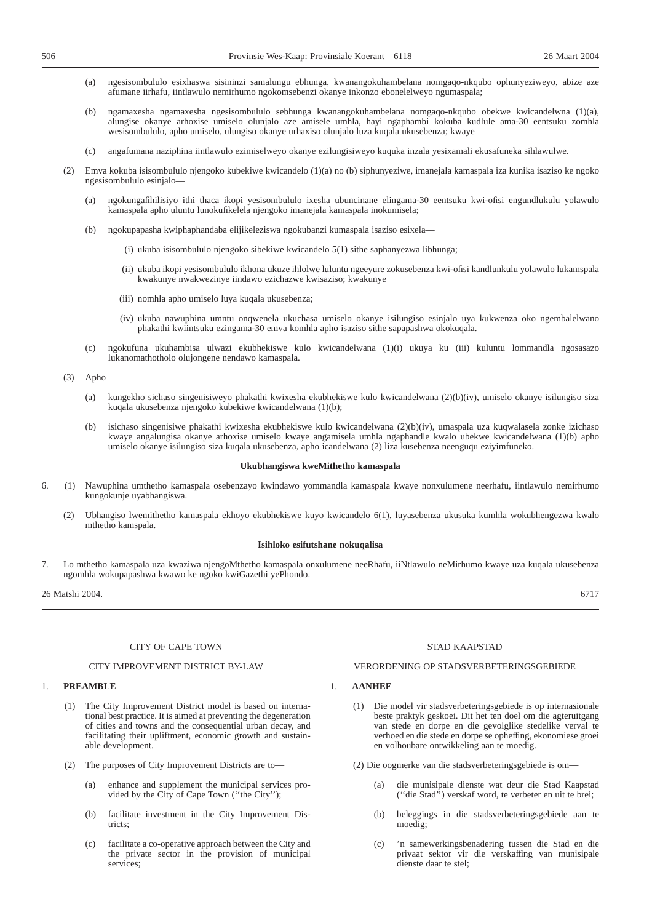- (a) ngesisombululo esixhaswa sisininzi samalungu ebhunga, kwanangokuhambelana nomgaqo-nkqubo ophunyeziweyo, abize aze afumane iirhafu, iintlawulo nemirhumo ngokomsebenzi okanye inkonzo ebonelelweyo ngumaspala;
- (b) ngamaxesha ngamaxesha ngesisombululo sebhunga kwanangokuhambelana nomgaqo-nkqubo obekwe kwicandelwna (1)(a), alungise okanye arhoxise umiselo olunjalo aze amisele umhla, hayi ngaphambi kokuba kudlule ama-30 eentsuku zomhla wesisombululo, apho umiselo, ulungiso okanye urhaxiso olunjalo luza kuqala ukusebenza; kwaye
- (c) angafumana naziphina iintlawulo ezimiselweyo okanye ezilungisiweyo kuquka inzala yesixamali ekusafuneka sihlawulwe.
- (2) Emva kokuba isisombululo njengoko kubekiwe kwicandelo (1)(a) no (b) siphunyeziwe, imanejala kamaspala iza kunika isaziso ke ngoko ngesisombululo esinjalo—
	- (a) ngokungafihilisiyo ithi thaca ikopi yesisombululo ixesha ubuncinane elingama-30 eentsuku kwi-ofisi engundlukulu yolawulo kamaspala apho uluntu lunokufikelela njengoko imanejala kamaspala inokumisela;
	- (b) ngokupapasha kwiphaphandaba elijikeleziswa ngokubanzi kumaspala isaziso esixela—
		- (i) ukuba isisombululo njengoko sibekiwe kwicandelo 5(1) sithe saphanyezwa libhunga;
		- (ii) ukuba ikopi yesisombululo ikhona ukuze ihlolwe luluntu ngeeyure zokusebenza kwi-ofisi kandlunkulu yolawulo lukamspala kwakunye nwakwezinye iindawo ezichazwe kwisaziso; kwakunye
		- (iii) nomhla apho umiselo luya kuqala ukusebenza;
		- (iv) ukuba nawuphina umntu onqwenela ukuchasa umiselo okanye isilungiso esinjalo uya kukwenza oko ngembalelwano phakathi kwiintsuku ezingama-30 emva komhla apho isaziso sithe sapapashwa okokuqala.
	- (c) ngokufuna ukuhambisa ulwazi ekubhekiswe kulo kwicandelwana (1)(i) ukuya ku (iii) kuluntu lommandla ngosasazo lukanomathotholo olujongene nendawo kamaspala.

(3) Apho—

- (a) kungekho sichaso singenisiweyo phakathi kwixesha ekubhekiswe kulo kwicandelwana (2)(b)(iv), umiselo okanye isilungiso siza kuqala ukusebenza njengoko kubekiwe kwicandelwana (1)(b);
- (b) isichaso singenisiwe phakathi kwixesha ekubhekiswe kulo kwicandelwana (2)(b)(iv), umaspala uza kuqwalasela zonke izichaso kwaye angalungisa okanye arhoxise umiselo kwaye angamisela umhla ngaphandle kwalo ubekwe kwicandelwana (1)(b) apho umiselo okanye isilungiso siza kuqala ukusebenza, apho icandelwana (2) liza kusebenza neenguqu eziyimfuneko.

#### **Ukubhangiswa kweMithetho kamaspala**

- 6. (1) Nawuphina umthetho kamaspala osebenzayo kwindawo yommandla kamaspala kwaye nonxulumene neerhafu, iintlawulo nemirhumo kungokunje uyabhangiswa.
	- (2) Ubhangiso lwemithetho kamaspala ekhoyo ekubhekiswe kuyo kwicandelo 6(1), luyasebenza ukusuka kumhla wokubhengezwa kwalo mthetho kamspala.

#### **Isihloko esifutshane nokuqalisa**

7. Lo mthetho kamaspala uza kwaziwa njengoMthetho kamaspala onxulumene neeRhafu, iiNtlawulo neMirhumo kwaye uza kuqala ukusebenza ngomhla wokupapashwa kwawo ke ngoko kwiGazethi yePhondo.

26 Matshi 2004. 6717

#### CITY OF CAPE TOWN

#### CITY IMPROVEMENT DISTRICT BY-LAW

#### 1. **PREAMBLE**

- (1) The City Improvement District model is based on international best practice. It is aimed at preventing the degeneration of cities and towns and the consequential urban decay, and facilitating their upliftment, economic growth and sustainable development.
- (2) The purposes of City Improvement Districts are to—
	- (a) enhance and supplement the municipal services provided by the City of Cape Town (''the City'');
	- (b) facilitate investment in the City Improvement Districts;
	- (c) facilitate a co-operative approach between the City and the private sector in the provision of municipal services;

#### STAD KAAPSTAD

#### VERORDENING OP STADSVERBETERINGSGEBIEDE

#### 1. **AANHEF**

- (1) Die model vir stadsverbeteringsgebiede is op internasionale beste praktyk geskoei. Dit het ten doel om die agteruitgang van stede en dorpe en die gevolglike stedelike verval te verhoed en die stede en dorpe se opheffing, ekonomiese groei en volhoubare ontwikkeling aan te moedig.
- (2) Die oogmerke van die stadsverbeteringsgebiede is om—
	- (a) die munisipale dienste wat deur die Stad Kaapstad (''die Stad'') verskaf word, te verbeter en uit te brei;
	- (b) beleggings in die stadsverbeteringsgebiede aan te moedig;
	- (c) 'n samewerkingsbenadering tussen die Stad en die privaat sektor vir die verskaffing van munisipale dienste daar te stel;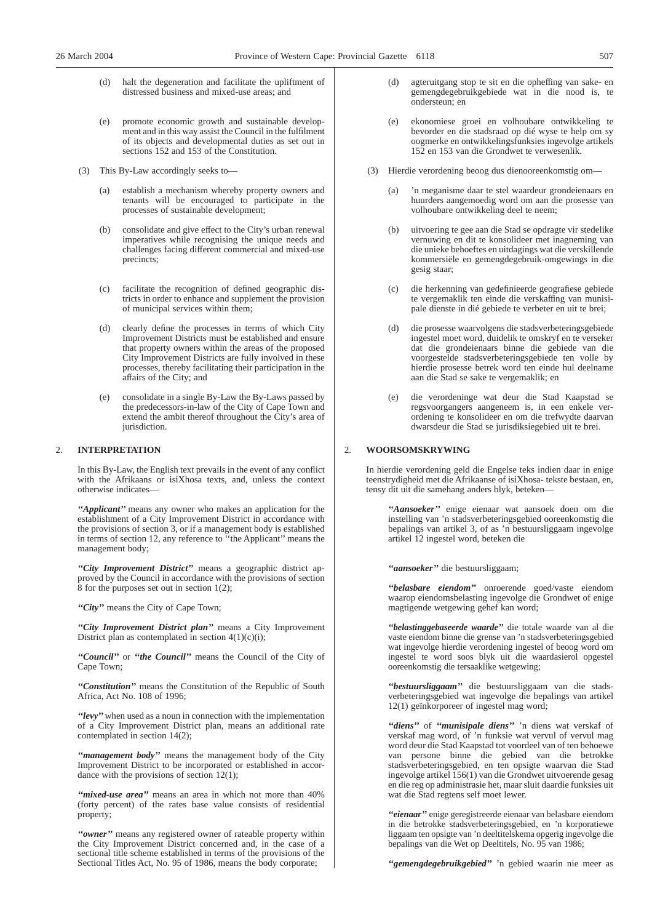- (d) halt the degeneration and facilitate the upliftment of distressed business and mixed-use areas; and
- (e) promote economic growth and sustainable development and in this way assist the Council in the fulfilment of its objects and developmental duties as set out in sections 152 and 153 of the Constitution.
- (3) This By-Law accordingly seeks to—
	- (a) establish a mechanism whereby property owners and tenants will be encouraged to participate in the processes of sustainable development;
	- consolidate and give effect to the City's urban renewal imperatives while recognising the unique needs and challenges facing different commercial and mixed-use precincts;
	- (c) facilitate the recognition of defined geographic districts in order to enhance and supplement the provision of municipal services within them;
	- (d) clearly define the processes in terms of which City Improvement Districts must be established and ensure that property owners within the areas of the proposed City Improvement Districts are fully involved in these processes, thereby facilitating their participation in the affairs of the City; and
	- (e) consolidate in a single By-Law the By-Laws passed by the predecessors-in-law of the City of Cape Town and extend the ambit thereof throughout the City's area of jurisdiction.

#### 2. **INTERPRETATION**

In this By-Law, the English text prevails in the event of any conflict with the Afrikaans or isiXhosa texts, and, unless the context otherwise indicates—

*''Applicant''* means any owner who makes an application for the establishment of a City Improvement District in accordance with the provisions of section 3, or if a management body is established in terms of section 12, any reference to ''the Applicant'' means the management body;

*''City Improvement District''* means a geographic district approved by the Council in accordance with the provisions of section 8 for the purposes set out in section 1(2);

*''City''* means the City of Cape Town;

*''City Improvement District plan''* means a City Improvement District plan as contemplated in section  $4(1)(c)(i)$ ;

*''Council''* or *''the Council''* means the Council of the City of Cape Town;

*''Constitution''* means the Constitution of the Republic of South Africa, Act No. 108 of 1996;

*''levy''*when used as a noun in connection with the implementation of a City Improvement District plan, means an additional rate contemplated in section 14(2);

*''management body''* means the management body of the City Improvement District to be incorporated or established in accordance with the provisions of section 12(1);

*''mixed-use area''* means an area in which not more than 40% (forty percent) of the rates base value consists of residential property;

*''owner''* means any registered owner of rateable property within the City Improvement District concerned and, in the case of a sectional title scheme established in terms of the provisions of the Sectional Titles Act, No. 95 of 1986, means the body corporate;

- agteruitgang stop te sit en die opheffing van sake- en gemengdegebruikgebiede wat in die nood is, te ondersteun; en
- (e) ekonomiese groei en volhoubare ontwikkeling te bevorder en die stadsraad op dié wyse te help om sy oogmerke en ontwikkelingsfunksies ingevolge artikels 152 en 153 van die Grondwet te verwesenlik.
- (3) Hierdie verordening beoog dus dienooreenkomstig om—
	- (a) 'n meganisme daar te stel waardeur grondeienaars en huurders aangemoedig word om aan die prosesse van volhoubare ontwikkeling deel te neem;
	- (b) uitvoering te gee aan die Stad se opdragte vir stedelike vernuwing en dit te konsolideer met inagneming van die unieke behoeftes en uitdagings wat die verskillende kommersiële en gemengdegebruik-omgewings in die gesig staar;
	- (c) die herkenning van gedefinieerde geografiese gebiede te vergemaklik ten einde die verskaffing van munisipale dienste in dié gebiede te verbeter en uit te brei;
	- (d) die prosesse waarvolgens die stadsverbeteringsgebiede ingestel moet word, duidelik te omskryf en te verseker dat die grondeienaars binne die gebiede van die voorgestelde stadsverbeteringsgebiede ten volle by hierdie prosesse betrek word ten einde hul deelname aan die Stad se sake te vergemaklik; en
	- (e) die verordeninge wat deur die Stad Kaapstad se regsvoorgangers aangeneem is, in een enkele verordening te konsolideer en om die trefwydte daarvan dwarsdeur die Stad se jurisdiksiegebied uit te brei.

#### 2. **WOORSOMSKRYWING**

In hierdie verordening geld die Engelse teks indien daar in enige teenstrydigheid met die Afrikaanse of isiXhosa- tekste bestaan, en, tensy dit uit die samehang anders blyk, beteken—

*''Aansoeker''* enige eienaar wat aansoek doen om die instelling van 'n stadsverbeteringsgebied ooreenkomstig die bepalings van artikel 3, of as 'n bestuursliggaam ingevolge artikel 12 ingestel word, beteken die

*''aansoeker''* die bestuursliggaam;

*''belasbare eiendom''* onroerende goed/vaste eiendom waarop eiendomsbelasting ingevolge die Grondwet of enige magtigende wetgewing gehef kan word;

*''belastinggebaseerde waarde''* die totale waarde van al die vaste eiendom binne die grense van 'n stadsverbeteringsgebied wat ingevolge hierdie verordening ingestel of beoog word om ingestel te word soos blyk uit die waardasierol opgestel ooreenkomstig die tersaaklike wetgewing;

*''bestuursliggaam''* die bestuursliggaam van die stadsverbeteringsgebied wat ingevolge die bepalings van artikel 12(1) geïnkorporeer of ingestel mag word;

*''diens''* of *''munisipale diens''* 'n diens wat verskaf of verskaf mag word, of 'n funksie wat vervul of vervul mag word deur die Stad Kaapstad tot voordeel van of ten behoewe van persone binne die gebied van die betrokke stadsverbeteringsgebied, en ten opsigte waarvan die Stad ingevolge artikel 156(1) van die Grondwet uitvoerende gesag en die reg op administrasie het, maar sluit daardie funksies uit wat die Stad regtens self moet lewer.

*''eienaar''* enige geregistreerde eienaar van belasbare eiendom in die betrokke stadsverbeteringsgebied, en 'n korporatiewe liggaam ten opsigte van 'n deeltitelskema opgerig ingevolge die bepalings van die Wet op Deeltitels, No. 95 van 1986;

*''gemengdegebruikgebied''* 'n gebied waarin nie meer as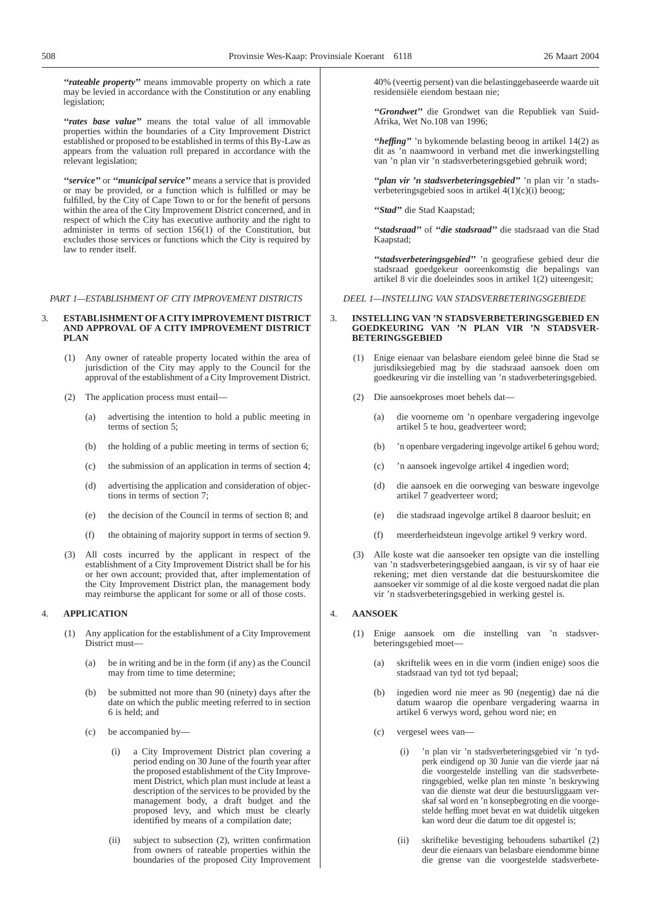*''rateable property''* means immovable property on which a rate may be levied in accordance with the Constitution or any enabling legislation;

*''rates base value''* means the total value of all immovable properties within the boundaries of a City Improvement District established or proposed to be established in terms of this By-Law as appears from the valuation roll prepared in accordance with the relevant legislation;

*''service''* or *''municipal service''* means a service that is provided or may be provided, or a function which is fulfilled or may be fulfilled, by the City of Cape Town to or for the benefit of persons within the area of the City Improvement District concerned, and in respect of which the City has executive authority and the right to administer in terms of section 156(1) of the Constitution, but excludes those services or functions which the City is required by law to render itself.

*PART 1—ESTABLISHMENT OF CITY IMPROVEMENT DISTRICTS*

#### 3. **ESTABLISHMENT OFA CITY IMPROVEMENT DISTRICT AND APPROVAL OF A CITY IMPROVEMENT DISTRICT PLAN**

- (1) Any owner of rateable property located within the area of jurisdiction of the City may apply to the Council for the approval of the establishment of a City Improvement District.
- (2) The application process must entail—
	- (a) advertising the intention to hold a public meeting in terms of section 5;
	- (b) the holding of a public meeting in terms of section 6;
	- (c) the submission of an application in terms of section 4;
	- (d) advertising the application and consideration of objections in terms of section 7;
	- (e) the decision of the Council in terms of section 8; and
	- (f) the obtaining of majority support in terms of section 9.
- (3) All costs incurred by the applicant in respect of the establishment of a City Improvement District shall be for his or her own account; provided that, after implementation of the City Improvement District plan, the management body may reimburse the applicant for some or all of those costs.

#### 4. **APPLICATION**

- (1) Any application for the establishment of a City Improvement District must—
	- (a) be in writing and be in the form (if any) as the Council may from time to time determine;
	- (b) be submitted not more than 90 (ninety) days after the date on which the public meeting referred to in section 6 is held; and
	- (c) be accompanied by—
		- (i) a City Improvement District plan covering a period ending on 30 June of the fourth year after the proposed establishment of the City Improvement District, which plan must include at least a description of the services to be provided by the management body, a draft budget and the proposed levy, and which must be clearly identified by means of a compilation date;
		- (ii) subject to subsection (2), written confirmation from owners of rateable properties within the boundaries of the proposed City Improvement

40% (veertig persent) van die belastinggebaseerde waarde uit residensiële eiendom bestaan nie;

*''Grondwet''* die Grondwet van die Republiek van Suid-Afrika, Wet No.108 van 1996;

*''heffing''* 'n bykomende belasting beoog in artikel 14(2) as dit as 'n naamwoord in verband met die inwerkingstelling van 'n plan vir 'n stadsverbeteringsgebied gebruik word;

*''plan vir 'n stadsverbeteringsgebied''* 'n plan vir 'n stadsverbeteringsgebied soos in artikel 4(1)(c)(i) beoog;

*''Stad''* die Stad Kaapstad;

*''stadsraad''* of *''die stadsraad''* die stadsraad van die Stad Kaapstad;

*''stadsverbeteringsgebied''* 'n geografiese gebied deur die stadsraad goedgekeur ooreenkomstig die bepalings van artikel 8 vir die doeleindes soos in artikel 1(2) uiteengesit;

#### *DEEL 1—INSTELLING VAN STADSVERBETERINGSGEBIEDE*

#### 3. **INSTELLING VAN 'N STADSVERBETERINGSGEBIED EN GOEDKEURING VAN 'N PLAN VIR 'N STADSVER-BETERINGSGEBIED**

- (1) Enige eienaar van belasbare eiendom geleë binne die Stad se jurisdiksiegebied mag by die stadsraad aansoek doen om goedkeuring vir die instelling van 'n stadsverbeteringsgebied.
- (2) Die aansoekproses moet behels dat—
	- (a) die voorneme om 'n openbare vergadering ingevolge artikel 5 te hou, geadverteer word;
	- (b) 'n openbare vergadering ingevolge artikel 6 gehou word;
	- (c) 'n aansoek ingevolge artikel 4 ingedien word;
	- (d) die aansoek en die oorweging van besware ingevolge artikel 7 geadverteer word;
	- (e) die stadsraad ingevolge artikel 8 daaroor besluit; en
	- (f) meerderheidsteun ingevolge artikel 9 verkry word.
- (3) Alle koste wat die aansoeker ten opsigte van die instelling van 'n stadsverbeteringsgebied aangaan, is vir sy of haar eie rekening; met dien verstande dat die bestuurskomitee die aansoeker vir sommige of al die koste vergoed nadat die plan vir 'n stadsverbeteringsgebied in werking gestel is.

#### 4. **AANSOEK**

- (1) Enige aansoek om die instelling van 'n stadsverbeteringsgebied moet—
	- (a) skriftelik wees en in die vorm (indien enige) soos die stadsraad van tyd tot tyd bepaal;
	- (b) ingedien word nie meer as 90 (negentig) dae ná die datum waarop die openbare vergadering waarna in artikel 6 verwys word, gehou word nie; en
	- (c) vergesel wees van—
		- (i) 'n plan vir 'n stadsverbeteringsgebied vir 'n tydperk eindigend op 30 Junie van die vierde jaar ná die voorgestelde instelling van die stadsverbeteringsgebied, welke plan ten minste 'n beskrywing van die dienste wat deur die bestuursliggaam verskaf sal word en 'n konsepbegroting en die voorgestelde heffing moet bevat en wat duidelik uitgeken kan word deur die datum toe dit opgestel is;
		- (ii) skriftelike bevestiging behoudens subartikel (2) deur die eienaars van belasbare eiendomme binne die grense van die voorgestelde stadsverbete-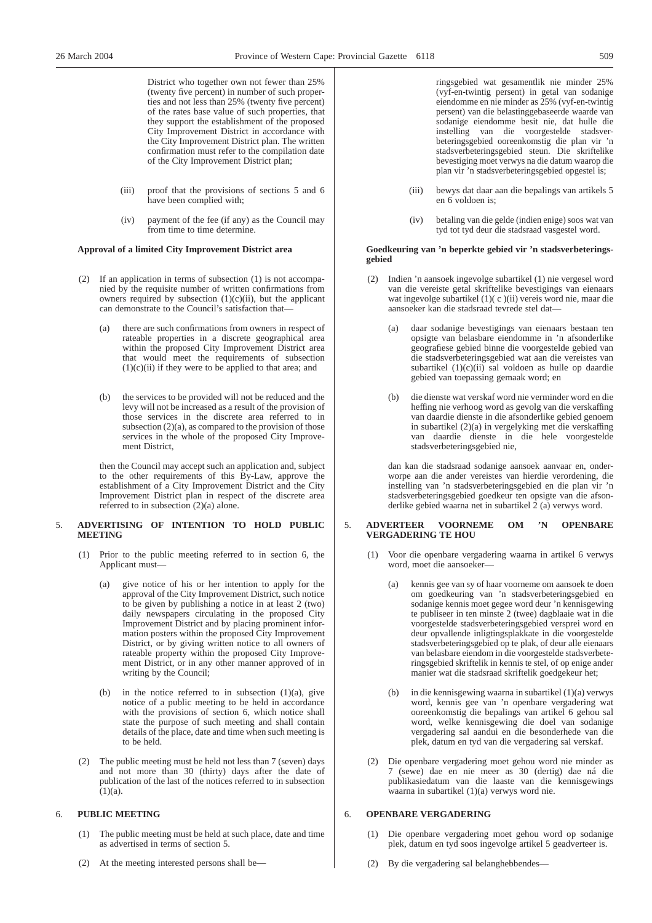District who together own not fewer than 25% (twenty five percent) in number of such properties and not less than 25% (twenty five percent) of the rates base value of such properties, that they support the establishment of the proposed City Improvement District in accordance with the City Improvement District plan. The written confirmation must refer to the compilation date of the City Improvement District plan;

- (iii) proof that the provisions of sections 5 and 6 have been complied with;
- (iv) payment of the fee (if any) as the Council may from time to time determine.

#### **Approval of a limited City Improvement District area**

- (2) If an application in terms of subsection (1) is not accompanied by the requisite number of written confirmations from owners required by subsection  $(1)(c)(ii)$ , but the applicant can demonstrate to the Council's satisfaction that—
	- (a) there are such confirmations from owners in respect of rateable properties in a discrete geographical area within the proposed City Improvement District area that would meet the requirements of subsection  $(1)(c)(ii)$  if they were to be applied to that area; and
	- (b) the services to be provided will not be reduced and the levy will not be increased as a result of the provision of those services in the discrete area referred to in subsection  $(2)(a)$ , as compared to the provision of those services in the whole of the proposed City Improvement District,

then the Council may accept such an application and, subject to the other requirements of this By-Law, approve the establishment of a City Improvement District and the City Improvement District plan in respect of the discrete area referred to in subsection (2)(a) alone.

#### 5. **ADVERTISING OF INTENTION TO HOLD PUBLIC MEETING**

- (1) Prior to the public meeting referred to in section 6, the Applicant must—
	- (a) give notice of his or her intention to apply for the approval of the City Improvement District, such notice to be given by publishing a notice in at least 2 (two) daily newspapers circulating in the proposed City Improvement District and by placing prominent information posters within the proposed City Improvement District, or by giving written notice to all owners of rateable property within the proposed City Improvement District, or in any other manner approved of in writing by the Council;
	- (b) in the notice referred to in subsection  $(1)(a)$ , give notice of a public meeting to be held in accordance with the provisions of section 6, which notice shall state the purpose of such meeting and shall contain details of the place, date and time when such meeting is to be held.
- (2) The public meeting must be held not less than 7 (seven) days and not more than 30 (thirty) days after the date of publication of the last of the notices referred to in subsection  $(1)(a)$ .

#### 6. **PUBLIC MEETING**

- (1) The public meeting must be held at such place, date and time as advertised in terms of section 5.
- (2) At the meeting interested persons shall be—

ringsgebied wat gesamentlik nie minder 25% (vyf-en-twintig persent) in getal van sodanige eiendomme en nie minder as 25% (vyf-en-twintig persent) van die belastinggebaseerde waarde van sodanige eiendomme besit nie, dat hulle die instelling van die voorgestelde stadsverbeteringsgebied ooreenkomstig die plan vir 'n stadsverbeteringsgebied steun. Die skriftelike bevestiging moet verwys na die datum waarop die plan vir 'n stadsverbeteringsgebied opgestel is;

- (iii) bewys dat daar aan die bepalings van artikels 5 en 6 voldoen is;
- (iv) betaling van die gelde (indien enige) soos wat van tyd tot tyd deur die stadsraad vasgestel word.

#### **Goedkeuring van 'n beperkte gebied vir 'n stadsverbeteringsgebied**

- (2) Indien 'n aansoek ingevolge subartikel (1) nie vergesel word van die vereiste getal skriftelike bevestigings van eienaars wat ingevolge subartikel (1)( c )(ii) vereis word nie, maar die aansoeker kan die stadsraad tevrede stel dat—
	- (a) daar sodanige bevestigings van eienaars bestaan ten opsigte van belasbare eiendomme in 'n afsonderlike geografiese gebied binne die voorgestelde gebied van die stadsverbeteringsgebied wat aan die vereistes van subartikel (1)(c)(ii) sal voldoen as hulle op daardie gebied van toepassing gemaak word; en
	- (b) die dienste wat verskaf word nie verminder word en die heffing nie verhoog word as gevolg van die verskaffing van daardie dienste in die afsonderlike gebied genoem in subartikel (2)(a) in vergelyking met die verskaffing van daardie dienste in die hele voorgestelde stadsverbeteringsgebied nie,

dan kan die stadsraad sodanige aansoek aanvaar en, onderworpe aan die ander vereistes van hierdie verordening, die instelling van 'n stadsverbeteringsgebied en die plan vir 'n stadsverbeteringsgebied goedkeur ten opsigte van die afsonderlike gebied waarna net in subartikel 2 (a) verwys word.

#### 5. **ADVERTEER VOORNEME OM 'N OPENBARE VERGADERING TE HOU**

- (1) Voor die openbare vergadering waarna in artikel 6 verwys word, moet die aansoeker—
	- (a) kennis gee van sy of haar voorneme om aansoek te doen om goedkeuring van 'n stadsverbeteringsgebied en sodanige kennis moet gegee word deur 'n kennisgewing te publiseer in ten minste 2 (twee) dagblaaie wat in die voorgestelde stadsverbeteringsgebied versprei word en deur opvallende inligtingsplakkate in die voorgestelde stadsverbeteringsgebied op te plak, of deur alle eienaars van belasbare eiendom in die voorgestelde stadsverbeteringsgebied skriftelik in kennis te stel, of op enige ander manier wat die stadsraad skriftelik goedgekeur het;
	- (b) in die kennisgewing waarna in subartikel (1)(a) verwys word, kennis gee van 'n openbare vergadering wat ooreenkomstig die bepalings van artikel 6 gehou sal word, welke kennisgewing die doel van sodanige vergadering sal aandui en die besonderhede van die plek, datum en tyd van die vergadering sal verskaf.
- (2) Die openbare vergadering moet gehou word nie minder as 7 (sewe) dae en nie meer as 30 (dertig) dae ná die publikasiedatum van die laaste van die kennisgewings waarna in subartikel (1)(a) verwys word nie.

#### 6. **OPENBARE VERGADERING**

- (1) Die openbare vergadering moet gehou word op sodanige plek, datum en tyd soos ingevolge artikel 5 geadverteer is.
- (2) By die vergadering sal belanghebbendes—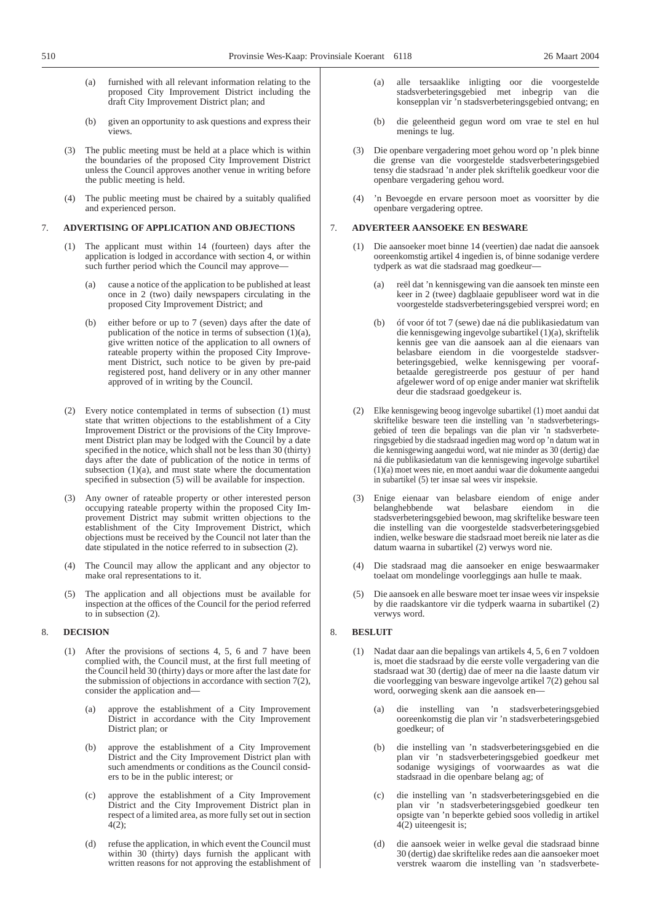- (a) furnished with all relevant information relating to the proposed City Improvement District including the draft City Improvement District plan; and
- (b) given an opportunity to ask questions and express their views.
- (3) The public meeting must be held at a place which is within the boundaries of the proposed City Improvement District unless the Council approves another venue in writing before the public meeting is held.
- (4) The public meeting must be chaired by a suitably qualified and experienced person.

#### 7. **ADVERTISING OF APPLICATION AND OBJECTIONS**

- (1) The applicant must within 14 (fourteen) days after the application is lodged in accordance with section 4, or within such further period which the Council may approve—
	- (a) cause a notice of the application to be published at least once in 2 (two) daily newspapers circulating in the proposed City Improvement District; and
	- (b) either before or up to 7 (seven) days after the date of publication of the notice in terms of subsection (1)(a), give written notice of the application to all owners of rateable property within the proposed City Improvement District, such notice to be given by pre-paid registered post, hand delivery or in any other manner approved of in writing by the Council.
- (2) Every notice contemplated in terms of subsection (1) must state that written objections to the establishment of a City Improvement District or the provisions of the City Improvement District plan may be lodged with the Council by a date specified in the notice, which shall not be less than 30 (thirty) days after the date of publication of the notice in terms of subsection  $(1)(a)$ , and must state where the documentation specified in subsection (5) will be available for inspection.
- (3) Any owner of rateable property or other interested person occupying rateable property within the proposed City Improvement District may submit written objections to the establishment of the City Improvement District, which objections must be received by the Council not later than the date stipulated in the notice referred to in subsection (2).
- (4) The Council may allow the applicant and any objector to make oral representations to it.
- (5) The application and all objections must be available for inspection at the offices of the Council for the period referred to in subsection (2).

#### 8. **DECISION**

- (1) After the provisions of sections 4, 5, 6 and 7 have been complied with, the Council must, at the first full meeting of the Council held 30 (thirty) days or more after the last date for the submission of objections in accordance with section 7(2), consider the application and—
	- (a) approve the establishment of a City Improvement District in accordance with the City Improvement District plan; or
	- (b) approve the establishment of a City Improvement District and the City Improvement District plan with such amendments or conditions as the Council considers to be in the public interest; or
	- (c) approve the establishment of a City Improvement District and the City Improvement District plan in respect of a limited area, as more fully set out in section 4(2);
	- (d) refuse the application, in which event the Council must within 30 (thirty) days furnish the applicant with written reasons for not approving the establishment of
- (a) alle tersaaklike inligting oor die voorgestelde stadsverbeteringsgebied met inbegrip van die konsepplan vir 'n stadsverbeteringsgebied ontvang; en
- (b) die geleentheid gegun word om vrae te stel en hul menings te lug.
- (3) Die openbare vergadering moet gehou word op 'n plek binne die grense van die voorgestelde stadsverbeteringsgebied tensy die stadsraad 'n ander plek skriftelik goedkeur voor die openbare vergadering gehou word.
- (4) 'n Bevoegde en ervare persoon moet as voorsitter by die openbare vergadering optree.

#### 7. **ADVERTEER AANSOEKE EN BESWARE**

- (1) Die aansoeker moet binne 14 (veertien) dae nadat die aansoek ooreenkomstig artikel 4 ingedien is, of binne sodanige verdere tydperk as wat die stadsraad mag goedkeur—
	- (a) reël dat 'n kennisgewing van die aansoek ten minste een keer in 2 (twee) dagblaaie gepubliseer word wat in die voorgestelde stadsverbeteringsgebied versprei word; en
	- (b) óf voor óf tot 7 (sewe) dae ná die publikasiedatum van die kennisgewing ingevolge subartikel (1)(a), skriftelik kennis gee van die aansoek aan al die eienaars van belasbare eiendom in die voorgestelde stadsverbeteringsgebied, welke kennisgewing per voorafbetaalde geregistreerde pos gestuur of per hand afgelewer word of op enige ander manier wat skriftelik deur die stadsraad goedgekeur is.
- (2) Elke kennisgewing beoog ingevolge subartikel (1) moet aandui dat skriftelike besware teen die instelling van 'n stadsverbeteringsgebied of teen die bepalings van die plan vir 'n stadsverbeteringsgebied by die stadsraad ingedien mag word op 'n datum wat in die kennisgewing aangedui word, wat nie minder as 30 (dertig) dae ná die publikasiedatum van die kennisgewing ingevolge subartikel (1)(a) moet wees nie, en moet aandui waar die dokumente aangedui in subartikel (5) ter insae sal wees vir inspeksie.
- (3) Enige eienaar van belasbare eiendom of enige ander belanghebbende wat belasbare eiendom in die stadsverbeteringsgebied bewoon, mag skriftelike besware teen die instelling van die voorgestelde stadsverbeteringsgebied indien, welke besware die stadsraad moet bereik nie later as die datum waarna in subartikel (2) verwys word nie.
- (4) Die stadsraad mag die aansoeker en enige beswaarmaker toelaat om mondelinge voorleggings aan hulle te maak.
- (5) Die aansoek en alle besware moet ter insae wees vir inspeksie by die raadskantore vir die tydperk waarna in subartikel (2) verwys word.

#### 8. **BESLUIT**

- (1) Nadat daar aan die bepalings van artikels 4, 5, 6 en 7 voldoen is, moet die stadsraad by die eerste volle vergadering van die stadsraad wat 30 (dertig) dae of meer na die laaste datum vir die voorlegging van besware ingevolge artikel 7(2) gehou sal word, oorweging skenk aan die aansoek en—
	- (a) die instelling van 'n stadsverbeteringsgebied ooreenkomstig die plan vir 'n stadsverbeteringsgebied goedkeur; of
	- (b) die instelling van 'n stadsverbeteringsgebied en die plan vir 'n stadsverbeteringsgebied goedkeur met sodanige wysigings of voorwaardes as wat die stadsraad in die openbare belang ag; of
	- (c) die instelling van 'n stadsverbeteringsgebied en die plan vir 'n stadsverbeteringsgebied goedkeur ten opsigte van 'n beperkte gebied soos volledig in artikel 4(2) uiteengesit is;
	- (d) die aansoek weier in welke geval die stadsraad binne 30 (dertig) dae skriftelike redes aan die aansoeker moet verstrek waarom die instelling van 'n stadsverbete-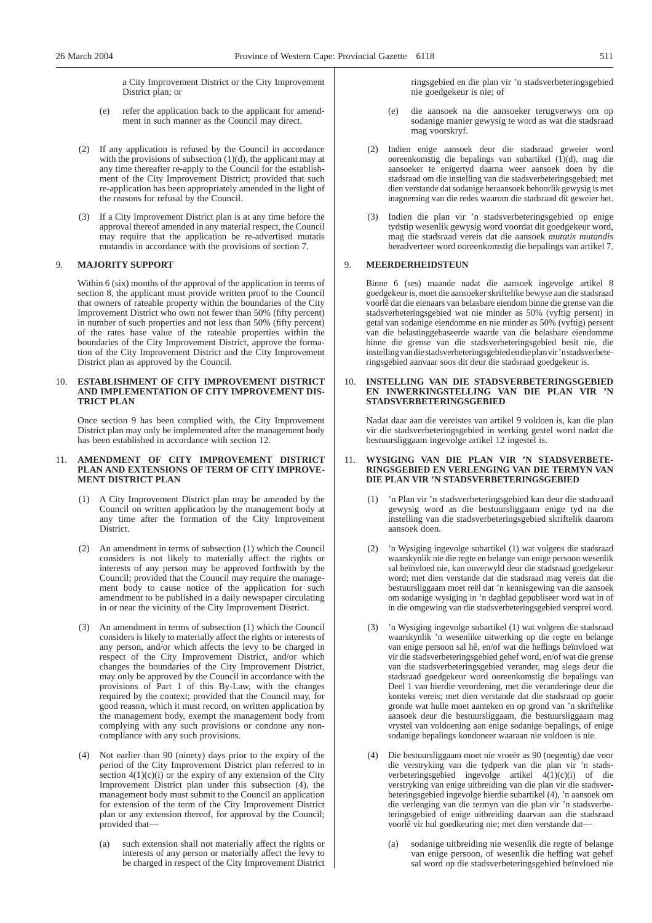a City Improvement District or the City Improvement District plan; or

- (e) refer the application back to the applicant for amendment in such manner as the Council may direct.
- (2) If any application is refused by the Council in accordance with the provisions of subsection (1)(d), the applicant may at any time thereafter re-apply to the Council for the establishment of the City Improvement District; provided that such re-application has been appropriately amended in the light of the reasons for refusal by the Council.
- (3) If a City Improvement District plan is at any time before the approval thereof amended in any material respect, the Council may require that the application be re-advertised mutatis mutandis in accordance with the provisions of section 7.

#### 9. **MAJORITY SUPPORT**

Within 6 (six) months of the approval of the application in terms of section 8, the applicant must provide written proof to the Council that owners of rateable property within the boundaries of the City Improvement District who own not fewer than 50% (fifty percent) in number of such properties and not less than 50% (fifty percent) of the rates base value of the rateable properties within the boundaries of the City Improvement District, approve the formation of the City Improvement District and the City Improvement District plan as approved by the Council.

#### 10. **ESTABLISHMENT OF CITY IMPROVEMENT DISTRICT AND IMPLEMENTATION OF CITY IMPROVEMENT DIS-TRICT PLAN**

Once section 9 has been complied with, the City Improvement District plan may only be implemented after the management body has been established in accordance with section 12.

#### 11. **AMENDMENT OF CITY IMPROVEMENT DISTRICT PLAN AND EXTENSIONS OF TERM OF CITY IMPROVE-MENT DISTRICT PLAN**

- (1) A City Improvement District plan may be amended by the Council on written application by the management body at any time after the formation of the City Improvement District.
- (2) An amendment in terms of subsection (1) which the Council considers is not likely to materially affect the rights or interests of any person may be approved forthwith by the Council; provided that the Council may require the management body to cause notice of the application for such amendment to be published in a daily newspaper circulating in or near the vicinity of the City Improvement District.
- (3) An amendment in terms of subsection (1) which the Council considers is likely to materially affect the rights or interests of any person, and/or which affects the levy to be charged in respect of the City Improvement District, and/or which changes the boundaries of the City Improvement District, may only be approved by the Council in accordance with the provisions of Part 1 of this By-Law, with the changes required by the context; provided that the Council may, for good reason, which it must record, on written application by the management body, exempt the management body from complying with any such provisions or condone any noncompliance with any such provisions.
- (4) Not earlier than 90 (ninety) days prior to the expiry of the period of the City Improvement District plan referred to in section  $4(1)(c)(i)$  or the expiry of any extension of the City Improvement District plan under this subsection (4), the management body must submit to the Council an application for extension of the term of the City Improvement District plan or any extension thereof, for approval by the Council; provided that—
	- (a) such extension shall not materially affect the rights or interests of any person or materially affect the levy to be charged in respect of the City Improvement District

ringsgebied en die plan vir 'n stadsverbeteringsgebied nie goedgekeur is nie; of

- (e) die aansoek na die aansoeker terugverwys om op sodanige manier gewysig te word as wat die stadsraad mag voorskryf.
- (2) Indien enige aansoek deur die stadsraad geweier word ooreenkomstig die bepalings van subartikel (1)(d), mag die aansoeker te enigertyd daarna weer aansoek doen by die stadsraad om die instelling van die stadsverbeteringsgebied; met dien verstande dat sodanige heraansoek behoorlik gewysig is met inagneming van die redes waarom die stadsraad dit geweier het.
- Indien die plan vir 'n stadsverbeteringsgebied op enige tydstip wesenlik gewysig word voordat dit goedgekeur word, mag die stadsraad vereis dat die aansoek *mutatis mutandis* heradverteer word ooreenkomstig die bepalings van artikel 7.

#### 9. **MEERDERHEIDSTEUN**

Binne 6 (ses) maande nadat die aansoek ingevolge artikel 8 goedgekeur is, moet die aansoeker skriftelike bewyse aan die stadsraad voorlê dat die eienaars van belasbare eiendom binne die grense van die stadsverbeteringsgebied wat nie minder as 50% (vyftig persent) in getal van sodanige eiendomme en nie minder as 50% (vyftig) persent van die belastinggebaseerde waarde van die belasbare eiendomme binne die grense van die stadsverbeteringsgebied besit nie, die instellingvandiestadsverbeteringsgebiedendieplanvir'nstadsverbeteringsgebied aanvaar soos dit deur die stadsraad goedgekeur is.

#### 10. **INSTELLING VAN DIE STADSVERBETERINGSGEBIED EN INWERKINGSTELLING VAN DIE PLAN VIR 'N STADSVERBETERINGSGEBIED**

Nadat daar aan die vereistes van artikel 9 voldoen is, kan die plan vir die stadsverbeteringsgebied in werking gestel word nadat die bestuursliggaam ingevolge artikel 12 ingestel is.

#### 11. **WYSIGING VAN DIE PLAN VIR 'N STADSVERBETE-RINGSGEBIED EN VERLENGING VAN DIE TERMYN VAN DIE PLAN VIR 'N STADSVERBETERINGSGEBIED**

- (1) 'n Plan vir 'n stadsverbeteringsgebied kan deur die stadsraad gewysig word as die bestuursliggaam enige tyd na die instelling van die stadsverbeteringsgebied skriftelik daarom aansoek doen.
- (2) 'n Wysiging ingevolge subartikel (1) wat volgens die stadsraad waarskynlik nie die regte en belange van enige persoon wesenlik sal beïnvloed nie, kan onverwyld deur die stadsraad goedgekeur word; met dien verstande dat die stadsraad mag vereis dat die bestuursliggaam moet reël dat 'n kennisgewing van die aansoek om sodanige wysiging in 'n dagblad gepubliseer word wat in of in die omgewing van die stadsverbeteringsgebied versprei word.
- (3) 'n Wysiging ingevolge subartikel (1) wat volgens die stadsraad waarskynlik 'n wesenlike uitwerking op die regte en belange van enige persoon sal hê, en/of wat die heffings beïnvloed wat vir die stadsverbeteringsgebied gehef word, en/of wat die grense van die stadsverbeteringsgebied verander, mag slegs deur die stadsraad goedgekeur word ooreenkomstig die bepalings van Deel 1 van hierdie verordening, met die veranderinge deur die konteks vereis; met dien verstande dat die stadsraad op goeie gronde wat hulle moet aanteken en op grond van 'n skriftelike aansoek deur die bestuursliggaam, die bestuursliggaam mag vrystel van voldoening aan enige sodanige bepalings, of enige sodanige bepalings kondoneer waaraan nie voldoen is nie.
- (4) Die bestuursliggaam moet nie vroeër as 90 (negentig) dae voor die verstryking van die tydperk van die plan vir 'n stadsverbeteringsgebied ingevolge artikel  $4(1)(c)(i)$  of die verstryking van enige uitbreiding van die plan vir die stadsverbeteringsgebied ingevolge hierdie subartikel (4), 'n aansoek om die verlenging van die termyn van die plan vir 'n stadsverbeteringsgebied of enige uitbreiding daarvan aan die stadsraad voorlê vir hul goedkeuring nie; met dien verstande dat—
	- (a) sodanige uitbreiding nie wesenlik die regte of belange van enige persoon, of wesenlik die heffing wat gehef sal word op die stadsverbeteringsgebied beïnvloed nie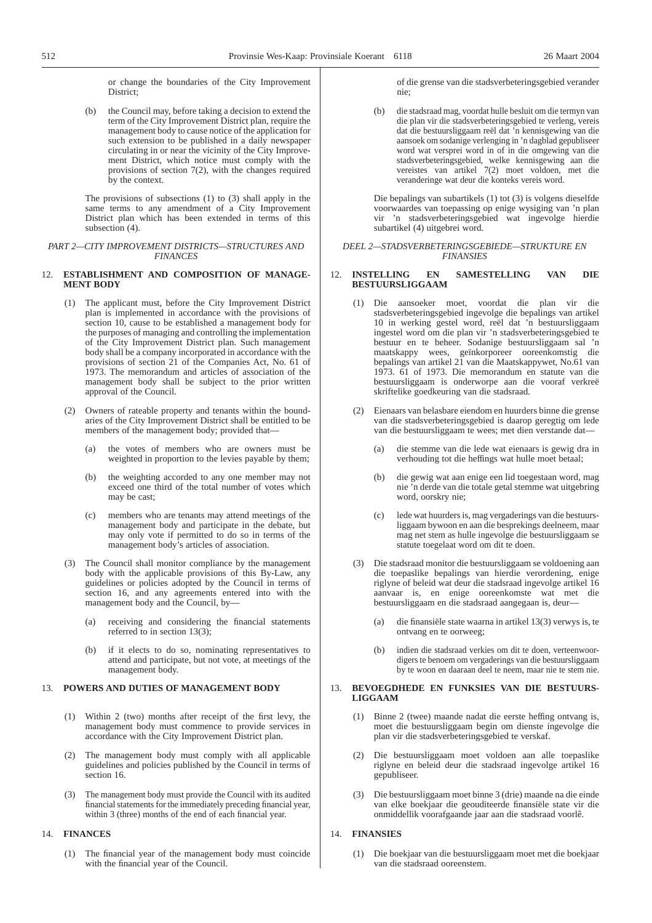or change the boundaries of the City Improvement District;

(b) the Council may, before taking a decision to extend the term of the City Improvement District plan, require the management body to cause notice of the application for such extension to be published in a daily newspaper circulating in or near the vicinity of the City Improvement District, which notice must comply with the provisions of section 7(2), with the changes required by the context.

The provisions of subsections (1) to (3) shall apply in the same terms to any amendment of a City Improvement District plan which has been extended in terms of this subsection (4).

#### *PART 2—CITY IMPROVEMENT DISTRICTS—STRUCTURES AND FINANCES*

#### 12. **ESTABLISHMENT AND COMPOSITION OF MANAGE-MENT BODY**

- (1) The applicant must, before the City Improvement District plan is implemented in accordance with the provisions of section 10, cause to be established a management body for the purposes of managing and controlling the implementation of the City Improvement District plan. Such management body shall be a company incorporated in accordance with the provisions of section 21 of the Companies Act, No. 61 of 1973. The memorandum and articles of association of the management body shall be subject to the prior written approval of the Council.
- (2) Owners of rateable property and tenants within the boundaries of the City Improvement District shall be entitled to be members of the management body; provided that—
	- (a) the votes of members who are owners must be weighted in proportion to the levies payable by them;
	- (b) the weighting accorded to any one member may not exceed one third of the total number of votes which may be cast;
	- (c) members who are tenants may attend meetings of the management body and participate in the debate, but may only vote if permitted to do so in terms of the management body's articles of association.
- (3) The Council shall monitor compliance by the management body with the applicable provisions of this By-Law, any guidelines or policies adopted by the Council in terms of section 16, and any agreements entered into with the management body and the Council, by—
	- (a) receiving and considering the financial statements referred to in section 13(3);
	- (b) if it elects to do so, nominating representatives to attend and participate, but not vote, at meetings of the management body.

#### 13. **POWERS AND DUTIES OF MANAGEMENT BODY**

- (1) Within 2 (two) months after receipt of the first levy, the management body must commence to provide services in accordance with the City Improvement District plan.
- (2) The management body must comply with all applicable guidelines and policies published by the Council in terms of section 16.
- (3) The management body must provide the Council with its audited financial statements for the immediately preceding financial year, within 3 (three) months of the end of each financial year.

#### 14. **FINANCES**

(1) The financial year of the management body must coincide with the financial year of the Council.

of die grense van die stadsverbeteringsgebied verander nie;

(b) die stadsraad mag, voordat hulle besluit om die termyn van die plan vir die stadsverbeteringsgebied te verleng, vereis dat die bestuursliggaam reël dat 'n kennisgewing van die aansoek om sodanige verlenging in 'n dagblad gepubliseer word wat versprei word in of in die omgewing van die stadsverbeteringsgebied, welke kennisgewing aan die vereistes van artikel 7(2) moet voldoen, met die veranderinge wat deur die konteks vereis word.

Die bepalings van subartikels (1) tot (3) is volgens dieselfde voorwaardes van toepassing op enige wysiging van 'n plan vir 'n stadsverbeteringsgebied wat ingevolge hierdie subartikel (4) uitgebrei word.

#### *DEEL 2—STADSVERBETERINGSGEBIEDE—STRUKTURE EN FINANSIES*

#### 12. **INSTELLING EN SAMESTELLING VAN DIE BESTUURSLIGGAAM**

- (1) Die aansoeker moet, voordat die plan vir die stadsverbeteringsgebied ingevolge die bepalings van artikel 10 in werking gestel word, reël dat 'n bestuursliggaam ingestel word om die plan vir 'n stadsverbeteringsgebied te bestuur en te beheer. Sodanige bestuursliggaam sal 'n maatskappy wees, geïnkorporeer ooreenkomstig die bepalings van artikel 21 van die Maatskappywet, No.61 van 1973. 61 of 1973. Die memorandum en statute van die bestuursliggaam is onderworpe aan die vooraf verkreë skriftelike goedkeuring van die stadsraad.
- (2) Eienaars van belasbare eiendom en huurders binne die grense van die stadsverbeteringsgebied is daarop geregtig om lede van die bestuursliggaam te wees; met dien verstande dat—
	- (a) die stemme van die lede wat eienaars is gewig dra in verhouding tot die heffings wat hulle moet betaal;
	- (b) die gewig wat aan enige een lid toegestaan word, mag nie 'n derde van die totale getal stemme wat uitgebring word, oorskry nie;
	- (c) lede wat huurders is, mag vergaderings van die bestuursliggaam bywoon en aan die besprekings deelneem, maar mag net stem as hulle ingevolge die bestuursliggaam se statute toegelaat word om dit te doen.
- (3) Die stadsraad monitor die bestuursliggaam se voldoening aan die toepaslike bepalings van hierdie verordening, enige riglyne of beleid wat deur die stadsraad ingevolge artikel 16 aanvaar is, en enige ooreenkomste wat met die bestuursliggaam en die stadsraad aangegaan is, deur—
	- (a) die finansiële state waarna in artikel 13(3) verwys is, te ontvang en te oorweeg;
	- (b) indien die stadsraad verkies om dit te doen, verteenwoordigers te benoem om vergaderings van die bestuursliggaam by te woon en daaraan deel te neem, maar nie te stem nie.

#### 13. **BEVOEGDHEDE EN FUNKSIES VAN DIE BESTUURS-LIGGAAM**

- (1) Binne 2 (twee) maande nadat die eerste heffing ontvang is, moet die bestuursliggaam begin om dienste ingevolge die plan vir die stadsverbeteringsgebied te verskaf.
- (2) Die bestuursliggaam moet voldoen aan alle toepaslike riglyne en beleid deur die stadsraad ingevolge artikel 16 gepubliseer.
- (3) Die bestuursliggaam moet binne 3 (drie) maande na die einde van elke boekjaar die geouditeerde finansiële state vir die onmiddellik voorafgaande jaar aan die stadsraad voorlê.

#### 14. **FINANSIES**

(1) Die boekjaar van die bestuursliggaam moet met die boekjaar van die stadsraad ooreenstem.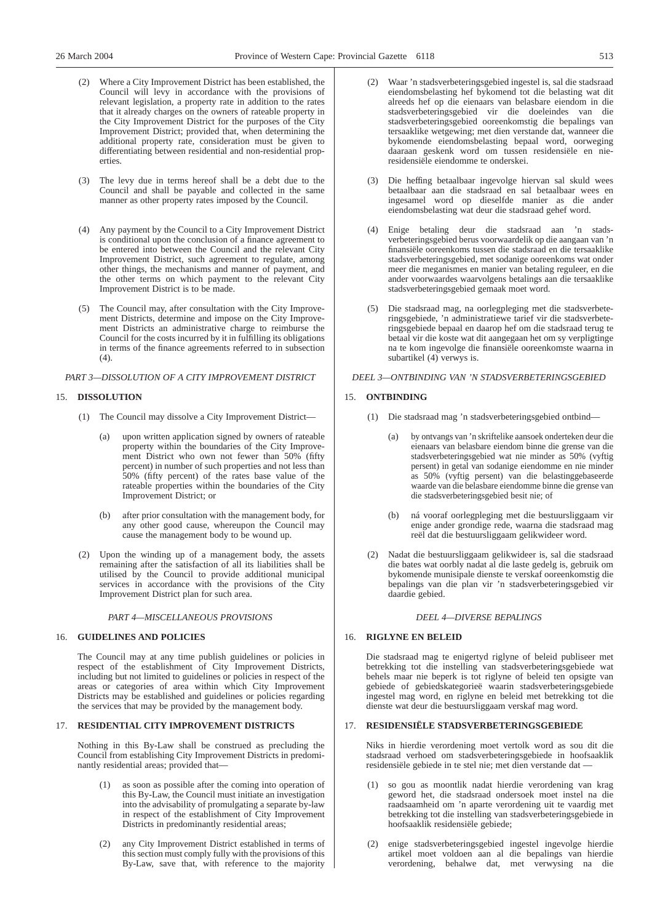- (2) Where a City Improvement District has been established, the Council will levy in accordance with the provisions of relevant legislation, a property rate in addition to the rates that it already charges on the owners of rateable property in the City Improvement District for the purposes of the City Improvement District; provided that, when determining the additional property rate, consideration must be given to differentiating between residential and non-residential properties.
- (3) The levy due in terms hereof shall be a debt due to the Council and shall be payable and collected in the same manner as other property rates imposed by the Council.
- (4) Any payment by the Council to a City Improvement District is conditional upon the conclusion of a finance agreement to be entered into between the Council and the relevant City Improvement District, such agreement to regulate, among other things, the mechanisms and manner of payment, and the other terms on which payment to the relevant City Improvement District is to be made.
- (5) The Council may, after consultation with the City Improvement Districts, determine and impose on the City Improvement Districts an administrative charge to reimburse the Council for the costs incurred by it in fulfilling its obligations in terms of the finance agreements referred to in subsection  $(4)$ .

*PART 3—DISSOLUTION OF A CITY IMPROVEMENT DISTRICT*

#### 15. **DISSOLUTION**

- (1) The Council may dissolve a City Improvement District
	- upon written application signed by owners of rateable property within the boundaries of the City Improvement District who own not fewer than 50% (fifty percent) in number of such properties and not less than 50% (fifty percent) of the rates base value of the rateable properties within the boundaries of the City Improvement District; or
	- (b) after prior consultation with the management body, for any other good cause, whereupon the Council may cause the management body to be wound up.
- (2) Upon the winding up of a management body, the assets remaining after the satisfaction of all its liabilities shall be utilised by the Council to provide additional municipal services in accordance with the provisions of the City Improvement District plan for such area.

*PART 4—MISCELLANEOUS PROVISIONS*

#### 16. **GUIDELINES AND POLICIES**

The Council may at any time publish guidelines or policies in respect of the establishment of City Improvement Districts, including but not limited to guidelines or policies in respect of the areas or categories of area within which City Improvement Districts may be established and guidelines or policies regarding the services that may be provided by the management body.

### 17. **RESIDENTIAL CITY IMPROVEMENT DISTRICTS**

Nothing in this By-Law shall be construed as precluding the Council from establishing City Improvement Districts in predominantly residential areas; provided that—

- as soon as possible after the coming into operation of this By-Law, the Council must initiate an investigation into the advisability of promulgating a separate by-law in respect of the establishment of City Improvement Districts in predominantly residential areas;
- (2) any City Improvement District established in terms of this section must comply fully with the provisions of this By-Law, save that, with reference to the majority
- (2) Waar 'n stadsverbeteringsgebied ingestel is, sal die stadsraad eiendomsbelasting hef bykomend tot die belasting wat dit alreeds hef op die eienaars van belasbare eiendom in die stadsverbeteringsgebied vir die doeleindes van die stadsverbeteringsgebied ooreenkomstig die bepalings van tersaaklike wetgewing; met dien verstande dat, wanneer die bykomende eiendomsbelasting bepaal word, oorweging daaraan geskenk word om tussen residensiële en nieresidensiële eiendomme te onderskei.
- (3) Die heffing betaalbaar ingevolge hiervan sal skuld wees betaalbaar aan die stadsraad en sal betaalbaar wees en ingesamel word op dieselfde manier as die ander eiendomsbelasting wat deur die stadsraad gehef word.
- (4) Enige betaling deur die stadsraad aan 'n stadsverbeteringsgebied berus voorwaardelik op die aangaan van 'n finansiële ooreenkoms tussen die stadsraad en die tersaaklike stadsverbeteringsgebied, met sodanige ooreenkoms wat onder meer die meganismes en manier van betaling reguleer, en die ander voorwaardes waarvolgens betalings aan die tersaaklike stadsverbeteringsgebied gemaak moet word.
- (5) Die stadsraad mag, na oorlegpleging met die stadsverbeteringsgebiede, 'n administratiewe tarief vir die stadsverbeteringsgebiede bepaal en daarop hef om die stadsraad terug te betaal vir die koste wat dit aangegaan het om sy verpligtinge na te kom ingevolge die finansiële ooreenkomste waarna in subartikel (4) verwys is.

#### *DEEL 3—ONTBINDING VAN 'N STADSVERBETERINGSGEBIED*

#### 15. **ONTBINDING**

- (1) Die stadsraad mag 'n stadsverbeteringsgebied ontbind
	- by ontvangs van 'n skriftelike aansoek onderteken deur die eienaars van belasbare eiendom binne die grense van die stadsverbeteringsgebied wat nie minder as 50% (vyftig persent) in getal van sodanige eiendomme en nie minder as 50% (vyftig persent) van die belastinggebaseerde waarde van die belasbare eiendomme binne die grense van die stadsverbeteringsgebied besit nie; of
	- (b) ná vooraf oorlegpleging met die bestuursliggaam vir enige ander grondige rede, waarna die stadsraad mag reël dat die bestuursliggaam gelikwideer word.
- (2) Nadat die bestuursliggaam gelikwideer is, sal die stadsraad die bates wat oorbly nadat al die laste gedelg is, gebruik om bykomende munisipale dienste te verskaf ooreenkomstig die bepalings van die plan vir 'n stadsverbeteringsgebied vir daardie gebied.

#### *DEEL 4—DIVERSE BEPALINGS*

#### 16. **RIGLYNE EN BELEID**

Die stadsraad mag te enigertyd riglyne of beleid publiseer met betrekking tot die instelling van stadsverbeteringsgebiede wat behels maar nie beperk is tot riglyne of beleid ten opsigte van gebiede of gebiedskategorieë waarin stadsverbeteringsgebiede ingestel mag word, en riglyne en beleid met betrekking tot die dienste wat deur die bestuursliggaam verskaf mag word.

#### 17. **RESIDENSIËLE STADSVERBETERINGSGEBIEDE**

Niks in hierdie verordening moet vertolk word as sou dit die stadsraad verhoed om stadsverbeteringsgebiede in hoofsaaklik residensiële gebiede in te stel nie; met dien verstande dat —

- so gou as moontlik nadat hierdie verordening van krag geword het, die stadsraad ondersoek moet instel na die raadsaamheid om 'n aparte verordening uit te vaardig met betrekking tot die instelling van stadsverbeteringsgebiede in hoofsaaklik residensiële gebiede;
- (2) enige stadsverbeteringsgebied ingestel ingevolge hierdie artikel moet voldoen aan al die bepalings van hierdie verordening, behalwe dat, met verwysing na die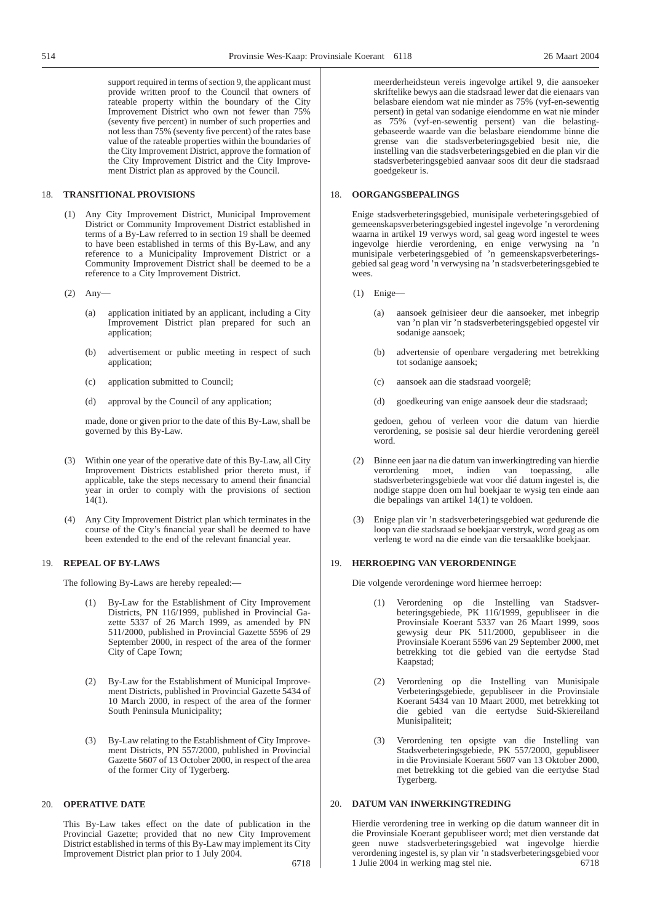support required in terms of section 9, the applicant must provide written proof to the Council that owners of rateable property within the boundary of the City Improvement District who own not fewer than 75% (seventy five percent) in number of such properties and not less than 75% (seventy five percent) of the rates base value of the rateable properties within the boundaries of the City Improvement District, approve the formation of the City Improvement District and the City Improvement District plan as approved by the Council.

#### 18. **TRANSITIONAL PROVISIONS**

- (1) Any City Improvement District, Municipal Improvement District or Community Improvement District established in terms of a By-Law referred to in section 19 shall be deemed to have been established in terms of this By-Law, and any reference to a Municipality Improvement District or a Community Improvement District shall be deemed to be a reference to a City Improvement District.
- (2) Any—
	- (a) application initiated by an applicant, including a City Improvement District plan prepared for such an application;
	- (b) advertisement or public meeting in respect of such application;
	- (c) application submitted to Council;
	- (d) approval by the Council of any application;

made, done or given prior to the date of this By-Law, shall be governed by this By-Law.

- (3) Within one year of the operative date of this By-Law, all City Improvement Districts established prior thereto must, if applicable, take the steps necessary to amend their financial year in order to comply with the provisions of section  $14(1)$ .
- (4) Any City Improvement District plan which terminates in the course of the City's financial year shall be deemed to have been extended to the end of the relevant financial year.

#### 19. **REPEAL OF BY-LAWS**

The following By-Laws are hereby repealed:—

- (1) By-Law for the Establishment of City Improvement Districts, PN 116/1999, published in Provincial Gazette 5337 of 26 March 1999, as amended by PN 511/2000, published in Provincial Gazette 5596 of 29 September 2000, in respect of the area of the former City of Cape Town;
- (2) By-Law for the Establishment of Municipal Improvement Districts, published in Provincial Gazette 5434 of 10 March 2000, in respect of the area of the former South Peninsula Municipality;
- (3) By-Law relating to the Establishment of City Improvement Districts, PN 557/2000, published in Provincial Gazette 5607 of 13 October 2000, in respect of the area of the former City of Tygerberg.

#### 20. **OPERATIVE DATE**

This By-Law takes effect on the date of publication in the Provincial Gazette; provided that no new City Improvement District established in terms of this By-Law may implement its City Improvement District plan prior to 1 July 2004.

meerderheidsteun vereis ingevolge artikel 9, die aansoeker skriftelike bewys aan die stadsraad lewer dat die eienaars van belasbare eiendom wat nie minder as 75% (vyf-en-sewentig persent) in getal van sodanige eiendomme en wat nie minder as 75% (vyf-en-sewentig persent) van die belastinggebaseerde waarde van die belasbare eiendomme binne die grense van die stadsverbeteringsgebied besit nie, die instelling van die stadsverbeteringsgebied en die plan vir die stadsverbeteringsgebied aanvaar soos dit deur die stadsraad goedgekeur is.

#### 18. **OORGANGSBEPALINGS**

Enige stadsverbeteringsgebied, munisipale verbeteringsgebied of gemeenskapsverbeteringsgebied ingestel ingevolge 'n verordening waarna in artikel 19 verwys word, sal geag word ingestel te wees ingevolge hierdie verordening, en enige verwysing na 'n munisipale verbeteringsgebied of 'n gemeenskapsverbeteringsgebied sal geag word 'n verwysing na 'n stadsverbeteringsgebied te wees.

- (1) Enige—
	- (a) aansoek geïnisieer deur die aansoeker, met inbegrip van 'n plan vir 'n stadsverbeteringsgebied opgestel vir sodanige aansoek;
	- (b) advertensie of openbare vergadering met betrekking tot sodanige aansoek;
	- (c) aansoek aan die stadsraad voorgelê;
	- (d) goedkeuring van enige aansoek deur die stadsraad;

gedoen, gehou of verleen voor die datum van hierdie verordening, se posisie sal deur hierdie verordening gereël word.

- (2) Binne een jaar na die datum van inwerkingtreding van hierdie verordening moet, indien van toepassing, alle stadsverbeteringsgebiede wat voor dié datum ingestel is, die nodige stappe doen om hul boekjaar te wysig ten einde aan die bepalings van artikel 14(1) te voldoen.
- Enige plan vir 'n stadsverbeteringsgebied wat gedurende die loop van die stadsraad se boekjaar verstryk, word geag as om verleng te word na die einde van die tersaaklike boekjaar.

#### 19. **HERROEPING VAN VERORDENINGE**

Die volgende verordeninge word hiermee herroep:

- (1) Verordening op die Instelling van Stadsverbeteringsgebiede, PK 116/1999, gepubliseer in die Provinsiale Koerant 5337 van 26 Maart 1999, soos gewysig deur PK 511/2000, gepubliseer in die Provinsiale Koerant 5596 van 29 September 2000, met betrekking tot die gebied van die eertydse Stad Kaapstad;
- (2) Verordening op die Instelling van Munisipale Verbeteringsgebiede, gepubliseer in die Provinsiale Koerant 5434 van 10 Maart 2000, met betrekking tot die gebied van die eertydse Suid-Skiereiland Munisipaliteit;
- (3) Verordening ten opsigte van die Instelling van Stadsverbeteringsgebiede, PK 557/2000, gepubliseer in die Provinsiale Koerant 5607 van 13 Oktober 2000, met betrekking tot die gebied van die eertydse Stad Tygerberg.

#### 20. **DATUM VAN INWERKINGTREDING**

Hierdie verordening tree in werking op die datum wanneer dit in die Provinsiale Koerant gepubliseer word; met dien verstande dat geen nuwe stadsverbeteringsgebied wat ingevolge hierdie verordening ingestel is, sy plan vir 'n stadsverbeteringsgebied voor 1 Julie 2004 in werking mag stel nie. 6718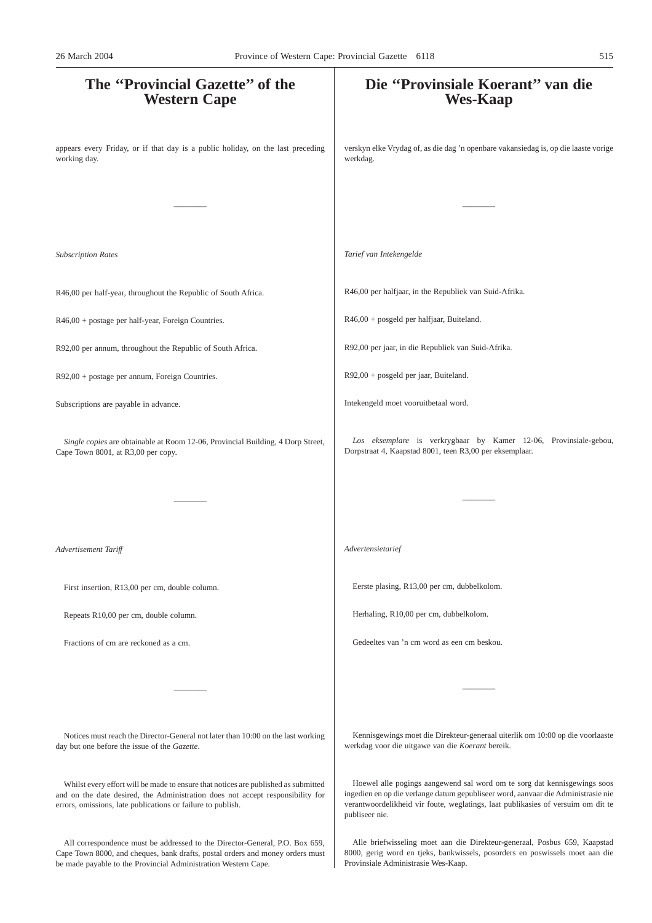# **The ''Provincial Gazette'' of the Western Cape** appears every Friday, or if that day is a public holiday, on the last preceding working day. ———— *Subscription Rates* R46,00 per half-year, throughout the Republic of South Africa. R46,00 + postage per half-year, Foreign Countries. R92,00 per annum, throughout the Republic of South Africa. R92,00 + postage per annum, Foreign Countries. Subscriptions are payable in advance. *Single copies* are obtainable at Room 12-06, Provincial Building, 4 Dorp Street, Cape Town 8001, at R3,00 per copy. ———— *Advertisement Tariff* First insertion, R13,00 per cm, double column. Repeats R10,00 per cm, double column. Fractions of cm are reckoned as a cm. ———— Notices must reach the Director-General not later than 10:00 on the last working day but one before the issue of the *Gazette*. Whilst every effort will be made to ensure that notices are published as submitted and on the date desired, the Administration does not accept responsibility for **Die ''Provinsiale Koerant'' van die Wes-Kaap** verskyn elke Vrydag of, as die dag 'n openbare vakansiedag is, op die laaste vorige werkdag. ———— *Tarief van Intekengelde* R46,00 per halfjaar, in the Republiek van Suid-Afrika. R46,00 + posgeld per halfjaar, Buiteland. R92,00 per jaar, in die Republiek van Suid-Afrika. R92,00 + posgeld per jaar, Buiteland. Intekengeld moet vooruitbetaal word. *Los eksemplare* is verkrygbaar by Kamer 12-06, Provinsiale-gebou, Dorpstraat 4, Kaapstad 8001, teen R3,00 per eksemplaar. ———— *Advertensietarief* Eerste plasing, R13,00 per cm, dubbelkolom. Herhaling, R10,00 per cm, dubbelkolom. Gedeeltes van 'n cm word as een cm beskou. ———— Kennisgewings moet die Direkteur-generaal uiterlik om 10:00 op die voorlaaste werkdag voor die uitgawe van die *Koerant* bereik. Hoewel alle pogings aangewend sal word om te sorg dat kennisgewings soos ingedien en op die verlange datum gepubliseer word, aanvaar die Administrasie nie 26 March 2004 Province of Western Cape: Provincial Gazette 6118 515

publiseer nie.

errors, omissions, late publications or failure to publish.

All correspondence must be addressed to the Director-General, P.O. Box 659, Cape Town 8000, and cheques, bank drafts, postal orders and money orders must be made payable to the Provincial Administration Western Cape.

Alle briefwisseling moet aan die Direkteur-generaal, Posbus 659, Kaapstad 8000, gerig word en tjeks, bankwissels, posorders en poswissels moet aan die Provinsiale Administrasie Wes-Kaap.

verantwoordelikheid vir foute, weglatings, laat publikasies of versuim om dit te